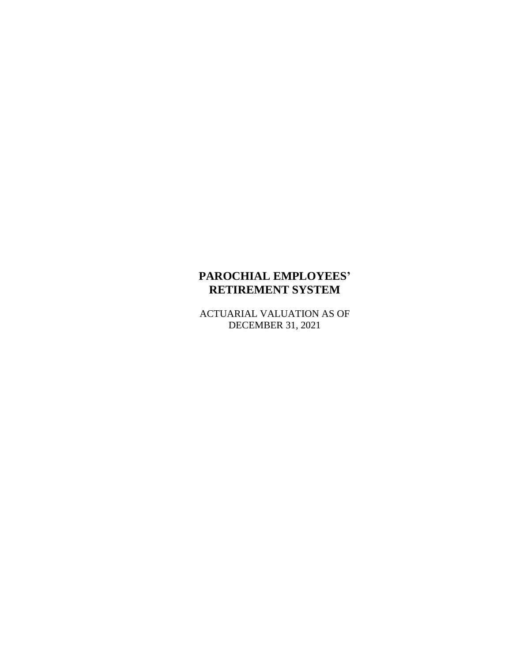## **PAROCHIAL EMPLOYEES' RETIREMENT SYSTEM**

ACTUARIAL VALUATION AS OF DECEMBER 31, 2021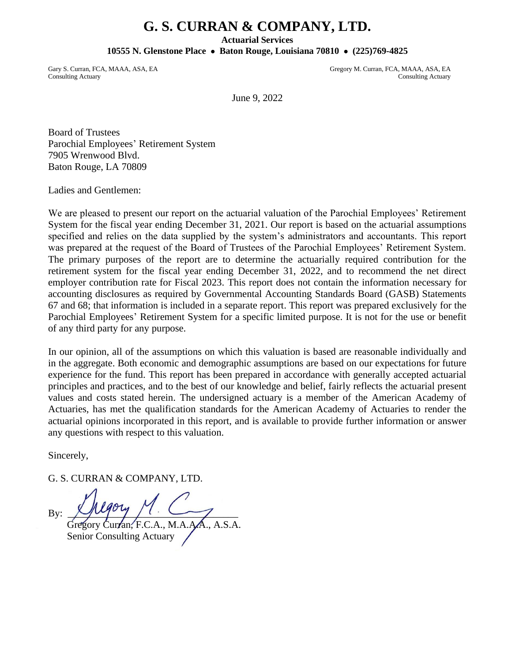## **G. S. CURRAN & COMPANY, LTD.**

**Actuarial Services**

**10555 N. Glenstone Place** • **Baton Rouge, Louisiana 70810** • **(225)769-4825**

Gary S. Curran, FCA, MAAA, ASA, EA Gregory M. Curran, FCA, MAAA, ASA, EA Gregory M. Curran, FCA, MAAA, ASA, EA

Consulting Actuary Consulting Actuary

June 9, 2022

Board of Trustees Parochial Employees' Retirement System 7905 Wrenwood Blvd. Baton Rouge, LA 70809

Ladies and Gentlemen:

We are pleased to present our report on the actuarial valuation of the Parochial Employees' Retirement System for the fiscal year ending December 31, 2021. Our report is based on the actuarial assumptions specified and relies on the data supplied by the system's administrators and accountants. This report was prepared at the request of the Board of Trustees of the Parochial Employees' Retirement System. The primary purposes of the report are to determine the actuarially required contribution for the retirement system for the fiscal year ending December 31, 2022, and to recommend the net direct employer contribution rate for Fiscal 2023. This report does not contain the information necessary for accounting disclosures as required by Governmental Accounting Standards Board (GASB) Statements 67 and 68; that information is included in a separate report. This report was prepared exclusively for the Parochial Employees' Retirement System for a specific limited purpose. It is not for the use or benefit of any third party for any purpose.

In our opinion, all of the assumptions on which this valuation is based are reasonable individually and in the aggregate. Both economic and demographic assumptions are based on our expectations for future experience for the fund. This report has been prepared in accordance with generally accepted actuarial principles and practices, and to the best of our knowledge and belief, fairly reflects the actuarial present values and costs stated herein. The undersigned actuary is a member of the American Academy of Actuaries, has met the qualification standards for the American Academy of Actuaries to render the actuarial opinions incorporated in this report, and is available to provide further information or answer any questions with respect to this valuation.

Sincerely,

G. S. CURRAN & COMPANY, LTD.

By:  $\bigcup_{i=1}^n V_i$ 

Gregory Curran, F.C.A., M.A.A.A., A.S.A. Senior Consulting Actuary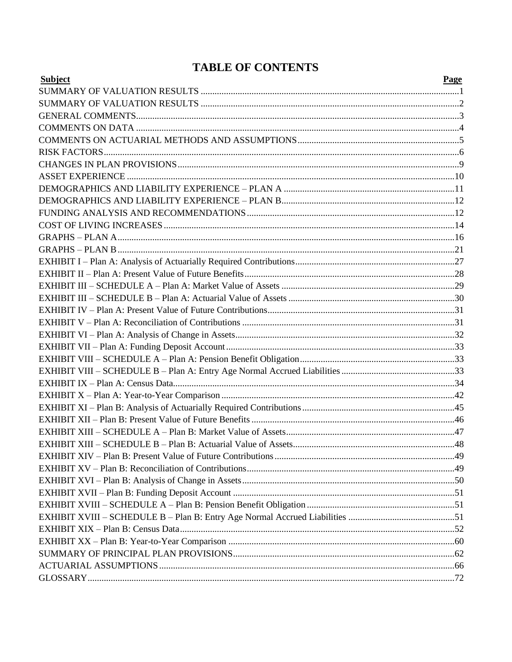# **TABLE OF CONTENTS**

| <b>Subject</b> | Page |
|----------------|------|
|                |      |
|                |      |
|                |      |
|                |      |
|                |      |
|                |      |
|                |      |
|                |      |
|                |      |
|                |      |
|                |      |
|                |      |
|                |      |
|                |      |
|                |      |
|                |      |
|                |      |
|                |      |
|                |      |
|                |      |
|                |      |
|                |      |
|                |      |
|                |      |
|                |      |
|                |      |
|                |      |
|                |      |
|                |      |
|                |      |
|                |      |
|                |      |
|                |      |
|                |      |
|                |      |
|                |      |
|                |      |
|                |      |
|                |      |
|                |      |
|                |      |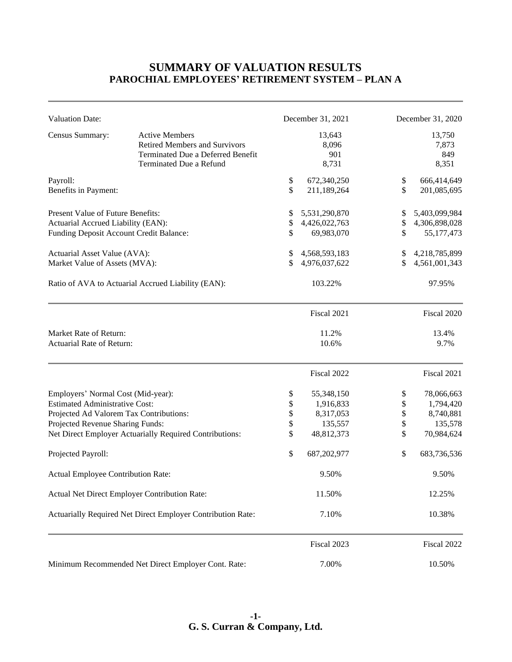### **SUMMARY OF VALUATION RESULTS PAROCHIAL EMPLOYEES' RETIREMENT SYSTEM – PLAN A**

| <b>Valuation Date:</b>                  |                                                             | December 31, 2021   | December 31, 2020   |
|-----------------------------------------|-------------------------------------------------------------|---------------------|---------------------|
| Census Summary:                         | <b>Active Members</b>                                       | 13,643              | 13,750              |
|                                         | <b>Retired Members and Survivors</b>                        | 8,096               | 7,873               |
|                                         | <b>Terminated Due a Deferred Benefit</b>                    | 901                 | 849                 |
|                                         | Terminated Due a Refund                                     | 8,731               | 8,351               |
| Payroll:                                |                                                             | \$<br>672,340,250   | \$<br>666,414,649   |
| Benefits in Payment:                    |                                                             | \$<br>211,189,264   | \$<br>201,085,695   |
| Present Value of Future Benefits:       |                                                             | \$<br>5,531,290,870 | \$<br>5,403,099,984 |
| Actuarial Accrued Liability (EAN):      |                                                             | \$<br>4,426,022,763 | \$<br>4,306,898,028 |
| Funding Deposit Account Credit Balance: |                                                             | \$<br>69,983,070    | \$<br>55, 177, 473  |
| Actuarial Asset Value (AVA):            |                                                             | \$<br>4,568,593,183 | \$<br>4,218,785,899 |
| Market Value of Assets (MVA):           |                                                             | \$<br>4,976,037,622 | \$<br>4,561,001,343 |
|                                         | Ratio of AVA to Actuarial Accrued Liability (EAN):          | 103.22%             | 97.95%              |
|                                         |                                                             | Fiscal 2021         | Fiscal 2020         |
| Market Rate of Return:                  |                                                             | 11.2%               | 13.4%               |
| Actuarial Rate of Return:               |                                                             | 10.6%               | 9.7%                |
|                                         |                                                             | Fiscal 2022         | Fiscal 2021         |
| Employers' Normal Cost (Mid-year):      |                                                             | \$<br>55,348,150    | \$<br>78,066,663    |
| <b>Estimated Administrative Cost:</b>   |                                                             | \$<br>1,916,833     | \$<br>1,794,420     |
| Projected Ad Valorem Tax Contributions: |                                                             | \$<br>8,317,053     | \$<br>8,740,881     |
| Projected Revenue Sharing Funds:        |                                                             | \$<br>135,557       | \$<br>135,578       |
|                                         | Net Direct Employer Actuarially Required Contributions:     | \$<br>48,812,373    | \$<br>70,984,624    |
| Projected Payroll:                      |                                                             | \$<br>687,202,977   | \$<br>683,736,536   |
| Actual Employee Contribution Rate:      |                                                             | 9.50%               | 9.50%               |
|                                         | Actual Net Direct Employer Contribution Rate:               | 11.50%              | 12.25%              |
|                                         | Actuarially Required Net Direct Employer Contribution Rate: | 7.10%               | 10.38%              |
|                                         |                                                             | Fiscal 2023         | Fiscal 2022         |
|                                         | Minimum Recommended Net Direct Employer Cont. Rate:         | 7.00%               | 10.50%              |

**G. S. Curran & Company, Ltd. -1-**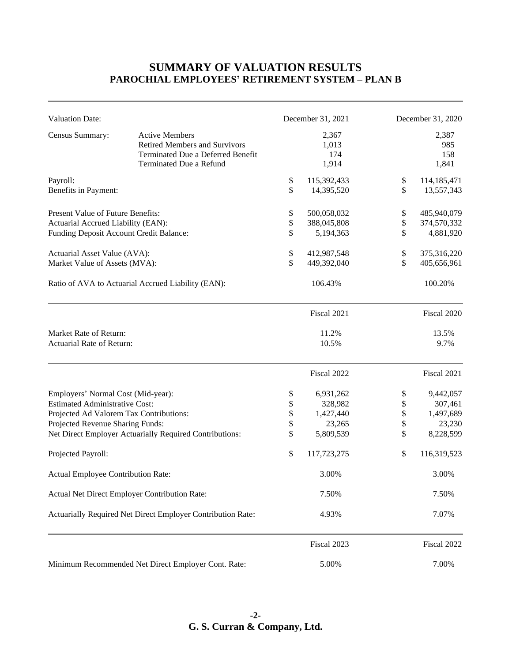### **SUMMARY OF VALUATION RESULTS PAROCHIAL EMPLOYEES' RETIREMENT SYSTEM – PLAN B**

| <b>Valuation Date:</b>                  |                                                             | December 31, 2021 | December 31, 2020 |
|-----------------------------------------|-------------------------------------------------------------|-------------------|-------------------|
| Census Summary:                         | <b>Active Members</b>                                       | 2,367             | 2,387             |
|                                         | <b>Retired Members and Survivors</b>                        | 1,013             | 985               |
|                                         | <b>Terminated Due a Deferred Benefit</b>                    | 174               | 158               |
|                                         | Terminated Due a Refund                                     | 1,914             | 1,841             |
| Payroll:                                |                                                             | \$<br>115,392,433 | \$<br>114,185,471 |
| Benefits in Payment:                    |                                                             | \$<br>14,395,520  | \$<br>13,557,343  |
| Present Value of Future Benefits:       |                                                             | \$<br>500,058,032 | \$<br>485,940,079 |
| Actuarial Accrued Liability (EAN):      |                                                             | \$<br>388,045,808 | \$<br>374,570,332 |
| Funding Deposit Account Credit Balance: |                                                             | \$<br>5,194,363   | \$<br>4,881,920   |
| Actuarial Asset Value (AVA):            |                                                             | \$<br>412,987,548 | \$<br>375,316,220 |
| Market Value of Assets (MVA):           |                                                             | \$<br>449,392,040 | \$<br>405,656,961 |
|                                         | Ratio of AVA to Actuarial Accrued Liability (EAN):          | 106.43%           | 100.20%           |
|                                         |                                                             | Fiscal 2021       | Fiscal 2020       |
| Market Rate of Return:                  |                                                             | 11.2%             | 13.5%             |
| Actuarial Rate of Return:               |                                                             | 10.5%             | 9.7%              |
|                                         |                                                             | Fiscal 2022       | Fiscal 2021       |
| Employers' Normal Cost (Mid-year):      |                                                             | \$<br>6,931,262   | \$<br>9,442,057   |
| <b>Estimated Administrative Cost:</b>   |                                                             | \$<br>328,982     | \$<br>307,461     |
| Projected Ad Valorem Tax Contributions: |                                                             | \$<br>1,427,440   | \$<br>1,497,689   |
| Projected Revenue Sharing Funds:        |                                                             | \$<br>23,265      | \$<br>23,230      |
|                                         | Net Direct Employer Actuarially Required Contributions:     | \$<br>5,809,539   | \$<br>8,228,599   |
| Projected Payroll:                      |                                                             | \$<br>117,723,275 | \$<br>116,319,523 |
| Actual Employee Contribution Rate:      |                                                             | 3.00%             | 3.00%             |
|                                         | Actual Net Direct Employer Contribution Rate:               | 7.50%             | 7.50%             |
|                                         | Actuarially Required Net Direct Employer Contribution Rate: | 4.93%             | 7.07%             |
|                                         |                                                             | Fiscal 2023       | Fiscal 2022       |
|                                         | Minimum Recommended Net Direct Employer Cont. Rate:         | 5.00%             | 7.00%             |

**-2- G. S. Curran & Company, Ltd.**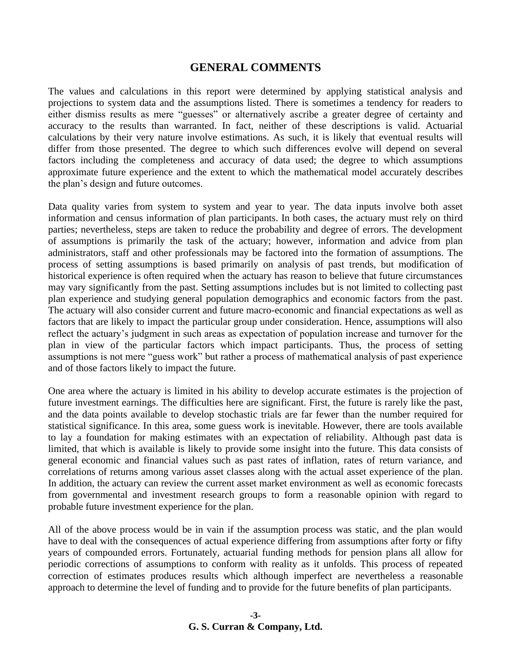### **GENERAL COMMENTS**

The values and calculations in this report were determined by applying statistical analysis and projections to system data and the assumptions listed. There is sometimes a tendency for readers to either dismiss results as mere "guesses" or alternatively ascribe a greater degree of certainty and accuracy to the results than warranted. In fact, neither of these descriptions is valid. Actuarial calculations by their very nature involve estimations. As such, it is likely that eventual results will differ from those presented. The degree to which such differences evolve will depend on several factors including the completeness and accuracy of data used; the degree to which assumptions approximate future experience and the extent to which the mathematical model accurately describes the plan's design and future outcomes.

Data quality varies from system to system and year to year. The data inputs involve both asset information and census information of plan participants. In both cases, the actuary must rely on third parties; nevertheless, steps are taken to reduce the probability and degree of errors. The development of assumptions is primarily the task of the actuary; however, information and advice from plan administrators, staff and other professionals may be factored into the formation of assumptions. The process of setting assumptions is based primarily on analysis of past trends, but modification of historical experience is often required when the actuary has reason to believe that future circumstances may vary significantly from the past. Setting assumptions includes but is not limited to collecting past plan experience and studying general population demographics and economic factors from the past. The actuary will also consider current and future macro-economic and financial expectations as well as factors that are likely to impact the particular group under consideration. Hence, assumptions will also reflect the actuary's judgment in such areas as expectation of population increase and turnover for the plan in view of the particular factors which impact participants. Thus, the process of setting assumptions is not mere "guess work" but rather a process of mathematical analysis of past experience and of those factors likely to impact the future.

One area where the actuary is limited in his ability to develop accurate estimates is the projection of future investment earnings. The difficulties here are significant. First, the future is rarely like the past, and the data points available to develop stochastic trials are far fewer than the number required for statistical significance. In this area, some guess work is inevitable. However, there are tools available to lay a foundation for making estimates with an expectation of reliability. Although past data is limited, that which is available is likely to provide some insight into the future. This data consists of general economic and financial values such as past rates of inflation, rates of return variance, and correlations of returns among various asset classes along with the actual asset experience of the plan. In addition, the actuary can review the current asset market environment as well as economic forecasts from governmental and investment research groups to form a reasonable opinion with regard to probable future investment experience for the plan.

All of the above process would be in vain if the assumption process was static, and the plan would have to deal with the consequences of actual experience differing from assumptions after forty or fifty years of compounded errors. Fortunately, actuarial funding methods for pension plans all allow for periodic corrections of assumptions to conform with reality as it unfolds. This process of repeated correction of estimates produces results which although imperfect are nevertheless a reasonable approach to determine the level of funding and to provide for the future benefits of plan participants.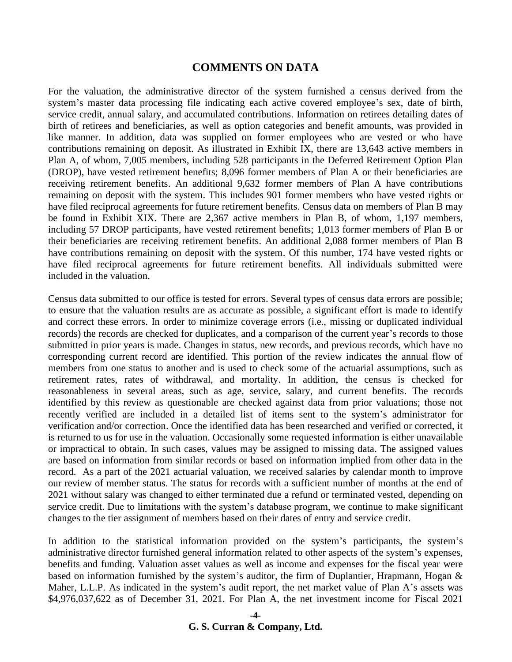#### **COMMENTS ON DATA**

For the valuation, the administrative director of the system furnished a census derived from the system's master data processing file indicating each active covered employee's sex, date of birth, service credit, annual salary, and accumulated contributions. Information on retirees detailing dates of birth of retirees and beneficiaries, as well as option categories and benefit amounts, was provided in like manner. In addition, data was supplied on former employees who are vested or who have contributions remaining on deposit. As illustrated in Exhibit IX, there are 13,643 active members in Plan A, of whom, 7,005 members, including 528 participants in the Deferred Retirement Option Plan (DROP), have vested retirement benefits; 8,096 former members of Plan A or their beneficiaries are receiving retirement benefits. An additional 9,632 former members of Plan A have contributions remaining on deposit with the system. This includes 901 former members who have vested rights or have filed reciprocal agreements for future retirement benefits. Census data on members of Plan B may be found in Exhibit XIX. There are 2,367 active members in Plan B, of whom, 1,197 members, including 57 DROP participants, have vested retirement benefits; 1,013 former members of Plan B or their beneficiaries are receiving retirement benefits. An additional 2,088 former members of Plan B have contributions remaining on deposit with the system. Of this number, 174 have vested rights or have filed reciprocal agreements for future retirement benefits. All individuals submitted were included in the valuation.

Census data submitted to our office is tested for errors. Several types of census data errors are possible; to ensure that the valuation results are as accurate as possible, a significant effort is made to identify and correct these errors. In order to minimize coverage errors (i.e., missing or duplicated individual records) the records are checked for duplicates, and a comparison of the current year's records to those submitted in prior years is made. Changes in status, new records, and previous records, which have no corresponding current record are identified. This portion of the review indicates the annual flow of members from one status to another and is used to check some of the actuarial assumptions, such as retirement rates, rates of withdrawal, and mortality. In addition, the census is checked for reasonableness in several areas, such as age, service, salary, and current benefits. The records identified by this review as questionable are checked against data from prior valuations; those not recently verified are included in a detailed list of items sent to the system's administrator for verification and/or correction. Once the identified data has been researched and verified or corrected, it is returned to us for use in the valuation. Occasionally some requested information is either unavailable or impractical to obtain. In such cases, values may be assigned to missing data. The assigned values are based on information from similar records or based on information implied from other data in the record. As a part of the 2021 actuarial valuation, we received salaries by calendar month to improve our review of member status. The status for records with a sufficient number of months at the end of 2021 without salary was changed to either terminated due a refund or terminated vested, depending on service credit. Due to limitations with the system's database program, we continue to make significant changes to the tier assignment of members based on their dates of entry and service credit.

In addition to the statistical information provided on the system's participants, the system's administrative director furnished general information related to other aspects of the system's expenses, benefits and funding. Valuation asset values as well as income and expenses for the fiscal year were based on information furnished by the system's auditor, the firm of Duplantier, Hrapmann, Hogan & Maher, L.L.P. As indicated in the system's audit report, the net market value of Plan A's assets was \$4,976,037,622 as of December 31, 2021. For Plan A, the net investment income for Fiscal 2021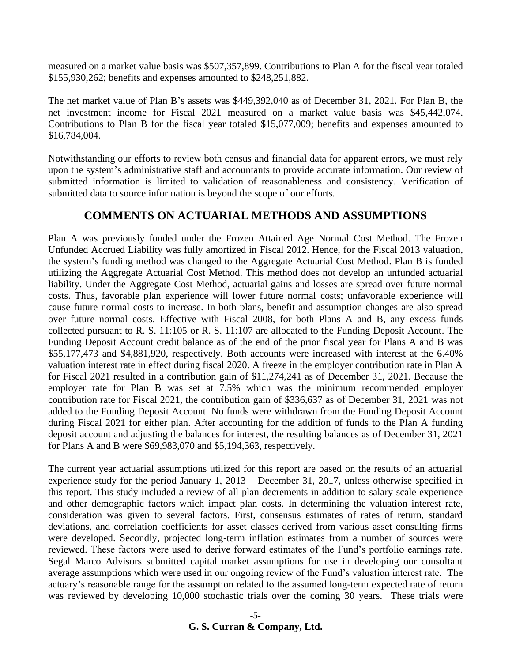measured on a market value basis was \$507,357,899. Contributions to Plan A for the fiscal year totaled \$155,930,262; benefits and expenses amounted to \$248,251,882.

The net market value of Plan B's assets was \$449,392,040 as of December 31, 2021. For Plan B, the net investment income for Fiscal 2021 measured on a market value basis was \$45,442,074. Contributions to Plan B for the fiscal year totaled \$15,077,009; benefits and expenses amounted to \$16,784,004.

Notwithstanding our efforts to review both census and financial data for apparent errors, we must rely upon the system's administrative staff and accountants to provide accurate information. Our review of submitted information is limited to validation of reasonableness and consistency. Verification of submitted data to source information is beyond the scope of our efforts.

### **COMMENTS ON ACTUARIAL METHODS AND ASSUMPTIONS**

Plan A was previously funded under the Frozen Attained Age Normal Cost Method. The Frozen Unfunded Accrued Liability was fully amortized in Fiscal 2012. Hence, for the Fiscal 2013 valuation, the system's funding method was changed to the Aggregate Actuarial Cost Method. Plan B is funded utilizing the Aggregate Actuarial Cost Method. This method does not develop an unfunded actuarial liability. Under the Aggregate Cost Method, actuarial gains and losses are spread over future normal costs. Thus, favorable plan experience will lower future normal costs; unfavorable experience will cause future normal costs to increase. In both plans, benefit and assumption changes are also spread over future normal costs. Effective with Fiscal 2008, for both Plans A and B, any excess funds collected pursuant to R. S. 11:105 or R. S. 11:107 are allocated to the Funding Deposit Account. The Funding Deposit Account credit balance as of the end of the prior fiscal year for Plans A and B was \$55,177,473 and \$4,881,920, respectively. Both accounts were increased with interest at the 6.40% valuation interest rate in effect during fiscal 2020. A freeze in the employer contribution rate in Plan A for Fiscal 2021 resulted in a contribution gain of \$11,274,241 as of December 31, 2021. Because the employer rate for Plan B was set at 7.5% which was the minimum recommended employer contribution rate for Fiscal 2021, the contribution gain of \$336,637 as of December 31, 2021 was not added to the Funding Deposit Account. No funds were withdrawn from the Funding Deposit Account during Fiscal 2021 for either plan. After accounting for the addition of funds to the Plan A funding deposit account and adjusting the balances for interest, the resulting balances as of December 31, 2021 for Plans A and B were \$69,983,070 and \$5,194,363, respectively.

The current year actuarial assumptions utilized for this report are based on the results of an actuarial experience study for the period January 1, 2013 – December 31, 2017, unless otherwise specified in this report. This study included a review of all plan decrements in addition to salary scale experience and other demographic factors which impact plan costs. In determining the valuation interest rate, consideration was given to several factors. First, consensus estimates of rates of return, standard deviations, and correlation coefficients for asset classes derived from various asset consulting firms were developed. Secondly, projected long-term inflation estimates from a number of sources were reviewed. These factors were used to derive forward estimates of the Fund's portfolio earnings rate. Segal Marco Advisors submitted capital market assumptions for use in developing our consultant average assumptions which were used in our ongoing review of the Fund's valuation interest rate. The actuary's reasonable range for the assumption related to the assumed long-term expected rate of return was reviewed by developing 10,000 stochastic trials over the coming 30 years. These trials were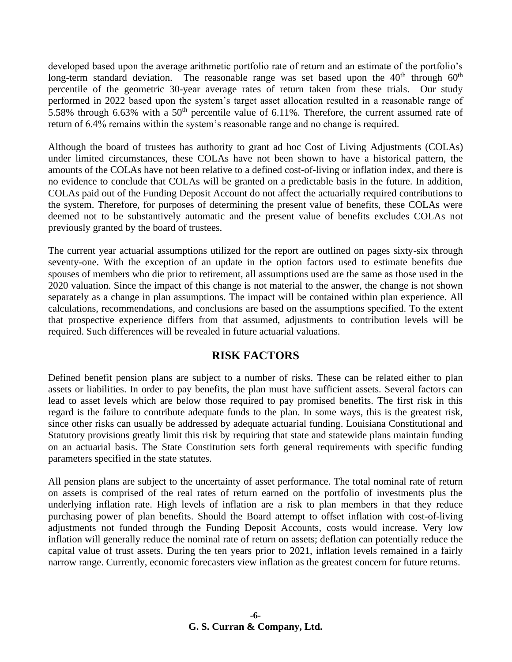developed based upon the average arithmetic portfolio rate of return and an estimate of the portfolio's long-term standard deviation. The reasonable range was set based upon the  $40<sup>th</sup>$  through  $60<sup>th</sup>$ percentile of the geometric 30-year average rates of return taken from these trials. Our study performed in 2022 based upon the system's target asset allocation resulted in a reasonable range of 5.58% through 6.63% with a 50<sup>th</sup> percentile value of 6.11%. Therefore, the current assumed rate of return of 6.4% remains within the system's reasonable range and no change is required.

Although the board of trustees has authority to grant ad hoc Cost of Living Adjustments (COLAs) under limited circumstances, these COLAs have not been shown to have a historical pattern, the amounts of the COLAs have not been relative to a defined cost-of-living or inflation index, and there is no evidence to conclude that COLAs will be granted on a predictable basis in the future. In addition, COLAs paid out of the Funding Deposit Account do not affect the actuarially required contributions to the system. Therefore, for purposes of determining the present value of benefits, these COLAs were deemed not to be substantively automatic and the present value of benefits excludes COLAs not previously granted by the board of trustees.

The current year actuarial assumptions utilized for the report are outlined on pages sixty-six through seventy-one. With the exception of an update in the option factors used to estimate benefits due spouses of members who die prior to retirement, all assumptions used are the same as those used in the 2020 valuation. Since the impact of this change is not material to the answer, the change is not shown separately as a change in plan assumptions. The impact will be contained within plan experience. All calculations, recommendations, and conclusions are based on the assumptions specified. To the extent that prospective experience differs from that assumed, adjustments to contribution levels will be required. Such differences will be revealed in future actuarial valuations.

### **RISK FACTORS**

Defined benefit pension plans are subject to a number of risks. These can be related either to plan assets or liabilities. In order to pay benefits, the plan must have sufficient assets. Several factors can lead to asset levels which are below those required to pay promised benefits. The first risk in this regard is the failure to contribute adequate funds to the plan. In some ways, this is the greatest risk, since other risks can usually be addressed by adequate actuarial funding. Louisiana Constitutional and Statutory provisions greatly limit this risk by requiring that state and statewide plans maintain funding on an actuarial basis. The State Constitution sets forth general requirements with specific funding parameters specified in the state statutes.

All pension plans are subject to the uncertainty of asset performance. The total nominal rate of return on assets is comprised of the real rates of return earned on the portfolio of investments plus the underlying inflation rate. High levels of inflation are a risk to plan members in that they reduce purchasing power of plan benefits. Should the Board attempt to offset inflation with cost-of-living adjustments not funded through the Funding Deposit Accounts, costs would increase. Very low inflation will generally reduce the nominal rate of return on assets; deflation can potentially reduce the capital value of trust assets. During the ten years prior to 2021, inflation levels remained in a fairly narrow range. Currently, economic forecasters view inflation as the greatest concern for future returns.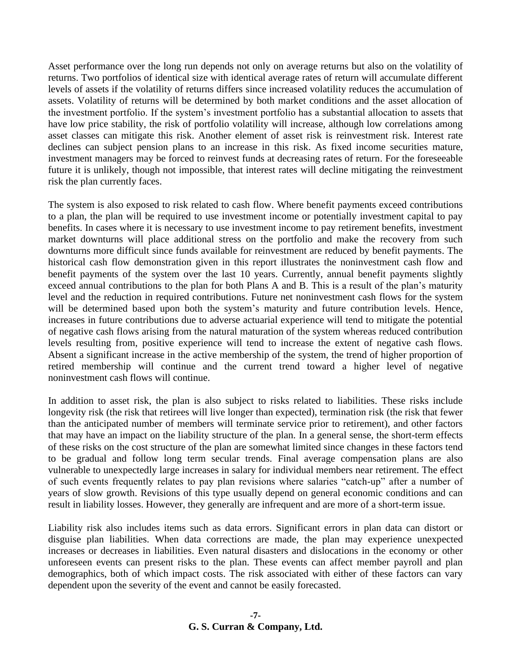Asset performance over the long run depends not only on average returns but also on the volatility of returns. Two portfolios of identical size with identical average rates of return will accumulate different levels of assets if the volatility of returns differs since increased volatility reduces the accumulation of assets. Volatility of returns will be determined by both market conditions and the asset allocation of the investment portfolio. If the system's investment portfolio has a substantial allocation to assets that have low price stability, the risk of portfolio volatility will increase, although low correlations among asset classes can mitigate this risk. Another element of asset risk is reinvestment risk. Interest rate declines can subject pension plans to an increase in this risk. As fixed income securities mature, investment managers may be forced to reinvest funds at decreasing rates of return. For the foreseeable future it is unlikely, though not impossible, that interest rates will decline mitigating the reinvestment risk the plan currently faces.

The system is also exposed to risk related to cash flow. Where benefit payments exceed contributions to a plan, the plan will be required to use investment income or potentially investment capital to pay benefits. In cases where it is necessary to use investment income to pay retirement benefits, investment market downturns will place additional stress on the portfolio and make the recovery from such downturns more difficult since funds available for reinvestment are reduced by benefit payments. The historical cash flow demonstration given in this report illustrates the noninvestment cash flow and benefit payments of the system over the last 10 years. Currently, annual benefit payments slightly exceed annual contributions to the plan for both Plans A and B. This is a result of the plan's maturity level and the reduction in required contributions. Future net noninvestment cash flows for the system will be determined based upon both the system's maturity and future contribution levels. Hence, increases in future contributions due to adverse actuarial experience will tend to mitigate the potential of negative cash flows arising from the natural maturation of the system whereas reduced contribution levels resulting from, positive experience will tend to increase the extent of negative cash flows. Absent a significant increase in the active membership of the system, the trend of higher proportion of retired membership will continue and the current trend toward a higher level of negative noninvestment cash flows will continue.

In addition to asset risk, the plan is also subject to risks related to liabilities. These risks include longevity risk (the risk that retirees will live longer than expected), termination risk (the risk that fewer than the anticipated number of members will terminate service prior to retirement), and other factors that may have an impact on the liability structure of the plan. In a general sense, the short-term effects of these risks on the cost structure of the plan are somewhat limited since changes in these factors tend to be gradual and follow long term secular trends. Final average compensation plans are also vulnerable to unexpectedly large increases in salary for individual members near retirement. The effect of such events frequently relates to pay plan revisions where salaries "catch-up" after a number of years of slow growth. Revisions of this type usually depend on general economic conditions and can result in liability losses. However, they generally are infrequent and are more of a short-term issue.

Liability risk also includes items such as data errors. Significant errors in plan data can distort or disguise plan liabilities. When data corrections are made, the plan may experience unexpected increases or decreases in liabilities. Even natural disasters and dislocations in the economy or other unforeseen events can present risks to the plan. These events can affect member payroll and plan demographics, both of which impact costs. The risk associated with either of these factors can vary dependent upon the severity of the event and cannot be easily forecasted.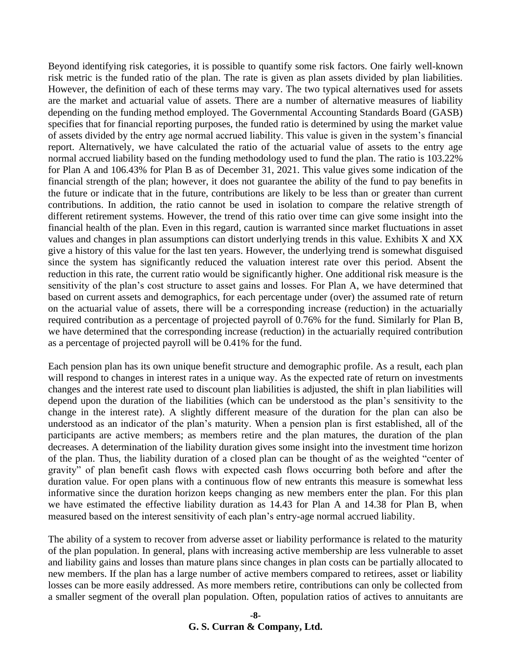Beyond identifying risk categories, it is possible to quantify some risk factors. One fairly well-known risk metric is the funded ratio of the plan. The rate is given as plan assets divided by plan liabilities. However, the definition of each of these terms may vary. The two typical alternatives used for assets are the market and actuarial value of assets. There are a number of alternative measures of liability depending on the funding method employed. The Governmental Accounting Standards Board (GASB) specifies that for financial reporting purposes, the funded ratio is determined by using the market value of assets divided by the entry age normal accrued liability. This value is given in the system's financial report. Alternatively, we have calculated the ratio of the actuarial value of assets to the entry age normal accrued liability based on the funding methodology used to fund the plan. The ratio is 103.22% for Plan A and 106.43% for Plan B as of December 31, 2021. This value gives some indication of the financial strength of the plan; however, it does not guarantee the ability of the fund to pay benefits in the future or indicate that in the future, contributions are likely to be less than or greater than current contributions. In addition, the ratio cannot be used in isolation to compare the relative strength of different retirement systems. However, the trend of this ratio over time can give some insight into the financial health of the plan. Even in this regard, caution is warranted since market fluctuations in asset values and changes in plan assumptions can distort underlying trends in this value. Exhibits X and XX give a history of this value for the last ten years. However, the underlying trend is somewhat disguised since the system has significantly reduced the valuation interest rate over this period. Absent the reduction in this rate, the current ratio would be significantly higher. One additional risk measure is the sensitivity of the plan's cost structure to asset gains and losses. For Plan A, we have determined that based on current assets and demographics, for each percentage under (over) the assumed rate of return on the actuarial value of assets, there will be a corresponding increase (reduction) in the actuarially required contribution as a percentage of projected payroll of 0.76% for the fund. Similarly for Plan B, we have determined that the corresponding increase (reduction) in the actuarially required contribution as a percentage of projected payroll will be 0.41% for the fund.

Each pension plan has its own unique benefit structure and demographic profile. As a result, each plan will respond to changes in interest rates in a unique way. As the expected rate of return on investments changes and the interest rate used to discount plan liabilities is adjusted, the shift in plan liabilities will depend upon the duration of the liabilities (which can be understood as the plan's sensitivity to the change in the interest rate). A slightly different measure of the duration for the plan can also be understood as an indicator of the plan's maturity. When a pension plan is first established, all of the participants are active members; as members retire and the plan matures, the duration of the plan decreases. A determination of the liability duration gives some insight into the investment time horizon of the plan. Thus, the liability duration of a closed plan can be thought of as the weighted "center of gravity" of plan benefit cash flows with expected cash flows occurring both before and after the duration value. For open plans with a continuous flow of new entrants this measure is somewhat less informative since the duration horizon keeps changing as new members enter the plan. For this plan we have estimated the effective liability duration as 14.43 for Plan A and 14.38 for Plan B, when measured based on the interest sensitivity of each plan's entry-age normal accrued liability.

The ability of a system to recover from adverse asset or liability performance is related to the maturity of the plan population. In general, plans with increasing active membership are less vulnerable to asset and liability gains and losses than mature plans since changes in plan costs can be partially allocated to new members. If the plan has a large number of active members compared to retirees, asset or liability losses can be more easily addressed. As more members retire, contributions can only be collected from a smaller segment of the overall plan population. Often, population ratios of actives to annuitants are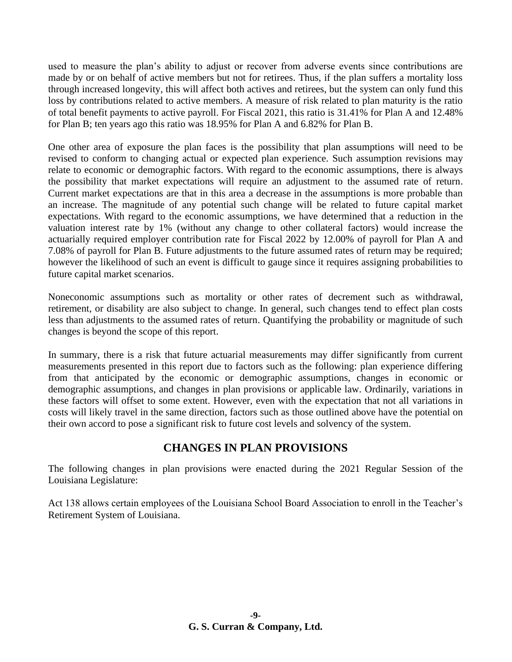used to measure the plan's ability to adjust or recover from adverse events since contributions are made by or on behalf of active members but not for retirees. Thus, if the plan suffers a mortality loss through increased longevity, this will affect both actives and retirees, but the system can only fund this loss by contributions related to active members. A measure of risk related to plan maturity is the ratio of total benefit payments to active payroll. For Fiscal 2021, this ratio is 31.41% for Plan A and 12.48% for Plan B; ten years ago this ratio was 18.95% for Plan A and 6.82% for Plan B.

One other area of exposure the plan faces is the possibility that plan assumptions will need to be revised to conform to changing actual or expected plan experience. Such assumption revisions may relate to economic or demographic factors. With regard to the economic assumptions, there is always the possibility that market expectations will require an adjustment to the assumed rate of return. Current market expectations are that in this area a decrease in the assumptions is more probable than an increase. The magnitude of any potential such change will be related to future capital market expectations. With regard to the economic assumptions, we have determined that a reduction in the valuation interest rate by 1% (without any change to other collateral factors) would increase the actuarially required employer contribution rate for Fiscal 2022 by 12.00% of payroll for Plan A and 7.08% of payroll for Plan B. Future adjustments to the future assumed rates of return may be required; however the likelihood of such an event is difficult to gauge since it requires assigning probabilities to future capital market scenarios.

Noneconomic assumptions such as mortality or other rates of decrement such as withdrawal, retirement, or disability are also subject to change. In general, such changes tend to effect plan costs less than adjustments to the assumed rates of return. Quantifying the probability or magnitude of such changes is beyond the scope of this report.

In summary, there is a risk that future actuarial measurements may differ significantly from current measurements presented in this report due to factors such as the following: plan experience differing from that anticipated by the economic or demographic assumptions, changes in economic or demographic assumptions, and changes in plan provisions or applicable law. Ordinarily, variations in these factors will offset to some extent. However, even with the expectation that not all variations in costs will likely travel in the same direction, factors such as those outlined above have the potential on their own accord to pose a significant risk to future cost levels and solvency of the system.

### **CHANGES IN PLAN PROVISIONS**

The following changes in plan provisions were enacted during the 2021 Regular Session of the Louisiana Legislature:

Act 138 allows certain employees of the Louisiana School Board Association to enroll in the Teacher's Retirement System of Louisiana.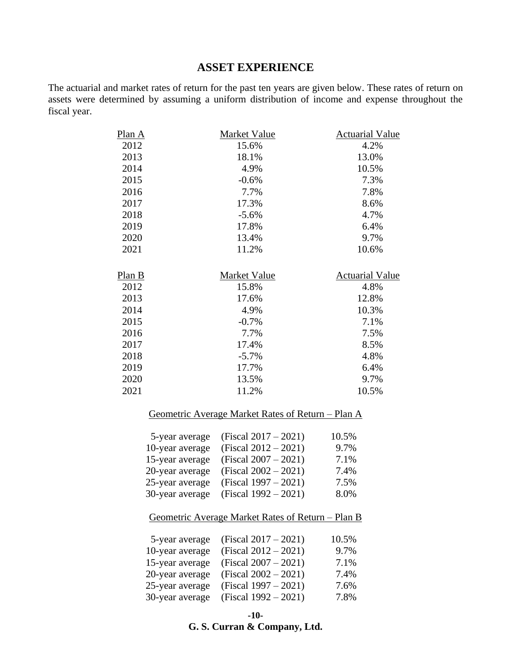### **ASSET EXPERIENCE**

The actuarial and market rates of return for the past ten years are given below. These rates of return on assets were determined by assuming a uniform distribution of income and expense throughout the fiscal year.

| Plan A | Market Value | <b>Actuarial Value</b> |
|--------|--------------|------------------------|
| 2012   | 15.6%        | 4.2%                   |
| 2013   | 18.1%        | 13.0%                  |
| 2014   | 4.9%         | 10.5%                  |
| 2015   | $-0.6%$      | 7.3%                   |
| 2016   | 7.7%         | 7.8%                   |
| 2017   | 17.3%        | 8.6%                   |
| 2018   | $-5.6%$      | 4.7%                   |
| 2019   | 17.8%        | 6.4%                   |
| 2020   | 13.4%        | 9.7%                   |
| 2021   | 11.2%        | 10.6%                  |
|        |              |                        |
|        |              | <b>Actuarial Value</b> |
| Plan B | Market Value |                        |
| 2012   | 15.8%        | 4.8%                   |
| 2013   | 17.6%        | 12.8%                  |
| 2014   | 4.9%         | 10.3%                  |
| 2015   | $-0.7%$      | 7.1%                   |
| 2016   | 7.7%         | 7.5%                   |
| 2017   | 17.4%        | 8.5%                   |
| 2018   | $-5.7%$      | 4.8%                   |
| 2019   | 17.7%        | 6.4%                   |
| 2020   | 13.5%        | 9.7%                   |
| 2021   | 11.2%        | 10.5%                  |

#### Geometric Average Market Rates of Return – Plan A

| 5-year average  | (Fiscal 2017 – 2021)    | 10.5% |
|-----------------|-------------------------|-------|
| 10-year average | (Fiscal 2012 - 2021)    | 9.7%  |
| 15-year average | (Fiscal $2007 - 2021$ ) | 7.1%  |
| 20-year average | (Fiscal $2002 - 2021$ ) | 7.4%  |
| 25-year average | $(Fiscal 1997 - 2021)$  | 7.5%  |
| 30-year average | $(Fiscal 1992 - 2021)$  | 8.0%  |

#### Geometric Average Market Rates of Return – Plan B

| 5-year average  | (Fiscal $2017 - 2021$ ) | 10.5% |
|-----------------|-------------------------|-------|
| 10-year average | $(Fiscal 2012 - 2021)$  | 9.7%  |
| 15-year average | $(Fiscal 2007 - 2021)$  | 7.1%  |
| 20-year average | (Fiscal $2002 - 2021$ ) | 7.4%  |
| 25-year average | (Fiscal $1997 - 2021$ ) | 7.6%  |
| 30-year average | $(Fiscal 1992 - 2021)$  | 7.8%  |

|                              | -10- |  |
|------------------------------|------|--|
| G. S. Curran & Company, Ltd. |      |  |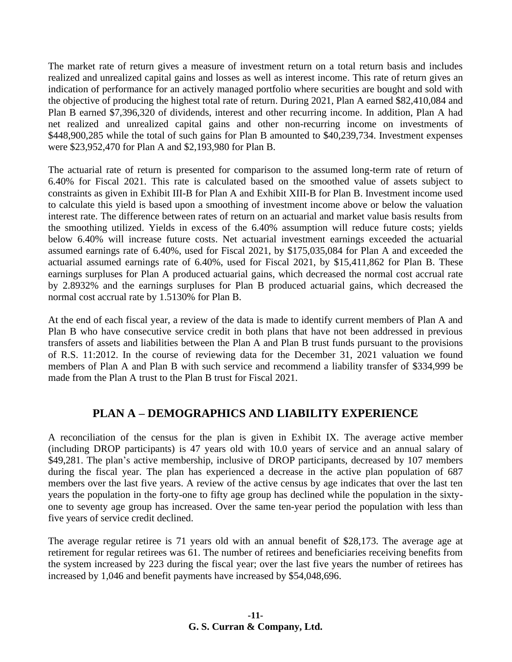The market rate of return gives a measure of investment return on a total return basis and includes realized and unrealized capital gains and losses as well as interest income. This rate of return gives an indication of performance for an actively managed portfolio where securities are bought and sold with the objective of producing the highest total rate of return. During 2021, Plan A earned \$82,410,084 and Plan B earned \$7,396,320 of dividends, interest and other recurring income. In addition, Plan A had net realized and unrealized capital gains and other non-recurring income on investments of \$448,900,285 while the total of such gains for Plan B amounted to \$40,239,734. Investment expenses were \$23,952,470 for Plan A and \$2,193,980 for Plan B.

The actuarial rate of return is presented for comparison to the assumed long-term rate of return of 6.40% for Fiscal 2021. This rate is calculated based on the smoothed value of assets subject to constraints as given in Exhibit III-B for Plan A and Exhibit XIII-B for Plan B. Investment income used to calculate this yield is based upon a smoothing of investment income above or below the valuation interest rate. The difference between rates of return on an actuarial and market value basis results from the smoothing utilized. Yields in excess of the 6.40% assumption will reduce future costs; yields below 6.40% will increase future costs. Net actuarial investment earnings exceeded the actuarial assumed earnings rate of 6.40%, used for Fiscal 2021, by \$175,035,084 for Plan A and exceeded the actuarial assumed earnings rate of 6.40%, used for Fiscal 2021, by \$15,411,862 for Plan B. These earnings surpluses for Plan A produced actuarial gains, which decreased the normal cost accrual rate by 2.8932% and the earnings surpluses for Plan B produced actuarial gains, which decreased the normal cost accrual rate by 1.5130% for Plan B.

At the end of each fiscal year, a review of the data is made to identify current members of Plan A and Plan B who have consecutive service credit in both plans that have not been addressed in previous transfers of assets and liabilities between the Plan A and Plan B trust funds pursuant to the provisions of R.S. 11:2012. In the course of reviewing data for the December 31, 2021 valuation we found members of Plan A and Plan B with such service and recommend a liability transfer of \$334,999 be made from the Plan A trust to the Plan B trust for Fiscal 2021.

### **PLAN A – DEMOGRAPHICS AND LIABILITY EXPERIENCE**

A reconciliation of the census for the plan is given in Exhibit IX. The average active member (including DROP participants) is 47 years old with 10.0 years of service and an annual salary of \$49,281. The plan's active membership, inclusive of DROP participants, decreased by 107 members during the fiscal year. The plan has experienced a decrease in the active plan population of 687 members over the last five years. A review of the active census by age indicates that over the last ten years the population in the forty-one to fifty age group has declined while the population in the sixtyone to seventy age group has increased. Over the same ten-year period the population with less than five years of service credit declined.

The average regular retiree is 71 years old with an annual benefit of \$28,173. The average age at retirement for regular retirees was 61. The number of retirees and beneficiaries receiving benefits from the system increased by 223 during the fiscal year; over the last five years the number of retirees has increased by 1,046 and benefit payments have increased by \$54,048,696.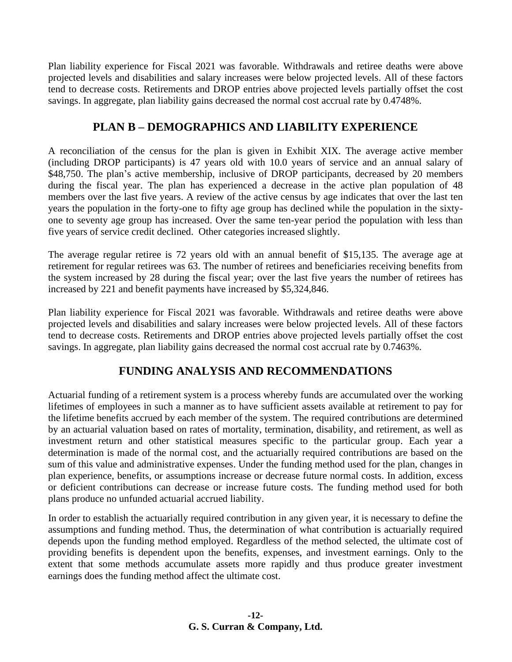Plan liability experience for Fiscal 2021 was favorable. Withdrawals and retiree deaths were above projected levels and disabilities and salary increases were below projected levels. All of these factors tend to decrease costs. Retirements and DROP entries above projected levels partially offset the cost savings. In aggregate, plan liability gains decreased the normal cost accrual rate by 0.4748%.

### **PLAN B – DEMOGRAPHICS AND LIABILITY EXPERIENCE**

A reconciliation of the census for the plan is given in Exhibit XIX. The average active member (including DROP participants) is 47 years old with 10.0 years of service and an annual salary of \$48,750. The plan's active membership, inclusive of DROP participants, decreased by 20 members during the fiscal year. The plan has experienced a decrease in the active plan population of 48 members over the last five years. A review of the active census by age indicates that over the last ten years the population in the forty-one to fifty age group has declined while the population in the sixtyone to seventy age group has increased. Over the same ten-year period the population with less than five years of service credit declined. Other categories increased slightly.

The average regular retiree is 72 years old with an annual benefit of \$15,135. The average age at retirement for regular retirees was 63. The number of retirees and beneficiaries receiving benefits from the system increased by 28 during the fiscal year; over the last five years the number of retirees has increased by 221 and benefit payments have increased by \$5,324,846.

Plan liability experience for Fiscal 2021 was favorable. Withdrawals and retiree deaths were above projected levels and disabilities and salary increases were below projected levels. All of these factors tend to decrease costs. Retirements and DROP entries above projected levels partially offset the cost savings. In aggregate, plan liability gains decreased the normal cost accrual rate by 0.7463%.

### **FUNDING ANALYSIS AND RECOMMENDATIONS**

Actuarial funding of a retirement system is a process whereby funds are accumulated over the working lifetimes of employees in such a manner as to have sufficient assets available at retirement to pay for the lifetime benefits accrued by each member of the system. The required contributions are determined by an actuarial valuation based on rates of mortality, termination, disability, and retirement, as well as investment return and other statistical measures specific to the particular group. Each year a determination is made of the normal cost, and the actuarially required contributions are based on the sum of this value and administrative expenses. Under the funding method used for the plan, changes in plan experience, benefits, or assumptions increase or decrease future normal costs. In addition, excess or deficient contributions can decrease or increase future costs. The funding method used for both plans produce no unfunded actuarial accrued liability.

In order to establish the actuarially required contribution in any given year, it is necessary to define the assumptions and funding method. Thus, the determination of what contribution is actuarially required depends upon the funding method employed. Regardless of the method selected, the ultimate cost of providing benefits is dependent upon the benefits, expenses, and investment earnings. Only to the extent that some methods accumulate assets more rapidly and thus produce greater investment earnings does the funding method affect the ultimate cost.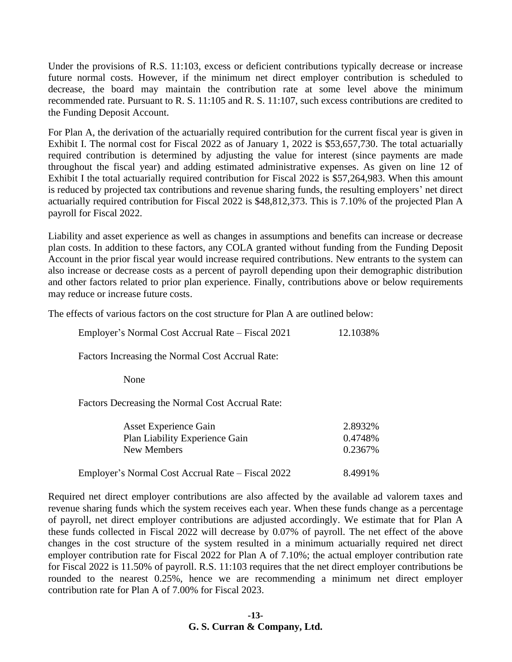Under the provisions of R.S. 11:103, excess or deficient contributions typically decrease or increase future normal costs. However, if the minimum net direct employer contribution is scheduled to decrease, the board may maintain the contribution rate at some level above the minimum recommended rate. Pursuant to R. S. 11:105 and R. S. 11:107, such excess contributions are credited to the Funding Deposit Account.

For Plan A, the derivation of the actuarially required contribution for the current fiscal year is given in Exhibit I. The normal cost for Fiscal 2022 as of January 1, 2022 is \$53,657,730. The total actuarially required contribution is determined by adjusting the value for interest (since payments are made throughout the fiscal year) and adding estimated administrative expenses. As given on line 12 of Exhibit I the total actuarially required contribution for Fiscal 2022 is \$57,264,983. When this amount is reduced by projected tax contributions and revenue sharing funds, the resulting employers' net direct actuarially required contribution for Fiscal 2022 is \$48,812,373. This is 7.10% of the projected Plan A payroll for Fiscal 2022.

Liability and asset experience as well as changes in assumptions and benefits can increase or decrease plan costs. In addition to these factors, any COLA granted without funding from the Funding Deposit Account in the prior fiscal year would increase required contributions. New entrants to the system can also increase or decrease costs as a percent of payroll depending upon their demographic distribution and other factors related to prior plan experience. Finally, contributions above or below requirements may reduce or increase future costs.

The effects of various factors on the cost structure for Plan A are outlined below:

| Employer's Normal Cost Accrual Rate – Fiscal 2021 |  | 12.1038% |
|---------------------------------------------------|--|----------|
|                                                   |  |          |

Factors Increasing the Normal Cost Accrual Rate:

None

Factors Decreasing the Normal Cost Accrual Rate:

| <b>Asset Experience Gain</b>                      | 2.8932\% |
|---------------------------------------------------|----------|
| Plan Liability Experience Gain                    | 0.4748%  |
| New Members                                       | 0.2367\% |
|                                                   |          |
| Employer's Normal Cost Accrual Rate – Fiscal 2022 | 8.4991\% |

Required net direct employer contributions are also affected by the available ad valorem taxes and revenue sharing funds which the system receives each year. When these funds change as a percentage of payroll, net direct employer contributions are adjusted accordingly. We estimate that for Plan A these funds collected in Fiscal 2022 will decrease by 0.07% of payroll. The net effect of the above changes in the cost structure of the system resulted in a minimum actuarially required net direct employer contribution rate for Fiscal 2022 for Plan A of 7.10%; the actual employer contribution rate for Fiscal 2022 is 11.50% of payroll. R.S. 11:103 requires that the net direct employer contributions be rounded to the nearest 0.25%, hence we are recommending a minimum net direct employer contribution rate for Plan A of 7.00% for Fiscal 2023.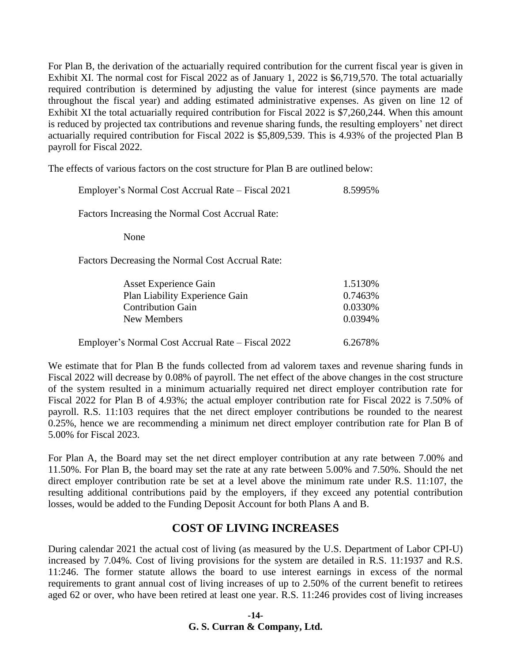For Plan B, the derivation of the actuarially required contribution for the current fiscal year is given in Exhibit XI. The normal cost for Fiscal 2022 as of January 1, 2022 is \$6,719,570. The total actuarially required contribution is determined by adjusting the value for interest (since payments are made throughout the fiscal year) and adding estimated administrative expenses. As given on line 12 of Exhibit XI the total actuarially required contribution for Fiscal 2022 is \$7,260,244. When this amount is reduced by projected tax contributions and revenue sharing funds, the resulting employers' net direct actuarially required contribution for Fiscal 2022 is \$5,809,539. This is 4.93% of the projected Plan B payroll for Fiscal 2022.

The effects of various factors on the cost structure for Plan B are outlined below:

| Employer's Normal Cost Accrual Rate – Fiscal 2021 |  | 8.5995% |
|---------------------------------------------------|--|---------|
|                                                   |  |         |

Factors Increasing the Normal Cost Accrual Rate:

None

Factors Decreasing the Normal Cost Accrual Rate:

| Asset Experience Gain                             | 1.5130\%   |
|---------------------------------------------------|------------|
| Plan Liability Experience Gain                    | 0.7463%    |
| <b>Contribution Gain</b>                          | 0.0330\%   |
| New Members                                       | $0.0394\%$ |
| Employer's Normal Cost Accrual Rate – Fiscal 2022 | 6.2678%    |

We estimate that for Plan B the funds collected from ad valorem taxes and revenue sharing funds in Fiscal 2022 will decrease by 0.08% of payroll. The net effect of the above changes in the cost structure of the system resulted in a minimum actuarially required net direct employer contribution rate for Fiscal 2022 for Plan B of 4.93%; the actual employer contribution rate for Fiscal 2022 is 7.50% of payroll. R.S. 11:103 requires that the net direct employer contributions be rounded to the nearest 0.25%, hence we are recommending a minimum net direct employer contribution rate for Plan B of 5.00% for Fiscal 2023.

For Plan A, the Board may set the net direct employer contribution at any rate between 7.00% and 11.50%. For Plan B, the board may set the rate at any rate between 5.00% and 7.50%. Should the net direct employer contribution rate be set at a level above the minimum rate under R.S. 11:107, the resulting additional contributions paid by the employers, if they exceed any potential contribution losses, would be added to the Funding Deposit Account for both Plans A and B.

### **COST OF LIVING INCREASES**

During calendar 2021 the actual cost of living (as measured by the U.S. Department of Labor CPI-U) increased by 7.04%. Cost of living provisions for the system are detailed in R.S. 11:1937 and R.S. 11:246. The former statute allows the board to use interest earnings in excess of the normal requirements to grant annual cost of living increases of up to 2.50% of the current benefit to retirees aged 62 or over, who have been retired at least one year. R.S. 11:246 provides cost of living increases

#### **-14- G. S. Curran & Company, Ltd.**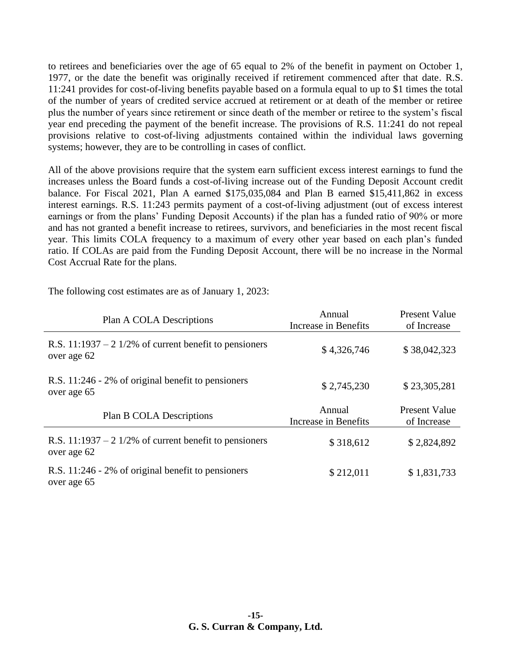to retirees and beneficiaries over the age of 65 equal to 2% of the benefit in payment on October 1, 1977, or the date the benefit was originally received if retirement commenced after that date. R.S. 11:241 provides for cost-of-living benefits payable based on a formula equal to up to \$1 times the total of the number of years of credited service accrued at retirement or at death of the member or retiree plus the number of years since retirement or since death of the member or retiree to the system's fiscal year end preceding the payment of the benefit increase. The provisions of R.S. 11:241 do not repeal provisions relative to cost-of-living adjustments contained within the individual laws governing systems; however, they are to be controlling in cases of conflict.

All of the above provisions require that the system earn sufficient excess interest earnings to fund the increases unless the Board funds a cost-of-living increase out of the Funding Deposit Account credit balance. For Fiscal 2021, Plan A earned \$175,035,084 and Plan B earned \$15,411,862 in excess interest earnings. R.S. 11:243 permits payment of a cost-of-living adjustment (out of excess interest earnings or from the plans' Funding Deposit Accounts) if the plan has a funded ratio of 90% or more and has not granted a benefit increase to retirees, survivors, and beneficiaries in the most recent fiscal year. This limits COLA frequency to a maximum of every other year based on each plan's funded ratio. If COLAs are paid from the Funding Deposit Account, there will be no increase in the Normal Cost Accrual Rate for the plans.

The following cost estimates are as of January 1, 2023:

| Plan A COLA Descriptions                                                | Annual<br><b>Increase in Benefits</b> | <b>Present Value</b><br>of Increase |
|-------------------------------------------------------------------------|---------------------------------------|-------------------------------------|
| R.S. $11:1937 - 21/2\%$ of current benefit to pensioners<br>over age 62 | \$4,326,746                           | \$38,042,323                        |
| R.S. 11:246 - 2% of original benefit to pensioners<br>over age 65       | \$2,745,230                           | \$23,305,281                        |
| <b>Plan B COLA Descriptions</b>                                         | Annual<br>Increase in Benefits        | <b>Present Value</b><br>of Increase |
| R.S. $11:1937 - 21/2\%$ of current benefit to pensioners<br>over age 62 | \$318,612                             | \$2,824,892                         |
| R.S. 11:246 - 2% of original benefit to pensioners<br>over age 65       | \$212,011                             | \$1,831,733                         |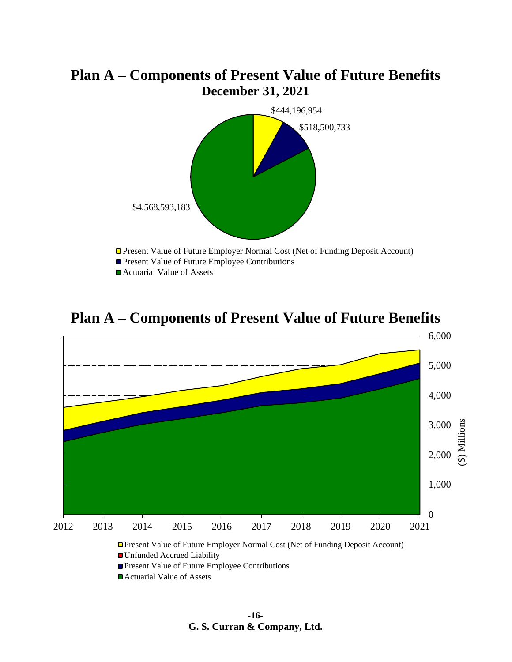# **Plan A – Components of Present Value of Future Benefits December 31, 2021**



# **Plan A – Components of Present Value of Future Benefits**

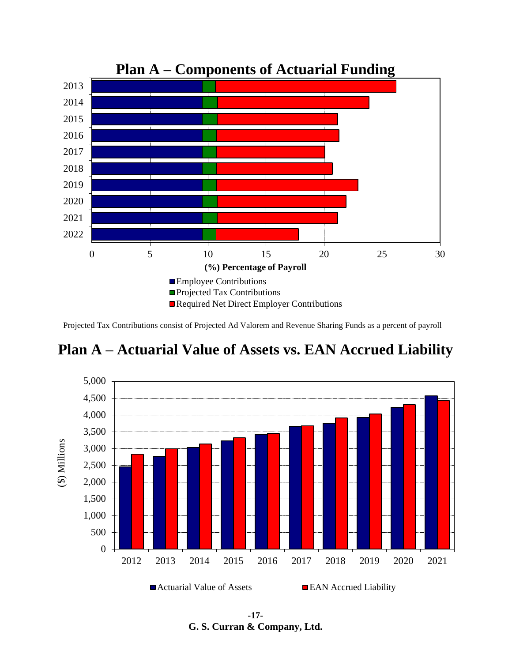

Projected Tax Contributions consist of Projected Ad Valorem and Revenue Sharing Funds as a percent of payroll





**-17- G. S. Curran & Company, Ltd.**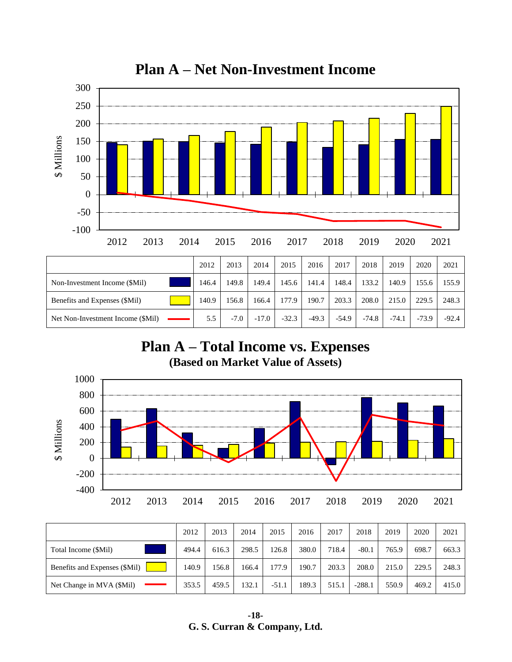

**Plan A – Net Non-Investment Income**

|                                   | 2012  | 2013   | 2014    | 2015    | 2016    | 2017    | 2018    | 2019    | 2020    | 2021    |
|-----------------------------------|-------|--------|---------|---------|---------|---------|---------|---------|---------|---------|
| Non-Investment Income (\$Mil)     | 146.4 | 149.8  | 149.4   | 145.6   | 141.4   | 148.4   | 133.2   | 140.9   | 155.6   | 155.9   |
| Benefits and Expenses (\$Mil)     | 140.9 | 156.8  | 166.4   | 177.9   | 190.7   | 203.3   | 208.0   | 215.0   | 229.5   | 248.3   |
| Net Non-Investment Income (\$Mil) | 5.5   | $-7.0$ | $-17.0$ | $-32.3$ | $-49.3$ | $-54.9$ | $-74.8$ | $-74.1$ | $-73.9$ | $-92.4$ |

# **Plan A – Total Income vs. Expenses (Based on Market Value of Assets)**



|                               | 2012  | 2013  | 2014  | 2015    | 2016  | 2017  | 2018     | 2019  | 2020  | 2021  |
|-------------------------------|-------|-------|-------|---------|-------|-------|----------|-------|-------|-------|
| Total Income (\$Mil)          | 494.4 | 616.3 | 298.5 | 126.8   | 380.0 | 718.4 | $-80.1$  | 765.9 | 698.7 | 663.3 |
| Benefits and Expenses (\$Mil) | 140.9 | 156.8 | 166.4 | 177.9   | 190.7 | 203.3 | 208.0    | 215.0 | 229.5 | 248.3 |
| Net Change in MVA (\$Mil)     | 353.5 | 459.5 | 132.1 | $-51.1$ | 189.3 | 515.1 | $-288.1$ | 550.9 | 469.2 | 415.0 |

**<sup>-18-</sup> G. S. Curran & Company, Ltd.**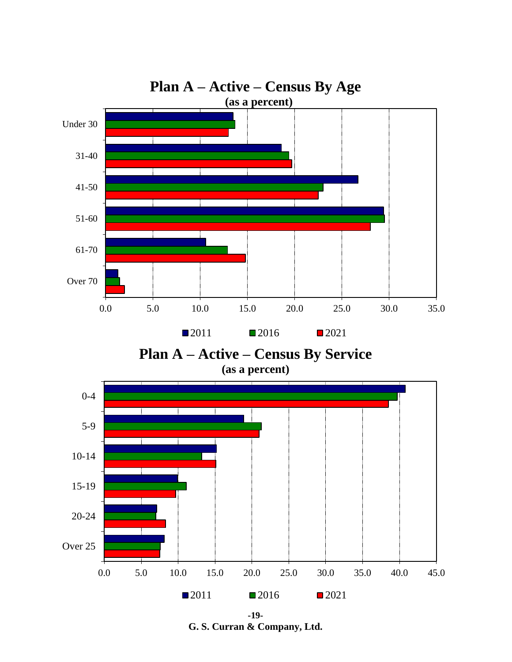

**-19- G. S. Curran & Company, Ltd.**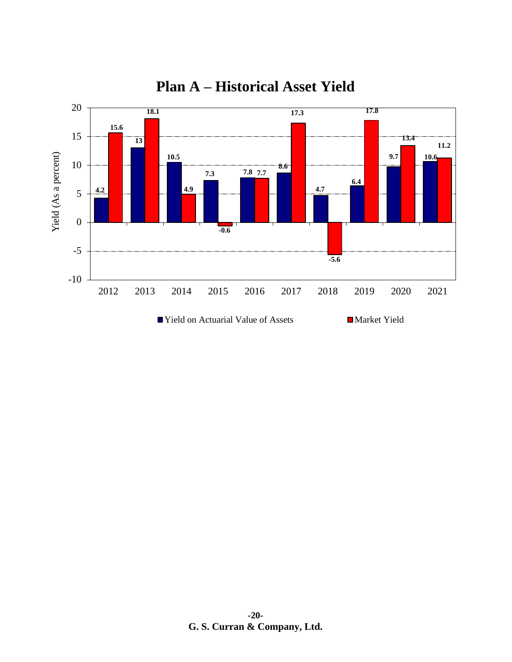

# **Plan A – Historical Asset Yield**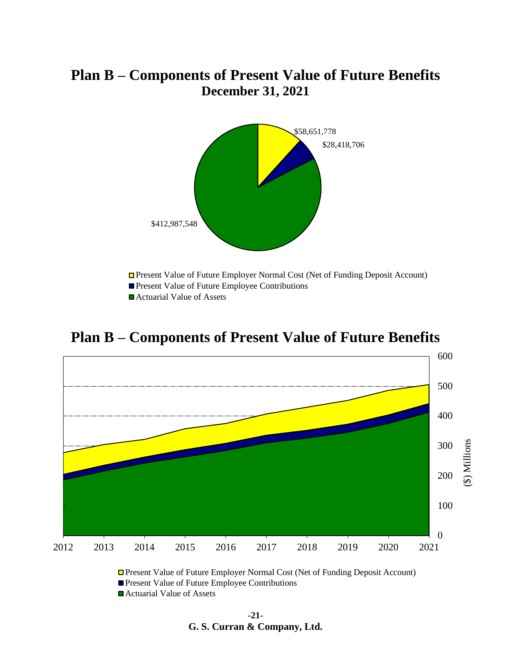# **Plan B – Components of Present Value of Future Benefits December 31, 2021**



# **Plan B – Components of Present Value of Future Benefits**



□ Present Value of Future Employer Normal Cost (Net of Funding Deposit Account) **Present Value of Future Employee Contributions** 

■ Actuarial Value of Assets

**-21- G. S. Curran & Company, Ltd.**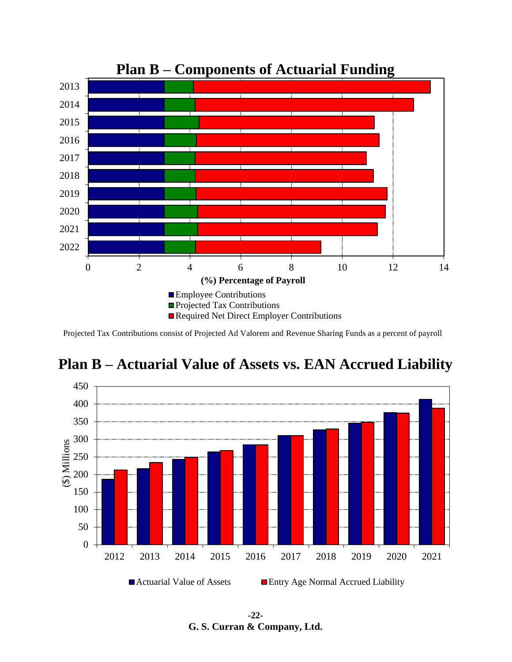

Projected Tax Contributions consist of Projected Ad Valorem and Revenue Sharing Funds as a percent of payroll



# **Plan B – Actuarial Value of Assets vs. EAN Accrued Liability**

**-22- G. S. Curran & Company, Ltd.**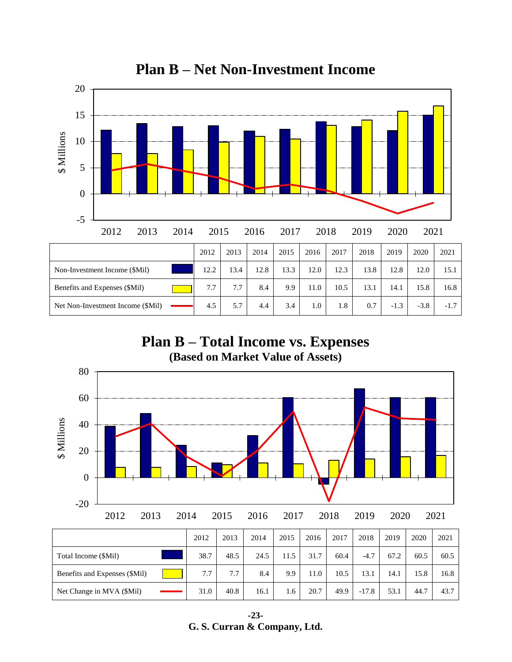

**Plan B – Net Non-Investment Income**

**Plan B – Total Income vs. Expenses (Based on Market Value of Assets)**



**<sup>-23-</sup> G. S. Curran & Company, Ltd.**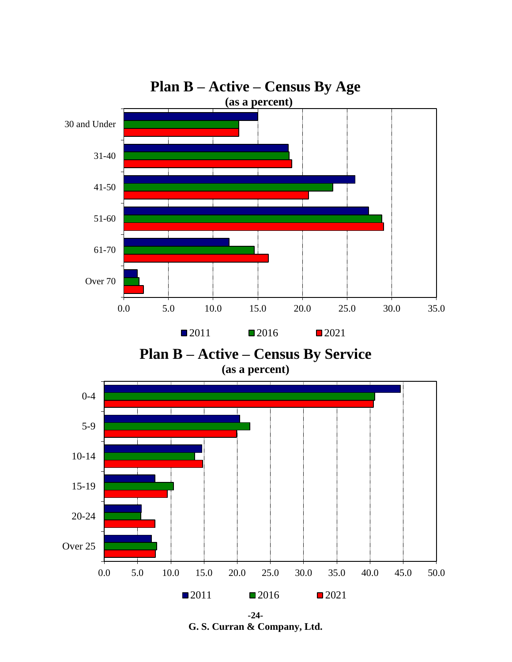

**-24- G. S. Curran & Company, Ltd.**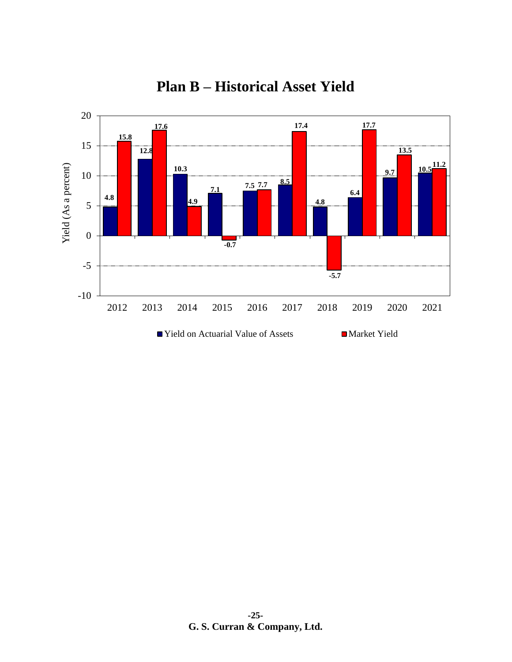

# **Plan B – Historical Asset Yield**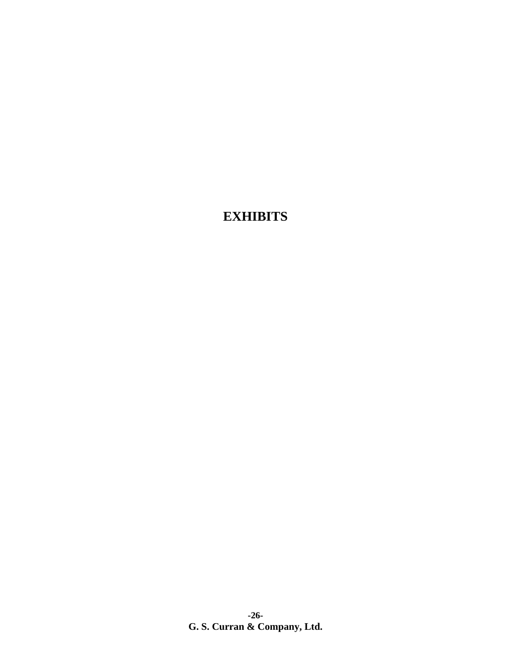# **EXHIBITS**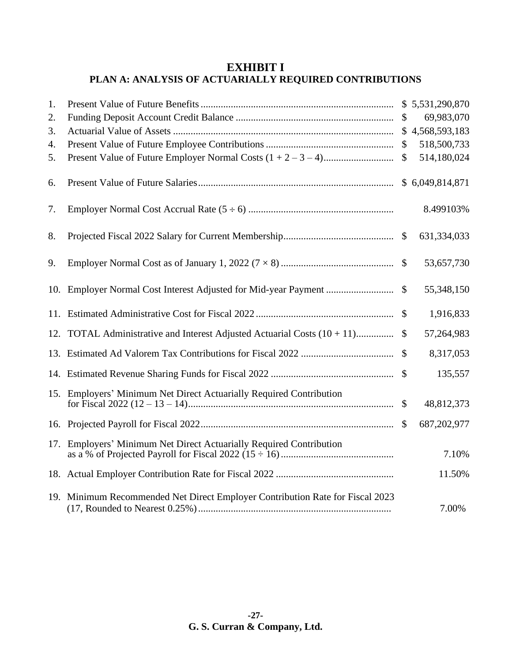### **EXHIBIT I PLAN A: ANALYSIS OF ACTUARIALLY REQUIRED CONTRIBUTIONS**

| 1.  |                                                                               |               | \$5,531,290,870 |
|-----|-------------------------------------------------------------------------------|---------------|-----------------|
| 2.  |                                                                               | \$            | 69,983,070      |
| 3.  |                                                                               |               | \$4,568,593,183 |
| 4.  |                                                                               | \$            | 518,500,733     |
| 5.  |                                                                               | \$            | 514,180,024     |
| 6.  |                                                                               |               |                 |
| 7.  |                                                                               |               | 8.499103%       |
| 8.  |                                                                               | $\mathcal{S}$ | 631,334,033     |
| 9.  |                                                                               |               | 53,657,730      |
|     |                                                                               | $\mathcal{S}$ | 55,348,150      |
|     |                                                                               |               | 1,916,833       |
| 12. | <b>TOTAL</b> Administrative and Interest Adjusted Actuarial Costs $(10 + 11)$ | $\mathbb{S}$  | 57,264,983      |
|     |                                                                               |               | 8,317,053       |
|     |                                                                               |               | 135,557         |
| 15. | Employers' Minimum Net Direct Actuarially Required Contribution               | \$            | 48,812,373      |
|     |                                                                               | $\mathcal{S}$ | 687, 202, 977   |
|     | 17. Employers' Minimum Net Direct Actuarially Required Contribution           |               | 7.10%           |
|     |                                                                               |               | 11.50%          |
|     | 19. Minimum Recommended Net Direct Employer Contribution Rate for Fiscal 2023 |               | 7.00%           |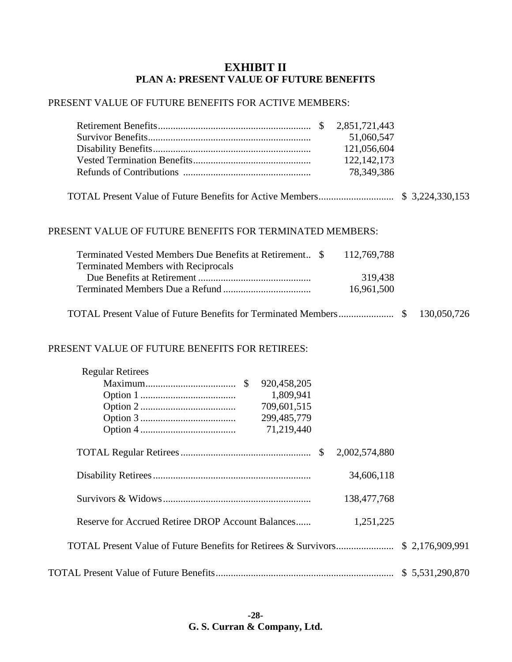### **EXHIBIT II PLAN A: PRESENT VALUE OF FUTURE BENEFITS**

#### PRESENT VALUE OF FUTURE BENEFITS FOR ACTIVE MEMBERS:

|  | 51,060,547    |
|--|---------------|
|  | 121,056,604   |
|  | 122, 142, 173 |
|  | 78.349.386    |
|  |               |

TOTAL Present Value of Future Benefits for Active Members.............................. \$ 3,224,330,153

#### PRESENT VALUE OF FUTURE BENEFITS FOR TERMINATED MEMBERS:

| Terminated Vested Members Due Benefits at Retirement \$ | 112,769,788 |
|---------------------------------------------------------|-------------|
| <b>Terminated Members with Reciprocals</b>              |             |
|                                                         | 319,438     |
|                                                         | 16,961,500  |
|                                                         |             |

TOTAL Present Value of Future Benefits for Terminated Members...................... \$ 130,050,726

#### PRESENT VALUE OF FUTURE BENEFITS FOR RETIREES:

| <b>Regular Retirees</b>                                        |                 |
|----------------------------------------------------------------|-----------------|
| 920,458,205                                                    |                 |
| 1,809,941                                                      |                 |
| 709,601,515                                                    |                 |
| 299,485,779                                                    |                 |
| 71,219,440                                                     |                 |
| 2,002,574,880<br>$\mathcal{S}$                                 |                 |
| 34,606,118                                                     |                 |
| 138,477,768                                                    |                 |
| Reserve for Accrued Retiree DROP Account Balances<br>1,251,225 |                 |
|                                                                |                 |
|                                                                | \$5,531,290,870 |

**-28- G. S. Curran & Company, Ltd.**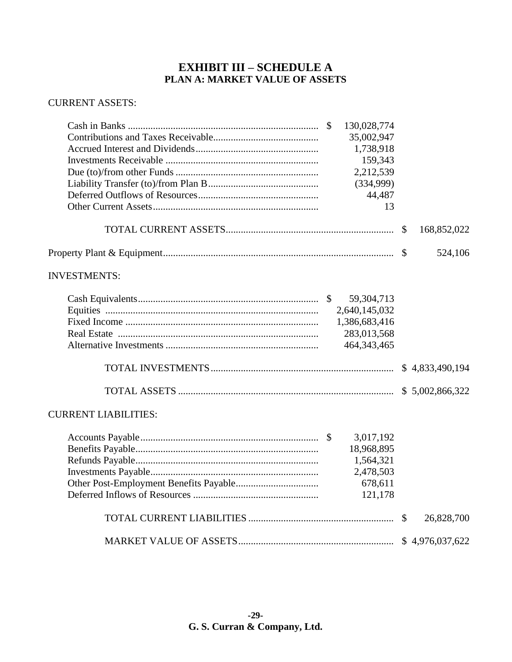### **EXHIBIT III – SCHEDULE A PLAN A: MARKET VALUE OF ASSETS**

### CURRENT ASSETS:

|                             | 130,028,774   |               |                 |
|-----------------------------|---------------|---------------|-----------------|
|                             | 35,002,947    |               |                 |
|                             | 1,738,918     |               |                 |
|                             | 159,343       |               |                 |
|                             | 2,212,539     |               |                 |
|                             | (334,999)     |               |                 |
|                             | 44,487        |               |                 |
|                             | 13            |               |                 |
|                             |               |               |                 |
|                             |               | $\mathcal{S}$ | 168,852,022     |
|                             |               | $\mathcal{S}$ | 524,106         |
| <b>INVESTMENTS:</b>         |               |               |                 |
|                             | 59,304,713    |               |                 |
|                             | 2,640,145,032 |               |                 |
|                             | 1,386,683,416 |               |                 |
|                             | 283,013,568   |               |                 |
|                             | 464, 343, 465 |               |                 |
|                             |               |               | \$4,833,490,194 |
|                             |               |               |                 |
| <b>CURRENT LIABILITIES:</b> |               |               |                 |
|                             | 3,017,192     |               |                 |
|                             | 18,968,895    |               |                 |
|                             | 1,564,321     |               |                 |
|                             | 2,478,503     |               |                 |
|                             | 678,611       |               |                 |
|                             | 121,178       |               |                 |
|                             |               | \$            | 26,828,700      |
|                             |               |               | \$4,976,037,622 |
|                             |               |               |                 |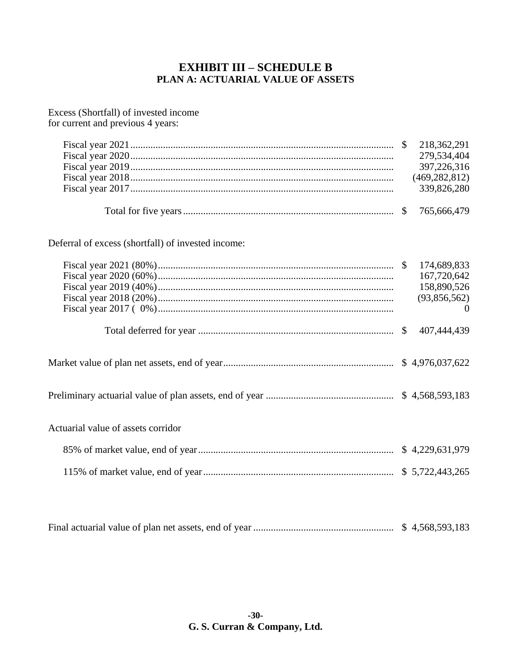### **EXHIBIT III – SCHEDULE B PLAN A: ACTUARIAL VALUE OF ASSETS**

Excess (Shortfall) of invested income for current and previous 4 years:

|  | 279,534,404     |
|--|-----------------|
|  | 397.226.316     |
|  | (469, 282, 812) |
|  | 339,826,280     |
|  |                 |

Deferral of excess (shortfall) of invested income:

|                                    | 174,689,833    |
|------------------------------------|----------------|
|                                    | 167,720,642    |
|                                    | 158,890,526    |
|                                    | (93,856,562)   |
|                                    | $\overline{0}$ |
|                                    | 407,444,439    |
|                                    |                |
|                                    |                |
| Actuarial value of assets corridor |                |
|                                    |                |
|                                    |                |
|                                    |                |
|                                    |                |

|--|--|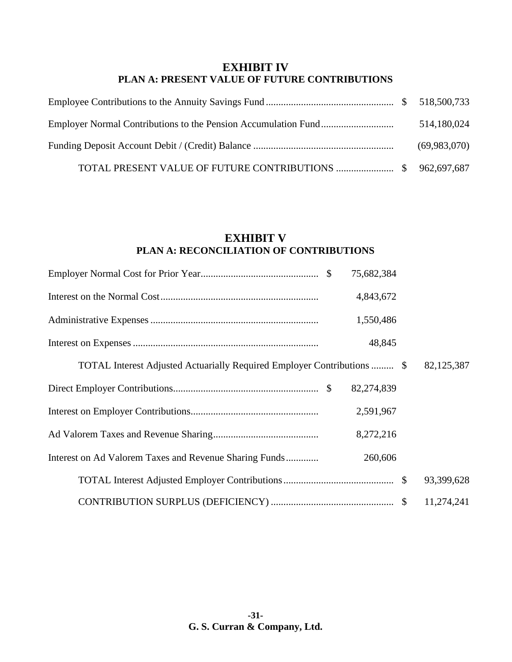### **EXHIBIT IV PLAN A: PRESENT VALUE OF FUTURE CONTRIBUTIONS**

|  | 514,180,024  |
|--|--------------|
|  | (69,983,070) |
|  |              |

### **EXHIBIT V PLAN A: RECONCILIATION OF CONTRIBUTIONS**

|                                                                         | 75,682,384 |            |
|-------------------------------------------------------------------------|------------|------------|
|                                                                         | 4,843,672  |            |
|                                                                         | 1,550,486  |            |
|                                                                         | 48,845     |            |
| TOTAL Interest Adjusted Actuarially Required Employer Contributions  \$ |            | 82,125,387 |
|                                                                         | 82,274,839 |            |
|                                                                         | 2,591,967  |            |
|                                                                         | 8,272,216  |            |
|                                                                         | 260,606    |            |
|                                                                         |            | 93,399,628 |
|                                                                         |            | 11,274,241 |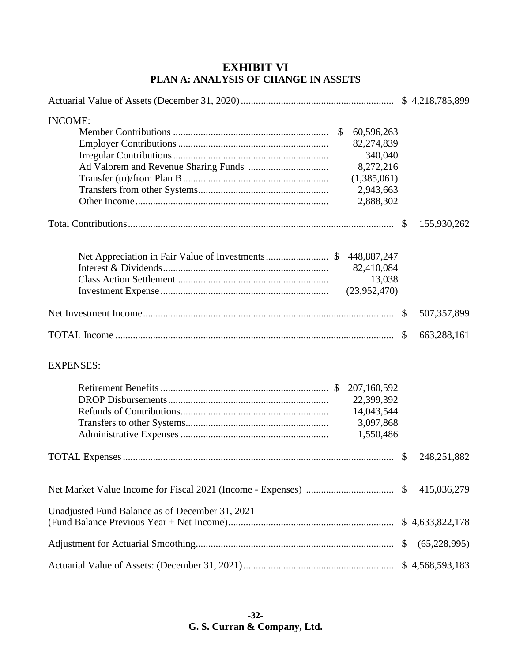### **EXHIBIT VI PLAN A: ANALYSIS OF CHANGE IN ASSETS**

| <b>INCOME:</b>                                  |               |                 |
|-------------------------------------------------|---------------|-----------------|
| 60,596,263<br>$\mathbb{S}$                      |               |                 |
| 82,274,839                                      |               |                 |
| 340,040                                         |               |                 |
| 8,272,216                                       |               |                 |
| (1,385,061)                                     |               |                 |
| 2,943,663                                       |               |                 |
| 2,888,302                                       |               |                 |
|                                                 | $\mathbb{S}$  | 155,930,262     |
| 448,887,247                                     |               |                 |
| 82,410,084                                      |               |                 |
|                                                 |               |                 |
| 13,038                                          |               |                 |
| (23,952,470)                                    |               |                 |
|                                                 | \$            | 507, 357, 899   |
|                                                 | <sup>\$</sup> | 663,288,161     |
| <b>EXPENSES:</b>                                |               |                 |
| 207,160,592                                     |               |                 |
| 22,399,392                                      |               |                 |
| 14,043,544                                      |               |                 |
| 3,097,868                                       |               |                 |
| 1,550,486                                       |               |                 |
|                                                 | \$            | 248,251,882     |
|                                                 |               | 415,036,279     |
| Unadjusted Fund Balance as of December 31, 2021 |               |                 |
|                                                 |               | \$4,633,822,178 |
|                                                 | \$            | (65, 228, 995)  |
|                                                 |               |                 |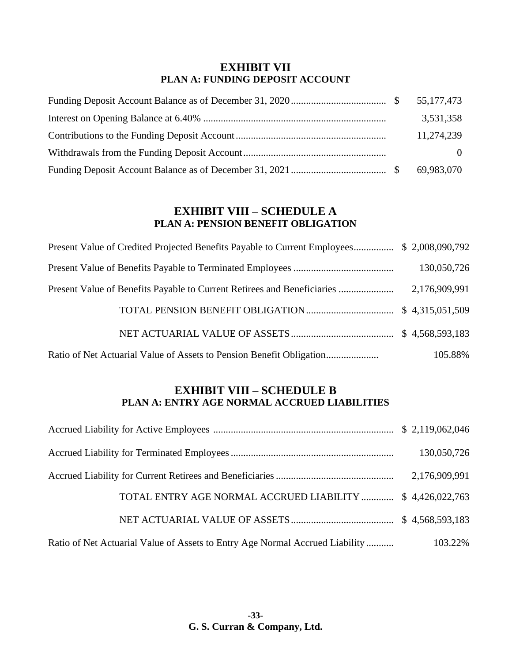### **EXHIBIT VII PLAN A: FUNDING DEPOSIT ACCOUNT**

|  | 3,531,358  |
|--|------------|
|  | 11,274,239 |
|  | $\Omega$   |
|  |            |

### **EXHIBIT VIII – SCHEDULE A PLAN A: PENSION BENEFIT OBLIGATION**

|                                                                         | 130,050,726   |
|-------------------------------------------------------------------------|---------------|
| Present Value of Benefits Payable to Current Retirees and Beneficiaries | 2,176,909,991 |
|                                                                         |               |
|                                                                         |               |
|                                                                         | 105.88%       |

### **EXHIBIT VIII – SCHEDULE B PLAN A: ENTRY AGE NORMAL ACCRUED LIABILITIES**

|                                                                              | 130,050,726   |
|------------------------------------------------------------------------------|---------------|
|                                                                              | 2,176,909,991 |
| TOTAL ENTRY AGE NORMAL ACCRUED LIABILITY  \$4,426,022,763                    |               |
|                                                                              |               |
| Ratio of Net Actuarial Value of Assets to Entry Age Normal Accrued Liability | 103.22%       |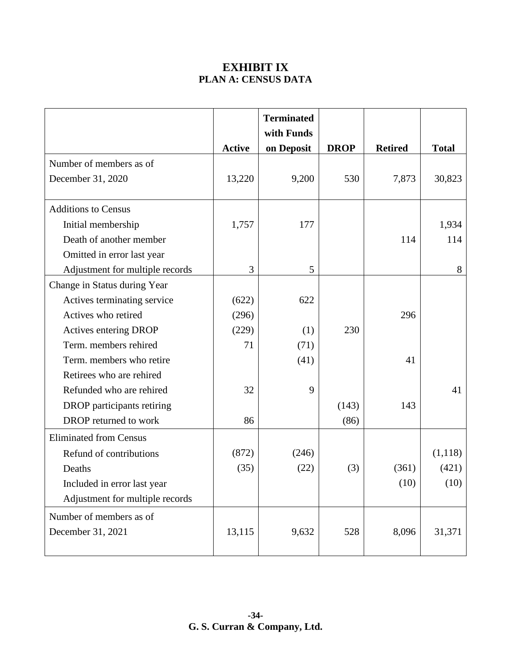# **EXHIBIT IX PLAN A: CENSUS DATA**

|                                 |               | <b>Terminated</b><br>with Funds |             |                |              |
|---------------------------------|---------------|---------------------------------|-------------|----------------|--------------|
|                                 | <b>Active</b> | on Deposit                      | <b>DROP</b> | <b>Retired</b> | <b>Total</b> |
| Number of members as of         |               |                                 |             |                |              |
| December 31, 2020               | 13,220        | 9,200                           | 530         | 7,873          | 30,823       |
| <b>Additions to Census</b>      |               |                                 |             |                |              |
| Initial membership              | 1,757         | 177                             |             |                | 1,934        |
| Death of another member         |               |                                 |             | 114            | 114          |
| Omitted in error last year      |               |                                 |             |                |              |
| Adjustment for multiple records | 3             | 5                               |             |                | 8            |
| Change in Status during Year    |               |                                 |             |                |              |
| Actives terminating service     | (622)         | 622                             |             |                |              |
| Actives who retired             | (296)         |                                 |             | 296            |              |
| Actives entering DROP           | (229)         | (1)                             | 230         |                |              |
| Term. members rehired           | 71            | (71)                            |             |                |              |
| Term. members who retire        |               | (41)                            |             | 41             |              |
| Retirees who are rehired        |               |                                 |             |                |              |
| Refunded who are rehired        | 32            | 9                               |             |                | 41           |
| DROP participants retiring      |               |                                 | (143)       | 143            |              |
| DROP returned to work           | 86            |                                 | (86)        |                |              |
| <b>Eliminated from Census</b>   |               |                                 |             |                |              |
| Refund of contributions         | (872)         | (246)                           |             |                | (1,118)      |
| Deaths                          | (35)          | (22)                            | (3)         | (361)          | (421)        |
| Included in error last year     |               |                                 |             | (10)           | (10)         |
| Adjustment for multiple records |               |                                 |             |                |              |
| Number of members as of         |               |                                 |             |                |              |
| December 31, 2021               | 13,115        | 9,632                           | 528         | 8,096          | 31,371       |
|                                 |               |                                 |             |                |              |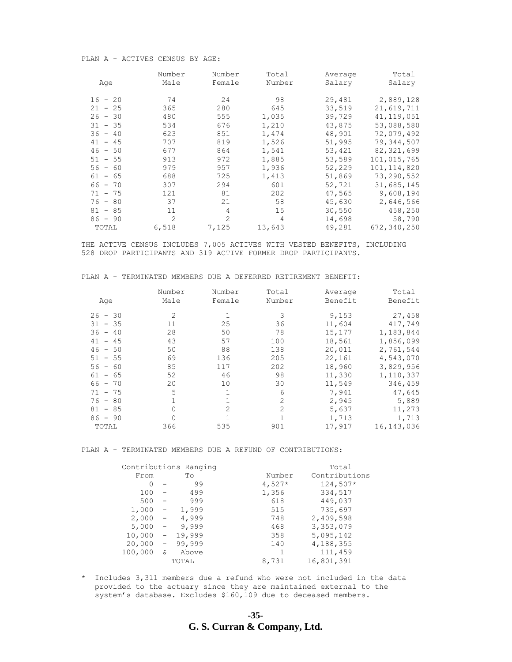#### PLAN A - ACTIVES CENSUS BY AGE:

| Age       | Number<br>Male | Number<br>Female | Total<br>Number | Average<br>Salary | Total<br>Salary |
|-----------|----------------|------------------|-----------------|-------------------|-----------------|
| $16 - 20$ | 74             | 24               | 98              | 29,481            | 2,889,128       |
| $21 - 25$ | 365            | 280              | 645             | 33,519            | 21,619,711      |
| $26 - 30$ | 480            | 555              | 1,035           | 39,729            | 41, 119, 051    |
| $31 - 35$ | 534            | 676              | 1,210           | 43,875            | 53,088,580      |
| $36 - 40$ | 623            | 851              | 1,474           | 48,901            | 72,079,492      |
| $41 - 45$ | 707            | 819              | 1,526           | 51,995            | 79, 344, 507    |
| $46 - 50$ | 677            | 864              | 1,541           | 53,421            | 82, 321, 699    |
| $51 - 55$ | 913            | 972              | 1,885           | 53,589            | 101,015,765     |
| $56 - 60$ | 979            | 957              | 1,936           | 52,229            | 101, 114, 820   |
| $61 - 65$ | 688            | 725              | 1,413           | 51,869            | 73,290,552      |
| $66 - 70$ | 307            | 294              | 601             | 52,721            | 31,685,145      |
| $71 - 75$ | 121            | 81               | 202             | 47,565            | 9,608,194       |
| $76 - 80$ | 37             | 21               | 58              | 45,630            | 2,646,566       |
| $81 - 85$ | 11             | 4                | 15              | 30,550            | 458,250         |
| $86 - 90$ | $\overline{2}$ | $\overline{2}$   | 4               | 14,698            | 58,790          |
| TOTAL     | 6,518          | 7,125            | 13,643          | 49,281            | 672,340,250     |

THE ACTIVE CENSUS INCLUDES 7,005 ACTIVES WITH VESTED BENEFITS, INCLUDING 528 DROP PARTICIPANTS AND 319 ACTIVE FORMER DROP PARTICIPANTS.

| Age       | Number<br>Male | Number<br>Female | Total<br>Number | Average<br>Benefit | Total<br>Benefit |
|-----------|----------------|------------------|-----------------|--------------------|------------------|
|           |                |                  |                 |                    |                  |
| $26 - 30$ | 2              |                  | 3               | 9,153              | 27,458           |
| $31 - 35$ | 11             | 25               | 36              | 11,604             | 417,749          |
| $36 - 40$ | 28             | 50               | 78              | 15,177             | 1,183,844        |
| $41 - 45$ | 43             | 57               | 100             | 18,561             | 1,856,099        |
| $46 - 50$ | 50             | 88               | 138             | 20,011             | 2,761,544        |
| $51 - 55$ | 69             | 136              | 205             | 22,161             | 4,543,070        |
| $56 - 60$ | 85             | 117              | 202             | 18,960             | 3,829,956        |
| $61 - 65$ | 52             | 46               | 98              | 11,330             | 1,110,337        |
| $66 - 70$ | 20             | 10               | 30              | 11,549             | 346,459          |
| $71 - 75$ | 5              |                  | 6               | 7,941              | 47,645           |
| $76 - 80$ | $\mathbf{1}$   |                  | 2               | 2,945              | 5,889            |
| $81 - 85$ | 0              | $\mathfrak{D}$   | $\overline{2}$  | 5,637              | 11,273           |
| $86 - 90$ | 0              |                  |                 | 1,713              | 1,713            |
| TOTAL     | 366            | 535              | 901             | 17,917             | 16, 143, 036     |

PLAN A - TERMINATED MEMBERS DUE A DEFERRED RETIREMENT BENEFIT:

PLAN A - TERMINATED MEMBERS DUE A REFUND OF CONTRIBUTIONS:

| Contributions Ranging              |       | Total              |
|------------------------------------|-------|--------------------|
| Tо                                 |       | Contributions      |
| 99                                 |       | $124,507*$         |
| 499                                | 1,356 | 334,517            |
| 999                                | 618   | 449,037            |
| 1,999<br>$\overline{\phantom{a}}$  | 515   | 735,697            |
| 4,999<br>$\qquad \qquad -$         | 748   | 2,409,598          |
| 9,999<br>$\overline{\phantom{a}}$  | 468   | 3,353,079          |
| 19,999<br>$\overline{\phantom{a}}$ | 358   | 5,095,142          |
| 99,999<br>$\overline{\phantom{m}}$ | 140   | 4,188,355          |
| Above<br>&                         |       | 111,459            |
| TOTAL                              | 8,731 | 16,801,391         |
|                                    |       | Number<br>$4,527*$ |

\* Includes 3,311 members due a refund who were not included in the data provided to the actuary since they are maintained external to the system's database. Excludes \$160,109 due to deceased members.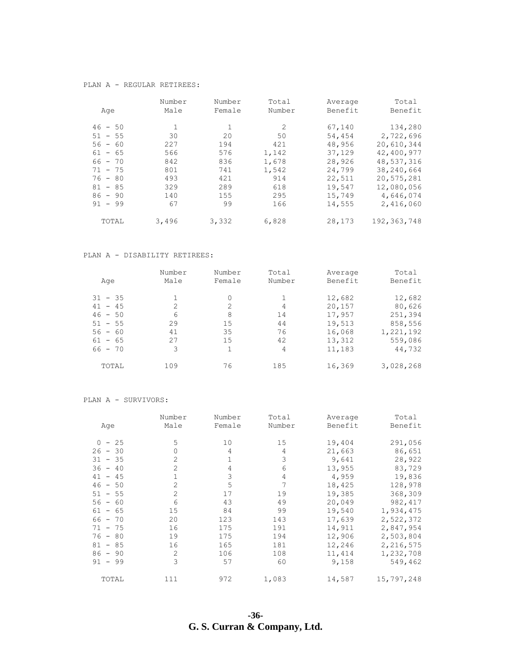#### PLAN A - REGULAR RETIREES:

| Age       | Number<br>Male | Number<br>Female | Total<br>Number | Average<br>Benefit | Total<br>Benefit |
|-----------|----------------|------------------|-----------------|--------------------|------------------|
| $46 - 50$ | $\mathbf{1}$   | 1                | $\mathfrak{D}$  | 67,140             | 134,280          |
| $51 - 55$ | 30             | 20               | 50              | 54,454             | 2,722,696        |
| $56 - 60$ | 227            | 194              | 421             | 48,956             | 20,610,344       |
| $61 - 65$ | 566            | 576              | 1,142           | 37,129             | 42,400,977       |
| $66 - 70$ | 842            | 836              | 1,678           | 28,926             | 48,537,316       |
| $71 - 75$ | 801            | 741              | 1,542           | 24,799             | 38,240,664       |
| $76 - 80$ | 493            | 421              | 914             | 22,511             | 20,575,281       |
| $81 - 85$ | 329            | 289              | 618             | 19,547             | 12,080,056       |
| $86 - 90$ | 140            | 155              | 295             | 15,749             | 4,646,074        |
| $91 - 99$ | 67             | 99               | 166             | 14,555             | 2,416,060        |
| TOTAL     | 3,496          | 3,332            | 6,828           | 28,173             | 192,363,748      |

#### PLAN A - DISABILITY RETIREES:

| Age       | Number<br>Male | Number<br>Female | Total<br>Number | Average<br>Benefit | Total<br>Benefit |
|-----------|----------------|------------------|-----------------|--------------------|------------------|
| $31 - 35$ |                | 0                |                 | 12,682             | 12,682           |
| $41 - 45$ | 2              | 2                | 4               | 20,157             | 80,626           |
| $46 - 50$ | 6              | 8                | 14              | 17,957             | 251,394          |
| $51 - 55$ | 29             | 15               | 44              | 19,513             | 858,556          |
| $56 - 60$ | 41             | 35               | 76              | 16,068             | 1,221,192        |
| $61 - 65$ | 27             | 15               | 42              | 13,312             | 559,086          |
| $66 - 70$ | 3              |                  | 4               | 11,183             | 44,732           |
| TOTAL     | 109            | 76               | 185             | 16,369             | 3,028,268        |

#### PLAN A - SURVIVORS:

|           | Number         | Number | Total          | Average | Total      |
|-----------|----------------|--------|----------------|---------|------------|
| Age       | Male           | Female | Number         | Benefit | Benefit    |
| $0 - 25$  | 5              | 10     | 15             | 19,404  | 291,056    |
| $26 - 30$ | 0              | 4      | $\overline{4}$ | 21,663  | 86,651     |
| $31 - 35$ | $\overline{2}$ | 1      | 3              | 9,641   | 28,922     |
| $36 - 40$ | $\overline{2}$ | 4      | 6              | 13,955  | 83,729     |
| $41 - 45$ | $\mathbf 1$    | 3      | 4              | 4,959   | 19,836     |
| $46 - 50$ | 2              | 5      | 7              | 18,425  | 128,978    |
| $51 - 55$ | $\overline{c}$ | 17     | 19             | 19,385  | 368,309    |
| $56 - 60$ | 6              | 43     | 49             | 20,049  | 982, 417   |
| $61 - 65$ | 15             | 84     | 99             | 19,540  | 1,934,475  |
| $66 - 70$ | 20             | 123    | 143            | 17,639  | 2,522,372  |
| $71 - 75$ | 16             | 175    | 191            | 14,911  | 2,847,954  |
| $76 - 80$ | 19             | 175    | 194            | 12,906  | 2,503,804  |
| $81 - 85$ | 16             | 165    | 181            | 12,246  | 2,216,575  |
| $86 - 90$ | $\overline{2}$ | 106    | 108            | 11,414  | 1,232,708  |
| $91 - 99$ | 3              | 57     | 60             | 9,158   | 549,462    |
| TOTAL     | 111            | 972    | 1,083          | 14,587  | 15,797,248 |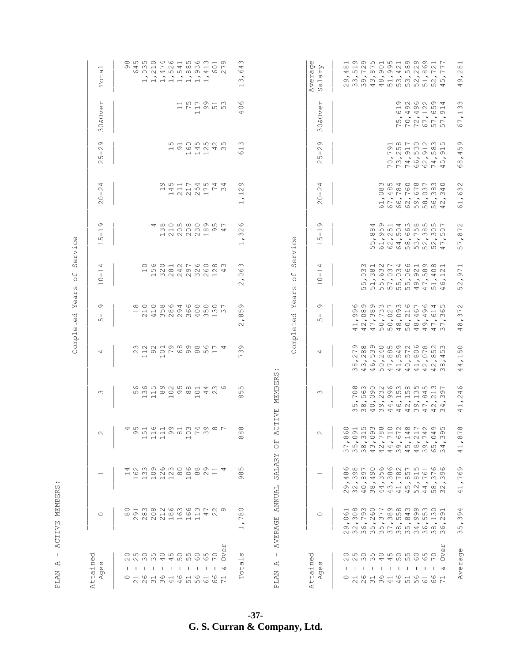|                               | $\overline{\phantom{0}}$<br>đ<br>$\overline{C}$<br>Н                           | 855046156319<br>943172483107<br>60245589462<br>$\sim$<br>$\sim$<br>$\sim$<br>$\sim$<br>$\sim$<br>---------                     | $\infty$<br>4<br>6<br>$\overline{\phantom{0}}$<br>ω<br>$\overline{\phantom{0}}$                                    | $\mathbb U$<br>ত<br>$\rightarrow$<br><b>E3</b><br>ЯR<br>Ave:<br>$\frac{1}{\sigma}$<br>$\overline{O}$ | н о о и н и н о о о н г<br>457899452877                                                                                                                                                                                                                                                                                                                                                                                                                                                                                                                                                                                                            | $\overline{\phantom{0}}$<br>$\infty$<br>$\sim$<br>$\overline{\phantom{a}}$<br>S<br>4        |
|-------------------------------|--------------------------------------------------------------------------------|--------------------------------------------------------------------------------------------------------------------------------|--------------------------------------------------------------------------------------------------------------------|------------------------------------------------------------------------------------------------------|----------------------------------------------------------------------------------------------------------------------------------------------------------------------------------------------------------------------------------------------------------------------------------------------------------------------------------------------------------------------------------------------------------------------------------------------------------------------------------------------------------------------------------------------------------------------------------------------------------------------------------------------------|---------------------------------------------------------------------------------------------|
|                               | revos<br>$\circ$<br>$\infty$                                                   | $H$ in $\Gamma$ on $H$ m<br>$\begin{array}{c}\n1 \\ 1 \\ 0 \\ 0 \\ 0\n\end{array}$                                             | $\circ$<br>$\circ$<br>4                                                                                            | Я<br>sove1<br>$\circ$<br>$\infty$                                                                    | $\begin{array}{c} 0 \\ 0 \\ 0 \\ 0 \\ \end{array}$<br><b>H O O N ID H</b><br>644169<br>P P P Q D Q                                                                                                                                                                                                                                                                                                                                                                                                                                                                                                                                                 | $\Im$<br>$\overline{\phantom{0}}$<br>7,<br>$\circ$                                          |
|                               | Ō<br>$\sim$<br>$\mathbf{I}$<br>ഗ<br>$\sim$                                     | 1964243<br>$\overline{a}$ $\overline{a}$                                                                                       | Μ<br>$\overline{\phantom{0}}$<br>ဖ                                                                                 | $\circ$<br>$\sim$<br>л.<br>ഗ<br>$\sim$                                                               | 1870235<br>о и н м н ∞ н<br>r N 0 10 0 10 0<br>$\overline{\phantom{a}}$<br>$\sim$<br>$\sim$<br>$\hat{}$<br>$\overline{\phantom{a}}$<br>$\overline{\phantom{a}}$<br>0 m 4 6 7 4 10<br>P P P Q Q<br>$\overline{r}$<br>◅                                                                                                                                                                                                                                                                                                                                                                                                                              | $\sigma$<br>ഗ<br>$\cdot$<br>$\infty$<br>$\circ$                                             |
|                               | ↵<br>$\sim$<br>$\mathbf{I}$<br>$\circ$<br>$\sim$                               | つち174544<br>4115773<br>$\overline{ }$<br>12222                                                                                 | Ō<br>$\sim$<br>$\overline{\phantom{0}}$<br>$\overline{\phantom{a}}$<br>$\overline{\phantom{0}}$                    | ↵<br>$\sim$<br>Τ.<br>$\circ$<br>$\sim$                                                               | M N 4 0 8 L W 0<br>$\infty$ $\infty$ $\infty$ $\infty$ $\infty$ $\infty$ $\infty$<br>0 4 7 7 6 0 6 7 7<br>$\sim$<br>$\overline{\phantom{a}}$<br>$\overline{\phantom{a}}$<br>$\overline{\phantom{a}}$<br>$\sim$<br>$\overline{\phantom{a}}$<br>$\overline{\phantom{a}}$<br>H L G C Q Q G C C<br>66665554                                                                                                                                                                                                                                                                                                                                            | 32<br>$\circ$<br>$\overline{\phantom{a}}$<br>$\overline{\phantom{0}}$<br>$\circ$            |
| ervice                        | Ō<br>$\overline{\phantom{0}}$<br>$\mathbf{I}$<br>ഗ<br>$\overline{\phantom{0}}$ | 4 8 0 1 8 9 9 9 1 L<br>whoow mar<br>122224                                                                                     | $\circ$<br>$\sim$<br>ო<br>ervice<br>$\overline{\phantom{a}}$<br>$\overline{\phantom{0}}$                           | c)<br>$\overline{\phantom{0}}$<br>т.<br>ഗ<br>$\overline{\phantom{0}}$                                | 4 9 4 4 5 8 5 5 7 7<br>00 m m o w m 00 o<br>00 01 10 10 10 10 10 10 10 10<br>n c c c u u u u 4                                                                                                                                                                                                                                                                                                                                                                                                                                                                                                                                                     | $\sim$<br>$\overline{\phantom{0}}$<br>$\infty$<br>7,<br>ഗ                                   |
| W<br>$\overline{C}$<br>w<br>Я | 4<br>$\overline{\phantom{0}}$<br>$\mathbf{I}$<br>$\circ$<br>$\exists$          | 0 0 0 0 1 0 1 0 0 0 0 1<br>1528492624<br>1 3 3 4 5 6 7 6 7 6 7 6 7 6                                                           | ω<br>ω<br>$\circ$<br>$^{\nightharpoonup}$<br>$\circ$<br>$\circ$<br>$\ddot{\phantom{1}}$<br>$\sim$<br>ω<br>Я        | 4<br>$\overline{\phantom{0}}$<br>$\mathbf{I}$<br>$\circ$<br>$\overline{\phantom{0}}$                 | う127461981<br>m commmunico N<br>$\sim$ $\sim$ $\sim$<br>$\sim$ $\sim$<br>$\overline{\phantom{a}}$<br>5157559716<br>n n n n n n 4 4 n 4                                                                                                                                                                                                                                                                                                                                                                                                                                                                                                             | 971<br>$\overline{\phantom{a}}$<br>$\sim$<br>ഗ                                              |
| ea<br>Σ<br>Completed          | Ō<br>$\mathbf{I}$<br>ഗ                                                         | 000000000000<br>H H H H W W W O W M M<br>243223431                                                                             | Yea<br>c)<br>ഗ<br>Completed<br>$\infty$<br>$\ddot{\phantom{1}}$<br>N                                               | $\sigma$<br>$\mathbf{I}$<br>ഗ                                                                        | <b>GOOWLWOLQ45</b><br>G<br>$\overline{ }$<br>O M I O O N d d @ W<br>ന<br>$\begin{picture}(160,170) \put(0,0){\line(1,0){150}} \put(15,0){\line(1,0){150}} \put(15,0){\line(1,0){150}} \put(15,0){\line(1,0){150}} \put(15,0){\line(1,0){150}} \put(15,0){\line(1,0){150}} \put(15,0){\line(1,0){150}} \put(15,0){\line(1,0){150}} \put(15,0){\line(1,0){150}} \put(15,0){\line(1,0){150}} \put(15,0){\line(1,0){150$<br>4<br>445545449                                                                                                                                                                                                             | 372<br>$\overline{\phantom{a}}$<br>$\infty$<br>4                                            |
|                               | ↵                                                                              | m N N H M & M & M & L 4<br>2190769851<br>$\overline{\phantom{0}}$<br>$\overline{\phantom{0}}$                                  | Ō<br>S<br>∼                                                                                                        | 4                                                                                                    | 78348470755<br>$\sim$<br>$\hat{\phantom{a}}$<br>$\hat{\phantom{a}}$<br>$\overline{\phantom{a}}$<br>$\overline{\phantom{a}}$<br>$\overline{\phantom{a}}$<br>$\overline{\phantom{a}}$<br>$\overline{\phantom{a}}$<br>$\overline{\phantom{a}}$<br>8360710122883601010128                                                                                                                                                                                                                                                                                                                                                                              | $\circ$<br>ഗ<br>$\overline{\phantom{0}}$<br>$\overline{\phantom{a}}$<br>4<br>4              |
|                               | $\infty$                                                                       | 6 6 7 6 7 6 7 7 8 7 8 7 8 9 7 8 7 8 9 7 8 9 7<br>5318098042<br>$\overline{a}$<br>$\overline{a}$<br>$\overline{ }$              | MEMBERS<br>ഗ<br>ഗ<br>$\infty$                                                                                      | $\infty$                                                                                             | <b>GOWOWDW419</b><br>$\circ$<br>$\overline{\phantom{0}}$<br>$\overline{\phantom{a}}$<br>$\overline{\phantom{a}}$<br>$\overline{\phantom{a}}$<br>$\overline{\phantom{a}}$<br>$\overline{\phantom{a}}$<br>$\overline{\phantom{a}}$<br>58094629724<br>m m d w d d d w d d w                                                                                                                                                                                                                                                                                                                                                                           | $\circ$<br>4<br>$\sim$<br>$\overline{\phantom{a}}$<br>$\overline{\phantom{0}}$<br>4         |
|                               | $\sim$                                                                         | 451619134987<br>の51198073<br>$-1$ $-1$<br>$\overline{ }$                                                                       | CTIVE<br>$\infty$<br>$\infty$<br>K,<br>$\infty$<br>Ŀч<br>O                                                         | $\sim$                                                                                               | O H IN M & O N & N N M IN<br>ဖော<br>$-1$ $\circledcirc$<br>ユア41449<br>$\infty \circ \omega \circ \omega$<br>フ612703<br>F 5 6 6 7 7 8 8 9 8 9 8 9<br>$\label{eq:12} \begin{array}{lllllllllllllllllll} \mathbf{1}_{\mathbf{1}_{\mathbf{1}_{\mathbf{1}}}} & \mathbf{1}_{\mathbf{1}_{\mathbf{1}}} & \mathbf{1}_{\mathbf{1}_{\mathbf{1}}} & \mathbf{1}_{\mathbf{1}_{\mathbf{1}}} & \mathbf{1}_{\mathbf{1}_{\mathbf{1}}} & \mathbf{1}_{\mathbf{1}_{\mathbf{1}}} & \mathbf{1}_{\mathbf{1}_{\mathbf{1}}} & \mathbf{1}_{\mathbf{1}_{\mathbf{1}}} & \mathbf{1}_{\mathbf{1}_{\mathbf{1}}} & \mathbf{1}_{\mathbf{1}_{\mathbf{1}}}$<br>m m m 4 4 4 w 4 4 w 6 w | $\overline{ }$<br>$\infty$<br>$\overline{\phantom{a}}$<br>$\overline{\phantom{0}}$<br>4     |
|                               | $\overline{\phantom{0}}$                                                       | 423963068914<br>H G W O C N W O G O H H<br><b>HHHH</b><br>$\overline{ }$                                                       | SALARY<br>ഗ<br>$\infty$<br>$\infty$                                                                                | $\overline{ }$                                                                                       | c & r o c c c r r r d c c<br>co co co co co co co co co<br>.<br>9 2 0 2 4 5 4 5 6 7 8 9 7                                                                                                                                                                                                                                                                                                                                                                                                                                                                                                                                                          | Ō<br>$\circ$<br>$\overline{r}$<br>$\overline{\phantom{a}}$<br>$\overline{\phantom{0}}$<br>4 |
|                               | $\circ$                                                                        | O H M W N W M W M N M<br>22221111                                                                                              | ANNUAL<br>$\circ$<br>$\infty$<br>AVERAGE<br>$\overline{ }$<br>$\overline{\phantom{a}}$<br>$\overline{\phantom{0}}$ | $\circ$                                                                                              | Н ∞ М О Ի の ∞ М の М О Н<br>G O O G L Q IO 4 Q IO 40 A<br>O M I N M M W W O W H N<br>$\sim$<br>$\overline{\phantom{0}}$<br>$\overline{\phantom{a}}$<br>$\overline{\phantom{a}}$<br>$\overline{\phantom{0}}$<br>ON C LO LO LO LO CO CO<br>N M M M M M M M M M M                                                                                                                                                                                                                                                                                                                                                                                      | ↵<br>Ō<br>$\sim$<br>$\overline{\phantom{a}}$<br>ഗ<br>$\infty$                               |
|                               | Attained<br>w<br>$\mathbf 0$<br>ত<br>$\mathcal{A}$                             | Я<br>Φ<br>o w o w o w o w o<br>⋗<br>2224455667<br>$\circ$<br>1 1 1 1 1 1 1 1 1 1 1 3<br>0 1 0 1 0 1 0 1 0 1 0 1<br>00004456667 | $\mathbf{I}$<br>w<br>$\overline{\phantom{0}}$<br>ർ<br>К<br>$\overline{C}$<br><b>PLAN</b><br>Н                      | ttained<br>ω<br>$\frac{\omega}{\sigma}$<br>A<br>Ŕ,                                                   | $\mathsf{H}$<br>$\mathbb U$<br>o w o w o w o w o<br>$\triangleright$<br>22334455667<br>$\circ$<br>1 1 1 1 1 1 1 1 1 1 1 3<br>0 1 0 1 0 1 0 1 0 1 0 1<br>2224455667                                                                                                                                                                                                                                                                                                                                                                                                                                                                                 | $\mathbbm{O}$<br>Averag                                                                     |

**-37 - G. S. Curran & Company, Ltd.**

PLAN A - ACTIVE MEMBERS:

PLAN A - ACTIVE MEMBERS: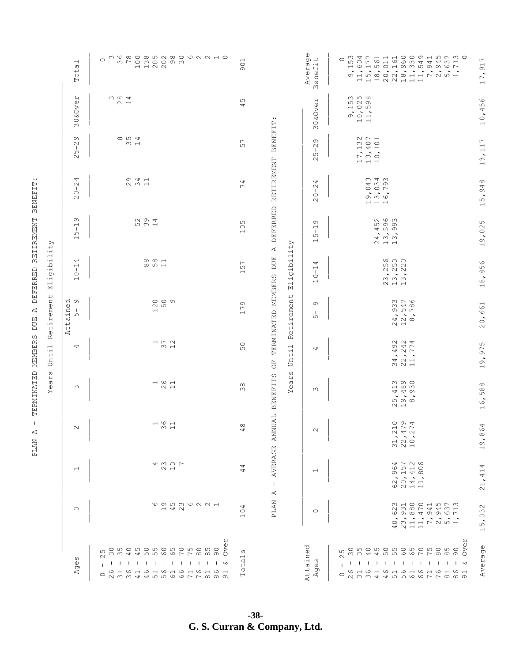|             | Total                                                                                | $\circ$<br>$\omega \, \varpropto \, 4$<br>$\sim$ $\overline{ }$                                                                       | 901<br>ഗ                                                              | $\mathbb U$<br>Average<br>Benefit                                                    | O O O H L M O O O H L M M O<br>$\infty$<br>$\circ$<br>77<br>6110<br>$\circ$<br>ഗ<br>$\circ$<br>H N O H O M N O O W N<br>$\overline{\phantom{0}}$<br>$m$ m $\infty$<br>ഗ                                                                                                                                                                                                                                                                                                     | 917<br>17                                                                                   |
|-------------|--------------------------------------------------------------------------------------|---------------------------------------------------------------------------------------------------------------------------------------|-----------------------------------------------------------------------|--------------------------------------------------------------------------------------|-----------------------------------------------------------------------------------------------------------------------------------------------------------------------------------------------------------------------------------------------------------------------------------------------------------------------------------------------------------------------------------------------------------------------------------------------------------------------------|---------------------------------------------------------------------------------------------|
|             | 30 & Over                                                                            |                                                                                                                                       | 4                                                                     | 30&Over                                                                              | 000<br>$\overline{\phantom{0}}$<br>9,10,1                                                                                                                                                                                                                                                                                                                                                                                                                                   | 10,456                                                                                      |
|             | $\circ$<br>$\sim$<br>$\mathbf{I}$<br>ഗ<br>$\sim$                                     | $\infty$ rv 4<br>$\omega$ $\rightarrow$                                                                                               | BENEFIT:<br>57                                                        | $\sigma$<br>$\sim$<br>Τ.<br>ഗ<br>$\sim$                                              | 132<br>407<br>101<br>17, 13, 10, 10                                                                                                                                                                                                                                                                                                                                                                                                                                         | 13,117                                                                                      |
|             | 4<br>$\sim$<br>$\mathbf{I}$<br>$\circ$<br>$\sim$                                     | $\omega$ 4 $\omega$<br>$\sim$ $\sim$ $\sim$                                                                                           | RETIREMENT<br>4<br>$\overline{ }$                                     | 4<br>$\sim$<br>$\mathbf{I}$<br>$\circ$<br>$\sim$                                     | $\omega \sim$<br>04.04                                                                                                                                                                                                                                                                                                                                                                                                                                                      | 948<br>15,                                                                                  |
|             | $\circ$<br>$\overline{\phantom{0}}$<br>$\mathbf{I}$<br>ഹ<br>$\overline{\phantom{0}}$ | 5 3 9 4<br>5 9 4                                                                                                                      | <b>DEFERRED</b><br>105<br>ity<br>$\mathbb{A}^{\!\mathsf{I}}_i$        | $\circ$<br>$\overline{\phantom{0}}$<br>$\mathbf{I}$<br>ഗ<br>$\overline{\phantom{0}}$ | $N$ $\circ$ $m$<br>$24, 7$<br>$13, 7$                                                                                                                                                                                                                                                                                                                                                                                                                                       | 19,025                                                                                      |
| Eligibility | 4<br>$\overline{\phantom{0}}$<br>$\mathbf{I}$<br>$\circ$<br>$\overline{\phantom{0}}$ | 8801                                                                                                                                  | Eligibil<br><b>DUE</b><br>57<br>$\overline{\phantom{0}}$<br>MEMBERS   | 4<br>$\overline{1}$<br>$\circ$<br>$\overline{\phantom{0}}$                           | $\circ \circ \circ$<br>$250$<br>$250$<br>$\frac{1}{2}$<br>$\sim$ $ -$                                                                                                                                                                                                                                                                                                                                                                                                       | 856<br>18,                                                                                  |
| Retirement  | ained<br>5- 9<br>ti,<br>Ą                                                            | $\begin{array}{c} 0 \\ 0 \\ 0 \\ 0 \end{array}$                                                                                       | Retirement<br>$\circ$<br>$\Box$<br>TERMINATED                         | $\sigma$<br>$\blacksquare$<br>ഗ                                                      | $m \sim \infty$<br>$\omega$ 4 $\infty$<br>O <sub>D</sub><br>24, 8                                                                                                                                                                                                                                                                                                                                                                                                           | 20,661                                                                                      |
| Until       | 4                                                                                    | $\begin{array}{c} 1 \\ 2 \\ 3 \\ 4 \end{array}$                                                                                       | $\mathbb{S}^{\mathbb{O}}$<br>Until<br>Ŀц<br>$\circlearrowright$<br>ω  | 4                                                                                    | 34,492<br>22,242<br>11,774                                                                                                                                                                                                                                                                                                                                                                                                                                                  | 19,975                                                                                      |
| Years       | $\infty$                                                                             | $\begin{array}{c}\n1 \\ 2 \\ 0 \\ 1\n\end{array}$                                                                                     | <b>BENEFITS</b><br>Year:<br>$\infty$<br>$\infty$                      | $\infty$                                                                             | 25,413<br>9,489<br>8,930<br>$\sim$ $\sim$                                                                                                                                                                                                                                                                                                                                                                                                                                   | 588<br>16,                                                                                  |
|             | $\mathbb N$                                                                          | $\overline{\phantom{0}}$<br>$\omega$ $\rightarrow$                                                                                    | ANNUAL<br>$\infty$<br>4                                               | $\sim$                                                                               | $\circ$ $\circ$ $\circ$<br>$\overline{a}$<br>$\overline{ }$<br>$\Gamma$<br>$U \sim \sim$<br>$\sim$ $\sim$ $\sim$<br>$\begin{array}{c} \n\Box \n\end{array}$<br>$\omega \sim 1$                                                                                                                                                                                                                                                                                              | 4<br>$\circ$<br>$\infty$<br>$\overline{\phantom{a}}$<br>$\circ$<br>$\overline{\phantom{0}}$ |
|             | $\overline{\phantom{0}}$                                                             | せいつて<br>$\sim$ $\sim$                                                                                                                 | <b>AVERAGE</b><br>4<br>4<br>$\mathbf{I}$<br>Ą                         | $\overline{\phantom{0}}$                                                             | 4 L U Q<br>$60 - 40$<br>$\omega$ 4 $\omega$<br>$\overline{\phantom{a}}$<br>$\overline{\phantom{a}}$<br>$\sim$ $\sim$<br>$\begin{matrix} 1 & 0 & 0 \\ 0 & 1 & 0 \\ 0 & 0 & 0 \\ 0 & 0 & 0 \\ 0 & 0 & 0 \\ 0 & 0 & 0 \\ 0 & 0 & 0 \\ 0 & 0 & 0 \\ 0 & 0 & 0 \\ 0 & 0 & 0 & 0 \\ 0 & 0 & 0 & 0 \\ 0 & 0 & 0 & 0 \\ 0 & 0 & 0 & 0 \\ 0 & 0 & 0 & 0 & 0 \\ 0 & 0 & 0 & 0 & 0 \\ 0 & 0 & 0 & 0 & 0 \\ 0 & 0 & 0 & 0 & 0 \\ 0 & 0 & 0 & 0 & 0 & 0 \\ 0 & 0 & 0$<br>$O$ $O$ $H$ $H$ | 4<br>$\overline{41}$<br>$\overline{ }$<br>$\sim$                                            |
|             | $\circ$                                                                              | <b>GODMGQUA</b><br>$-4$ $\alpha$                                                                                                      | <b>PLAN</b><br>4<br>$\circ$<br>$\overline{\phantom{0}}$               | $\circ$                                                                              | M H O O H IN N M<br>2 3 3 4 4 5 6 7<br><b>A. A. A. A. A. A. A.</b><br>O M H H N W H                                                                                                                                                                                                                                                                                                                                                                                         | $\sim$<br>$\infty$<br>$\circ$<br>$\overline{\phantom{a}}$<br>ഗ<br>$\overline{\phantom{0}}$  |
|             | w<br>$\mathbb U$<br>Āд                                                               | ΑÄ<br>ഗ<br>$\sim$<br>1 1 1 1 1 1 1 1 1 1 1 1 1 3<br>$\overline{1}$<br>616161616161<br>$\circ$<br>N M W 4 4 10 10 10 10 10 10 20 20 20 | O)<br>$\overline{\phantom{0}}$<br>đ<br>$\overline{+}$<br>$\circ$<br>Н | ರ<br>Attaine<br>w<br>$\omega$<br>Ag.                                                 | $\Xi$<br>ഗ<br>$\sim$<br>1 1 1 1 1 1 1 1 1 1 1 1 3<br>$\mathbf{L}$<br>$\mathbf{I}$<br>0 1 0 1 0 1 0 1 0 1 0 1 0 1 0 1<br>$\circ$<br>N M W 4 4 10 10 6 6 7 7 8 8 9 9                                                                                                                                                                                                                                                                                                          | $\mathbb U$<br>ᡋ<br>đ<br>Avera                                                              |

**-38 - G. S. Curran & Company, Ltd.**

PLAN A - TERMINATED MEMBERS DUE A DEFERRED RETIREMENT BENEFIT: PLAN A - TERMINATED MEMBERS DUE A DEFERRED RETIREMENT BENEFIT: Years Until Retirement Eligibility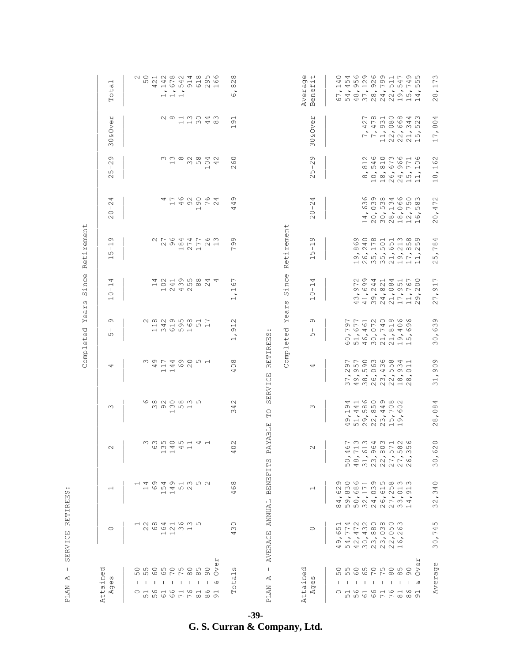| $\mathbf{I}$<br>R<br><b>PLAN</b>                                                                                                                                                                                     | SERVICE                                                                                                         | $\ddot{\phantom{0}}\phantom{0}\bullet\phantom{0}\bullet$<br>w<br>디<br><b>RETIRE</b> |                                                                                                        |                                                                                                                                                                  |                                                                                                                                                                                                           |                                                                                                                    |                                                                                                                                                                                                       |                                                                                       |                                                          |                                                                                                                                                                                                                                                                                                                                                                                    |                                                                                                                                                                                                                                                          |                                                                              |
|----------------------------------------------------------------------------------------------------------------------------------------------------------------------------------------------------------------------|-----------------------------------------------------------------------------------------------------------------|-------------------------------------------------------------------------------------|--------------------------------------------------------------------------------------------------------|------------------------------------------------------------------------------------------------------------------------------------------------------------------|-----------------------------------------------------------------------------------------------------------------------------------------------------------------------------------------------------------|--------------------------------------------------------------------------------------------------------------------|-------------------------------------------------------------------------------------------------------------------------------------------------------------------------------------------------------|---------------------------------------------------------------------------------------|----------------------------------------------------------|------------------------------------------------------------------------------------------------------------------------------------------------------------------------------------------------------------------------------------------------------------------------------------------------------------------------------------------------------------------------------------|----------------------------------------------------------------------------------------------------------------------------------------------------------------------------------------------------------------------------------------------------------|------------------------------------------------------------------------------|
|                                                                                                                                                                                                                      |                                                                                                                 |                                                                                     |                                                                                                        |                                                                                                                                                                  |                                                                                                                                                                                                           | Completed                                                                                                          | Since<br>Years                                                                                                                                                                                        | Retirement                                                                            |                                                          |                                                                                                                                                                                                                                                                                                                                                                                    |                                                                                                                                                                                                                                                          |                                                                              |
| Attained<br>w<br>$\mathbb U$<br>ত<br>A                                                                                                                                                                               | $\circ$                                                                                                         | $\overline{\phantom{0}}$                                                            | $\sim$                                                                                                 | $\infty$                                                                                                                                                         | 4                                                                                                                                                                                                         | $\circ$<br>-1<br>ഗ                                                                                                 | 4<br>$\overline{\phantom{0}}$<br>$\mathbf{I}$<br>$\circ$<br>$\overline{\phantom{0}}$                                                                                                                  | c)<br>$\overline{\phantom{0}}$<br>$\mathbf{I}$<br>ഗ<br>$\overline{\phantom{0}}$       | 4<br>$\sim$<br>т.<br>$\circ$<br>$\sim$                   | Ō<br>$\sim$<br>$\mathbf{I}$<br>ഗ<br>$\sim$                                                                                                                                                                                                                                                                                                                                         | <b>O&amp;Over</b><br>$\infty$                                                                                                                                                                                                                            | ⊣<br>đ<br>Toti                                                               |
| ഗ<br>$\mathbf{L}$                                                                                                                                                                                                    |                                                                                                                 |                                                                                     |                                                                                                        |                                                                                                                                                                  |                                                                                                                                                                                                           |                                                                                                                    |                                                                                                                                                                                                       |                                                                                       |                                                          |                                                                                                                                                                                                                                                                                                                                                                                    |                                                                                                                                                                                                                                                          |                                                                              |
| o n o n o n o n o<br>n o n o n o n o z<br>n o n o n o n o z<br>$\mathbf{L}$<br>0 1 6 1 6 1 6 1 6 1<br>$\mathfrak{w}\mathfrak{w}\mathfrak{w}\mathfrak{w}\mathfrak{w}\mathfrak{w}\mathfrak{w}\mathfrak{w}\mathfrak{w}$ | 12841635<br>200023                                                                                              | 1 4 9 4 9 4 9 70 70<br><u>4 6 10 4 10 01</u>                                        | mmbonddi                                                                                               | O                                                                                                                                                                | 4                                                                                                                                                                                                         | 28295817<br>$\overline{\phantom{a}}$<br>$\overline{\phantom{0}}$                                                   |                                                                                                                                                                                                       |                                                                                       |                                                          |                                                                                                                                                                                                                                                                                                                                                                                    |                                                                                                                                                                                                                                                          | $\begin{array}{c} \n 0 \\  0 \\  0 \\  \end{array}$<br>4                     |
| $\mathbf{1}$ $\mathbf{1}$                                                                                                                                                                                            | $\overline{a}$                                                                                                  | $\overline{a}$                                                                      | 0 W 4 4 4<br>$\overline{\phantom{a}}$                                                                  | $\begin{array}{c} \infty \, \, \sim \, \infty \, \, \sim \, \infty \, \, \sim \, \infty \, \, \sim \, \infty \end{array}$<br>$\omega$ $\omega$ $\omega$ $\omega$ | の749051<br>$\overline{\phantom{0}}$<br>$\overline{a}$                                                                                                                                                     | 34                                                                                                                 | 4219584440419958                                                                                                                                                                                      | 27644763                                                                              |                                                          |                                                                                                                                                                                                                                                                                                                                                                                    |                                                                                                                                                                                                                                                          | 2 4 5 4 5 6 6 7 4 5 6 6 7 5 6 7 6 7 6 7 6                                    |
| $\blacksquare$                                                                                                                                                                                                       |                                                                                                                 |                                                                                     |                                                                                                        | $\overline{\phantom{0}}$                                                                                                                                         | $\overline{\mathcal{A}}$                                                                                                                                                                                  |                                                                                                                    | $\begin{array}{c} \begin{array}{c} \begin{array}{c} \end{array} & \begin{array}{c} \end{array} & \begin{array}{c} \end{array} & \end{array} & \begin{array}{c} \end{array} & \end{array} \end{array}$ |                                                                                       |                                                          | $\overline{\phantom{0}}$                                                                                                                                                                                                                                                                                                                                                           |                                                                                                                                                                                                                                                          | $\overline{\phantom{a}}$<br>$\overline{a}$ $\overline{a}$                    |
| $\mathbf{1}$                                                                                                                                                                                                         |                                                                                                                 |                                                                                     |                                                                                                        |                                                                                                                                                                  | $\circ$ $\circ$                                                                                                                                                                                           |                                                                                                                    |                                                                                                                                                                                                       |                                                                                       |                                                          |                                                                                                                                                                                                                                                                                                                                                                                    |                                                                                                                                                                                                                                                          |                                                                              |
| $\blacksquare$                                                                                                                                                                                                       |                                                                                                                 |                                                                                     |                                                                                                        |                                                                                                                                                                  |                                                                                                                                                                                                           |                                                                                                                    |                                                                                                                                                                                                       | $\begin{array}{c} \rightleftarrows & \sim & \rightarrow \\ \sim & \sim & \end{array}$ |                                                          |                                                                                                                                                                                                                                                                                                                                                                                    |                                                                                                                                                                                                                                                          |                                                                              |
| $\mathbf{1}$                                                                                                                                                                                                         |                                                                                                                 |                                                                                     |                                                                                                        |                                                                                                                                                                  |                                                                                                                                                                                                           | 0.0000000                                                                                                          |                                                                                                                                                                                                       | 2987721                                                                               | セイタンのですよりでしょう<br>$\overline{\phantom{0}}$                | $\omega \; \text{to} \; \text{to} \; \text{4}$<br>$\overline{\phantom{0}}$                                                                                                                                                                                                                                                                                                         | 2813043<br>$\rightarrow$ $\rightarrow$ $\rightarrow$ $\rightarrow$ $\rightarrow$ $\rightarrow$                                                                                                                                                           | 1659621                                                                      |
| ΑÄ<br>ು                                                                                                                                                                                                              |                                                                                                                 |                                                                                     |                                                                                                        |                                                                                                                                                                  |                                                                                                                                                                                                           |                                                                                                                    |                                                                                                                                                                                                       |                                                                                       |                                                          |                                                                                                                                                                                                                                                                                                                                                                                    |                                                                                                                                                                                                                                                          |                                                                              |
| ω<br>$\frac{1}{6}$<br>$\overline{C}$<br>Н                                                                                                                                                                            | $\circ$<br>$\infty$<br>₹                                                                                        | $\infty$<br>$\circ$<br>4                                                            | $\sim$<br>$\circ$<br>4                                                                                 | $\sim$<br>4<br>$\infty$                                                                                                                                          | $\infty$<br>$\circ$<br>4                                                                                                                                                                                  | $\sim$<br>$\overline{5}$<br>$\overline{\phantom{a}}$<br>$\overline{\phantom{0}}$                                   | ∼<br>نَ<br>$\overline{\phantom{0}}$<br>$\overline{\phantom{a}}$<br>$\overline{\phantom{0}}$                                                                                                           | $\circ$<br>c)<br>$\overline{ }$                                                       | Ō<br>4<br>4                                              | $\circ$<br>$\circ$<br>$\sim$                                                                                                                                                                                                                                                                                                                                                       | $\overline{\phantom{0}}$<br>c)<br>$\overline{\phantom{0}}$                                                                                                                                                                                               | $\infty$<br>$\sim$<br>$\infty$<br>$\overline{\phantom{a}}$<br>$\circ$        |
|                                                                                                                                                                                                                      |                                                                                                                 |                                                                                     |                                                                                                        |                                                                                                                                                                  |                                                                                                                                                                                                           |                                                                                                                    |                                                                                                                                                                                                       |                                                                                       |                                                          |                                                                                                                                                                                                                                                                                                                                                                                    |                                                                                                                                                                                                                                                          |                                                                              |
| $\mathbf{I}$<br>К<br><b>PLAN</b>                                                                                                                                                                                     | <b>AVERAGE</b>                                                                                                  | ENE <sub>1</sub><br>$\mathbf m$<br>ANNUAL                                           | PÄ<br>$\Omega$<br>н<br>Ē                                                                               | PO<br>YABLE                                                                                                                                                      | SERVICE                                                                                                                                                                                                   | RETIREES                                                                                                           |                                                                                                                                                                                                       |                                                                                       |                                                          |                                                                                                                                                                                                                                                                                                                                                                                    |                                                                                                                                                                                                                                                          |                                                                              |
|                                                                                                                                                                                                                      |                                                                                                                 |                                                                                     |                                                                                                        |                                                                                                                                                                  |                                                                                                                                                                                                           | Yea<br>Completed                                                                                                   | Since<br>ω<br>Ĥ                                                                                                                                                                                       | Retirement                                                                            |                                                          |                                                                                                                                                                                                                                                                                                                                                                                    |                                                                                                                                                                                                                                                          |                                                                              |
| Attained                                                                                                                                                                                                             |                                                                                                                 |                                                                                     |                                                                                                        |                                                                                                                                                                  |                                                                                                                                                                                                           |                                                                                                                    |                                                                                                                                                                                                       |                                                                                       |                                                          |                                                                                                                                                                                                                                                                                                                                                                                    |                                                                                                                                                                                                                                                          | Average                                                                      |
| ω<br>$\mathbb U$<br>ত<br>R                                                                                                                                                                                           | $\circ$                                                                                                         | $\overline{\phantom{0}}$                                                            | $\sim$                                                                                                 | $\infty$                                                                                                                                                         | 4                                                                                                                                                                                                         | $\sigma$<br>п<br>ഗ                                                                                                 | 4<br>$\overline{\phantom{0}}$<br>$\mathbf{I}$<br>$\circ$<br>$\overline{\phantom{0}}$                                                                                                                  | Ō<br>$\overline{\phantom{0}}$<br>$\mathbf{I}$<br>ഗ<br>$\overline{\phantom{0}}$        | 4<br>$\sim$<br>$\mathbf{I}$<br>$\circ$<br>$\sim$         | Ō<br>$\sim$<br>$\mathbf{I}$<br>ഗ<br>$\sim$                                                                                                                                                                                                                                                                                                                                         | <b>O&amp;Over</b><br>$\infty$                                                                                                                                                                                                                            | $\ddot{+}$<br>Benef                                                          |
| $\mathbf{I}$                                                                                                                                                                                                         | ഗ<br>$\circ$<br>$\sim$                                                                                          | $\overline{\phantom{a}}$                                                            |                                                                                                        |                                                                                                                                                                  |                                                                                                                                                                                                           |                                                                                                                    |                                                                                                                                                                                                       |                                                                                       |                                                          |                                                                                                                                                                                                                                                                                                                                                                                    |                                                                                                                                                                                                                                                          | $\circ$<br>4<br>$\overline{\phantom{0}}$<br>٠<br>$\overline{ }$              |
| c n o n o n o n o y<br>o n o n o n o n o y<br>$\mathbf{1}$ $\mathbf{1}$ $\mathbf{1}$<br>0 1 6 1 6 1 6 1 6 1<br>nn v v r r w w o                                                                                      | 4 7 7 7 9 8 9 7<br>$P P M$ $Q M$<br>$\overline{r}$ 4<br>$\overline{\phantom{a}}$<br>O 4 N O M M N W<br>45432221 | o o co do mo co co co<br>238731511<br>c c c c c c c c c c<br>$\sim$<br>490246734    | フラヨウユフ<br>$\circ$<br>4<br>$\overline{r}$<br>$\overline{\phantom{a}}$<br>0 8 8 9 9 1 9 1 9 1<br>5432222 | 4<br>o 4 8 5 4<br>$\overline{\phantom{0}}$<br>$\sigma$ $\rightarrow$ $\sigma$ $\sim$ $\sim$ $\sim$ $\sim$ $\sim$<br>4522214                                      | フフロミヒ841<br>U O<br>$\begin{array}{ccc} \mathcal{O} & \mathcal{O} & \mathcal{O} \end{array}$<br>$\overline{\phantom{a}}$<br>$P$ $\alpha$ $\alpha$ $\alpha$ $\alpha$ $\alpha$ $\alpha$ $\alpha$<br>$\infty$ | $\overline{ }$<br>$\overline{ }$<br>c)<br>$\overline{\phantom{0}}$<br>$\circ$<br>$\overline{ }$<br><b>65432244</b> | $\overline{ }$                                                                                                                                                                                        |                                                                                       |                                                          |                                                                                                                                                                                                                                                                                                                                                                                    |                                                                                                                                                                                                                                                          | 4 G Q G Q H L Q D<br><b>SSSS</b><br>491975575<br>487842954<br>6543222111     |
|                                                                                                                                                                                                                      | 4<br>$\overline{\phantom{a}}$                                                                                   |                                                                                     | $\overline{\phantom{a}}$                                                                               | 4 IV                                                                                                                                                             | $\tilde{\phantom{a}}$                                                                                                                                                                                     | $\overline{6}$<br>4                                                                                                | $\overline{\phantom{a}}$<br>$\overline{\phantom{a}}$<br>4                                                                                                                                             | 9<br>$\sim$<br>$\infty$                                                               | $\infty$<br>$\circ$                                      |                                                                                                                                                                                                                                                                                                                                                                                    |                                                                                                                                                                                                                                                          |                                                                              |
| $\mathbf{I}$                                                                                                                                                                                                         | $\overline{\phantom{0}}$<br>$\overline{\phantom{a}}$                                                            | $\sim$ $ \sim$ $ \sim$                                                              | 1160785<br>co co co co co<br>$\overline{\phantom{a}}$<br>$\overline{\phantom{a}}$                      | $\begin{array}{c} \n\hline\n\end{array}$ $\begin{array}{c} \n\hline\n\end{array}$ $\begin{array}{c} \n\hline\n\end{array}$<br>$\infty$                           | $O$ $O$ $O$ $O$<br>$\tilde{\phantom{a}}$<br>$\overline{\phantom{a}}$<br>4 3 3 4 5 4 6                                                                                                                     | $\overline{0}$                                                                                                     | $\omega$ $\omega$ $\Delta$ $\Delta$<br>$OQ \nightharpoonup Q$<br>O G C C C C C C C<br>$\overline{\phantom{a}}$<br>31941719<br><b>A</b> W W H                                                          | оомнн моо<br>4705155<br>9 6 5 5 4 9 7 4<br>9 7 9 9 9 9 7 4                            | 0000 <del>4</del> 000<br>1232111                         | 2000000<br>$\begin{array}{c} 1 & 4 & -1 & -6 & -1 \\ 0 & 0 & 0 & 0 & -1 \\ 0 & 0 & 0 & 0 & 0 \\ 0 & 0 & 0 & 0 & 0 \\ 0 & 0 & 0 & 0 & 0 \\ 0 & 0 & 0 & 0 & 0 \\ 0 & 0 & 0 & 0 & 0 \\ 0 & 0 & 0 & 0 & 0 \\ 0 & 0 & 0 & 0 & 0 \\ 0 & 0 & 0 & 0 & 0 \\ 0 & 0 & 0 & 0 & 0 \\ 0 & 0 & 0 & 0 & 0 \\ 0 & 0 & 0 & 0 & 0 \\ 0 & 0 & 0 & 0 & 0 \\ 0 &$<br>$\overline{\phantom{a}}$<br>000000H | <b>7840843</b><br>$4790$<br>$4900$<br>$\frac{1}{2}$                                                                                                                                                                                                      |                                                                              |
| $\mathbf{1}$                                                                                                                                                                                                         | $\infty \circ \circ \circ \circ$<br>$\sim$                                                                      | $\overline{\phantom{a}}$                                                            | $\overline{\phantom{a}}$                                                                               | $\rightarrow$ $\sim$                                                                                                                                             | $\hat{\phantom{a}}$                                                                                                                                                                                       | $\mathcal{O}\quad \mathcal{O}\quad \mathcal{O}\quad \mathcal{O}\quad \mathcal{O}$<br>4<br>$\overline{ }$           | $\overline{\phantom{a}}$                                                                                                                                                                              |                                                                                       | m m m ω ω ω<br>$O$ $O$ $H$                               | $\tilde{\phantom{a}}$<br>112211                                                                                                                                                                                                                                                                                                                                                    |                                                                                                                                                                                                                                                          |                                                                              |
|                                                                                                                                                                                                                      | $\overline{\phantom{a}}$                                                                                        |                                                                                     |                                                                                                        | $\circ$                                                                                                                                                          | $\hat{\phantom{a}}$                                                                                                                                                                                       | $\overline{8}$                                                                                                     | $\tilde{\phantom{a}}$                                                                                                                                                                                 |                                                                                       |                                                          | $\hat{}$                                                                                                                                                                                                                                                                                                                                                                           | $\frac{1}{10}$ $\frac{1}{10}$ $\frac{1}{10}$ $\frac{1}{10}$<br>$\begin{array}{c} \begin{array}{c} \begin{array}{c} \end{array} & \begin{array}{c} \end{array} & \begin{array}{c} \end{array} \\ \begin{array}{c} \end{array} \\ \end{array} \end{array}$ | $\overline{ }$                                                               |
| $\mathbf{I}$                                                                                                                                                                                                         |                                                                                                                 | $\sim$ $\sim$ $\sim$                                                                |                                                                                                        | $\circ$<br>$\circ$                                                                                                                                               | $\infty$                                                                                                                                                                                                  | $\circ$<br>4 0                                                                                                     | 51                                                                                                                                                                                                    |                                                                                       |                                                          | $\hat{\phantom{a}}$                                                                                                                                                                                                                                                                                                                                                                | $\circ$                                                                                                                                                                                                                                                  | $\overline{4}$                                                               |
| $\mathbf{L}$                                                                                                                                                                                                         |                                                                                                                 |                                                                                     |                                                                                                        |                                                                                                                                                                  | $\overline{ }$                                                                                                                                                                                            | $\sigma$                                                                                                           | $\overline{ }$<br>$\omega$<br>$\overline{\phantom{a}}$<br>$\overline{M}$ $\overline{N}$                                                                                                               | $\infty$ $\sim$                                                                       | $OF$ in                                                  | $\overline{\phantom{a}}$                                                                                                                                                                                                                                                                                                                                                           | $4\sigma$<br>6 w m                                                                                                                                                                                                                                       | 4                                                                            |
| ΑÄ<br>చ                                                                                                                                                                                                              |                                                                                                                 |                                                                                     |                                                                                                        |                                                                                                                                                                  |                                                                                                                                                                                                           |                                                                                                                    | $\circ$<br>$\overline{\phantom{a}}$                                                                                                                                                                   |                                                                                       |                                                          | $\circ$<br>$\overline{ }$<br>$\overline{\phantom{a}}$                                                                                                                                                                                                                                                                                                                              |                                                                                                                                                                                                                                                          | ഗ                                                                            |
| $\mathbb U$<br>Averag                                                                                                                                                                                                | ഗ<br>4<br>$\overline{\phantom{0}}$<br>$\overline{\circ}$<br>$\infty$                                            | $\circ$<br>4<br>$\infty$<br>٠<br>$\sim$<br>$\infty$                                 | o<br>$\mathcal{S}$<br>30,                                                                              | 8,084<br>$\mathcal{L}$                                                                                                                                           | O<br>$\overline{0}$<br>31,                                                                                                                                                                                | $\circ$<br>$\mathcal{S}$<br>30,                                                                                    | $\overline{ }$<br>$\frac{1}{\sqrt{2}}$<br>7.<br>$\sim$                                                                                                                                                | 4<br>$\infty$<br>$\overline{\phantom{0}}$<br>$\overline{\phantom{a}}$<br>ഗ<br>$\sim$  | $\mathcal{L}$<br>$\overline{ }$<br>0, 4<br>$\mathcal{L}$ | $\frac{2}{6}$<br>$\overline{\phantom{0}}$<br>$\ddot{\phantom{1}}$<br>$\infty$<br>$\overline{\phantom{0}}$                                                                                                                                                                                                                                                                          | 4<br>$\dot{0}$<br>7,<br>$\overline{\phantom{0}}$                                                                                                                                                                                                         | 73<br>$\overline{\phantom{0}}$<br>$\ddot{\phantom{1}}$<br>$\infty$<br>$\sim$ |

**-39 - G. S. Curran & Company, Ltd.**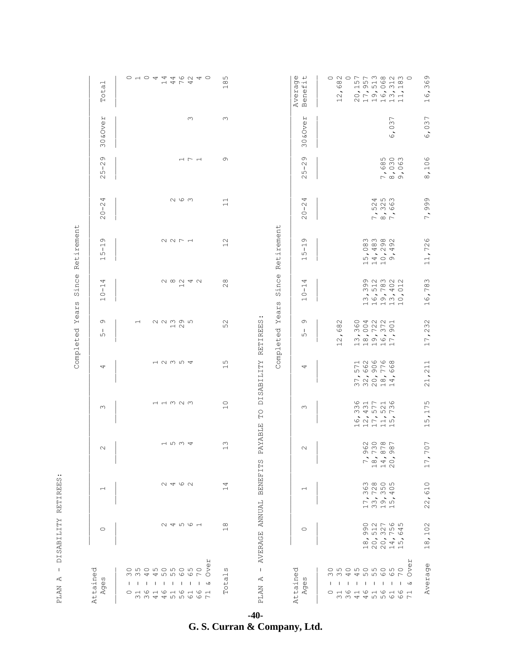|                                  | $\overline{\phantom{0}}$<br>Total                                                   |                                      | 0 1 0 4 4 4 6 6 4 0<br>$\begin{array}{c} \mathcal{A} \\ \mathcal{A} \end{array} \begin{array}{c} \mathcal{A} \\ \mathcal{A} \end{array}$                                                                                                                                                                                                                     |                                                                              | ഗ<br>$\infty$<br>$\overline{\phantom{0}}$  |                                  | $\mathbb U$<br>Benefit<br>Averag                                                      | ONONN M W N M O<br>$\frac{8}{6}$<br>$\ddot{\phantom{1}}$<br>$\sim$<br>$\sim$ $ -$<br>$\overline{a}$ $\overline{a}$<br>$\overline{\phantom{0}}$                                                                                                                                                                                                                                                                                                                                                                                                                                                                                                                                                                                                                                                                                                                                                   | 16,369                                                      |
|----------------------------------|-------------------------------------------------------------------------------------|--------------------------------------|--------------------------------------------------------------------------------------------------------------------------------------------------------------------------------------------------------------------------------------------------------------------------------------------------------------------------------------------------------------|------------------------------------------------------------------------------|--------------------------------------------|----------------------------------|---------------------------------------------------------------------------------------|--------------------------------------------------------------------------------------------------------------------------------------------------------------------------------------------------------------------------------------------------------------------------------------------------------------------------------------------------------------------------------------------------------------------------------------------------------------------------------------------------------------------------------------------------------------------------------------------------------------------------------------------------------------------------------------------------------------------------------------------------------------------------------------------------------------------------------------------------------------------------------------------------|-------------------------------------------------------------|
|                                  | 30&Over                                                                             |                                      |                                                                                                                                                                                                                                                                                                                                                              | $\infty$                                                                     | $\infty$                                   |                                  | 30&Over                                                                               | 6,037                                                                                                                                                                                                                                                                                                                                                                                                                                                                                                                                                                                                                                                                                                                                                                                                                                                                                            | 6,037                                                       |
|                                  | $\sigma$<br>$\sim$<br>-1<br>ഗ<br>$\sim$                                             |                                      |                                                                                                                                                                                                                                                                                                                                                              | 1171                                                                         | S                                          |                                  | $\sigma$<br>$\sim$<br>$\mathbf{I}$<br>ഗ<br>$\sim$                                     | 6<br>6<br>6<br>0<br>6<br>0<br>6<br>9<br>$\Gamma$ $\circ$ $\circ$                                                                                                                                                                                                                                                                                                                                                                                                                                                                                                                                                                                                                                                                                                                                                                                                                                 | 8,106                                                       |
|                                  | 4<br>$\sim$<br>$\mathbf{I}$<br>$\circ$<br>$\sim$                                    |                                      | $N$ $\circ$ $m$                                                                                                                                                                                                                                                                                                                                              |                                                                              | $\Xi$                                      |                                  | 4<br>$\sim$<br>$\mathbf{I}$<br>$\circ$<br>$\sim$                                      | $\frac{1}{n}$                                                                                                                                                                                                                                                                                                                                                                                                                                                                                                                                                                                                                                                                                                                                                                                                                                                                                    | 7,999                                                       |
| Since Retirement                 | $\circ$<br>$\overline{\phantom{0}}$<br>$\mathsf I$<br>ഗ<br>$\overline{\phantom{0}}$ |                                      | $\begin{matrix} 1 & 0 \\ 0 & 1 \end{matrix}$                                                                                                                                                                                                                                                                                                                 |                                                                              | 12                                         | Retirement                       | $\sigma$<br>$\overline{\phantom{0}}$<br>$\mathbf{I}$<br>ഗ<br>$\overline{\phantom{0}}$ | $\begin{array}{c}\n\hline\n\bullet & \bullet & \bullet \\ \hline\n\bullet & \bullet & \bullet\n\end{array}$<br>$\overline{\phantom{a}}$<br>$\overline{\phantom{0}}$                                                                                                                                                                                                                                                                                                                                                                                                                                                                                                                                                                                                                                                                                                                              | 11,726                                                      |
|                                  | 4<br>$\overline{1}$<br>$\circ$<br>$\overline{\phantom{0}}$                          |                                      | $\begin{matrix} 0 & 0 & 0 \\ 0 & 0 & 0 \\ 0 & 0 & 0 \\ 0 & 0 & 0 \\ 0 & 0 & 0 \\ 0 & 0 & 0 \\ 0 & 0 & 0 \\ 0 & 0 & 0 \\ 0 & 0 & 0 \\ 0 & 0 & 0 & 0 \\ 0 & 0 & 0 & 0 \\ 0 & 0 & 0 & 0 \\ 0 & 0 & 0 & 0 \\ 0 & 0 & 0 & 0 & 0 \\ 0 & 0 & 0 & 0 & 0 \\ 0 & 0 & 0 & 0 & 0 \\ 0 & 0 & 0 & 0 & 0 \\ 0 & 0 & 0 & 0 & 0 & 0 \\ 0 & 0 & 0$<br>$\overline{\phantom{0}}$ |                                                                              | $\infty$<br>$\sim$                         | Since<br>$\omega$                | 4<br>$\overline{\phantom{0}}$<br>л.<br>$\circ$<br>$\overline{\phantom{0}}$            | $\circledcirc \circledcirc \circledcirc \circledcirc \circledcirc$<br>$79100$<br>$7900$<br>$\overline{O}$<br><u>d d d d d</u>                                                                                                                                                                                                                                                                                                                                                                                                                                                                                                                                                                                                                                                                                                                                                                    | 16,783                                                      |
| Years<br>Completed               | $\sigma$<br>-1<br>ഗ                                                                 | $\overline{\phantom{0}}$             | $N$ $N$ $m$ $\infty$ $n$<br>$\overline{a}$                                                                                                                                                                                                                                                                                                                   |                                                                              | 52                                         | ear:<br>Σ<br>Completed           | G<br>-1<br>ഗ                                                                          | 682<br>$\odot$<br>$\omega$ $\subset$<br>m <sub>o</sub><br>$\mathrel{\sqsubset}$<br>$\tilde{\Omega}$<br>$\begin{picture}(16,15) \put(0,0){\line(1,0){155}} \put(15,0){\line(1,0){155}} \put(15,0){\line(1,0){155}} \put(15,0){\line(1,0){155}} \put(15,0){\line(1,0){155}} \put(15,0){\line(1,0){155}} \put(15,0){\line(1,0){155}} \put(15,0){\line(1,0){155}} \put(15,0){\line(1,0){155}} \put(15,0){\line(1,0){155}} \put(15,0){\line(1,0){155}} \$<br>$\overline{\phantom{0}}$<br><u>d d d d d</u>                                                                                                                                                                                                                                                                                                                                                                                             | 17,232                                                      |
|                                  | 4                                                                                   |                                      | 12334                                                                                                                                                                                                                                                                                                                                                        |                                                                              | ഗ<br>$\overline{\phantom{0}}$              | DISABILITY RETIREES:             | 4                                                                                     | $\begin{array}{c}\n 3700 \\  7000 \\  7000 \\  74\n \end{array}$                                                                                                                                                                                                                                                                                                                                                                                                                                                                                                                                                                                                                                                                                                                                                                                                                                 | 21, 211                                                     |
|                                  | $\infty$                                                                            |                                      | 11323                                                                                                                                                                                                                                                                                                                                                        |                                                                              | $\overline{C}$                             | $\Gamma$                         | $\infty$                                                                              | $6, 336$<br>$2, 457$<br>$7, 521$<br>$1, 521$<br>$1, 36$<br>$1, 1, 36$<br>$- + - - -$                                                                                                                                                                                                                                                                                                                                                                                                                                                                                                                                                                                                                                                                                                                                                                                                             | 5,175<br>$\overline{\phantom{0}}$                           |
|                                  | $\sim$                                                                              |                                      | 1534                                                                                                                                                                                                                                                                                                                                                         |                                                                              | Μ<br>$\overline{ }$                        | YABLE<br>PÄ.<br>S                | $\sim$                                                                                | $\begin{array}{c} \mathbb{C} \mathbb{C} \mathbb{C} \mathbb{C} \mathbb{C} \mathbb{C} \mathbb{C} \mathbb{C} \mathbb{C} \mathbb{C} \mathbb{C} \mathbb{C} \mathbb{C} \mathbb{C} \mathbb{C} \mathbb{C} \mathbb{C} \mathbb{C} \mathbb{C} \mathbb{C} \mathbb{C} \mathbb{C} \mathbb{C} \mathbb{C} \mathbb{C} \mathbb{C} \mathbb{C} \mathbb{C} \mathbb{C} \mathbb{C} \mathbb{C} \mathbb{C} \mathbb{C} \mathbb{C} \mathbb{C} \mathbb$<br>0.0000000<br>$\infty$<br>$\infty$ $\infty$<br>$\begin{array}{c}\n\ddots \\ \circ \\ \circ \\ \circ \\ \circ\n\end{array}$<br>$\lnot$ $\lnot$ $\lnot$                                                                                                                                                                                                                                                                                                              | 7,70<br>$\overline{\phantom{0}}$                            |
|                                  | $\overline{\phantom{0}}$                                                            |                                      | $\begin{matrix} 0 & 0 \\ 0 & 0 \end{matrix}$                                                                                                                                                                                                                                                                                                                 |                                                                              | 4<br>$\overline{\phantom{0}}$              | <b>BENEFIT</b>                   | $\overline{\phantom{0}}$                                                              | $m \, \omega \, \circ \, m$<br>$O$ $N$ $D$ $O$<br>$\sim$ $\sim$<br>$\omega$ 4<br>$\overline{\phantom{a}}$<br>$\overline{\phantom{0}}$<br>$\sim$<br>$P$ $M$ $D$ $D$<br>$\omega$<br>$\overline{\phantom{0}}$<br>$\overline{a}$                                                                                                                                                                                                                                                                                                                                                                                                                                                                                                                                                                                                                                                                     | 22,610                                                      |
| DISABILITY RETIREES:             | $\circ$                                                                             |                                      | 24561                                                                                                                                                                                                                                                                                                                                                        |                                                                              | $\infty$<br>$\overline{\phantom{0}}$       | AVERAGE ANNUAL                   | $\circ$                                                                               | 9 2 7 6 5<br>9 7 7 6 9<br>の5376<br>$\begin{picture}(180,170) \put(0,0){\line(1,0){150}} \put(15,0){\line(1,0){150}} \put(15,0){\line(1,0){150}} \put(15,0){\line(1,0){150}} \put(15,0){\line(1,0){150}} \put(15,0){\line(1,0){150}} \put(15,0){\line(1,0){150}} \put(15,0){\line(1,0){150}} \put(15,0){\line(1,0){150}} \put(15,0){\line(1,0){150}} \put(15,0){\line(1,0){150$<br>$\begin{array}{c} \begin{array}{c} \begin{array}{c} \text{1} \end{array} & \text{2} \end{array} & \text{3} \end{array} & \begin{array}{c} \text{4} \end{array} & \begin{array}{c} \text{5} \end{array} & \begin{array}{c} \text{6} \end{array} & \begin{array}{c} \text{7} \end{array} & \begin{array}{c} \text{8} \end{array} & \begin{array}{c} \text{9} \end{array} & \begin{array}{c} \text{1} \end{array} & \begin{array}{c} \text{1} \end{array} & \begin{array}{c} \text{1} \end{array} & \begin{array$ | $\rm ^{\circ}$<br>$\frac{1}{8}$<br>$\overline{\phantom{0}}$ |
| $\mathbf{I}$<br>К<br><b>PLAN</b> | Attained<br>Ages                                                                    | ო ო<br>4<br>л.<br>$\mathbf{I}$<br>л. | onononono<br>4 N N<br>$\mathbf{I}$<br>$\mathbf{I}$<br>$\mathbf{I}$<br>$\mathbf{I}$<br>0 1 6 1 6 1 6 1 6 1<br>ww4455667                                                                                                                                                                                                                                       | я<br>$\mathbb{O}$<br>$\delta$<br>$00 -$<br>$\mathbf{I}$<br>$\mathbf{I}$<br>ು | w<br>$\overline{\phantom{0}}$<br>ota.<br>Н | $\mathbf{I}$<br>A<br><b>PLAN</b> | Attained<br>w<br>Age:                                                                 | Я<br>$\mathbb U$<br>onononono<br>$\overline{\delta}$<br>4<br>ო ო<br>4 N N<br>000<br>$\mathbf{I}$<br>$\mathbf{I}$<br>$\mathbf{I}$<br>$\mathbf{I}$<br>-1<br>$\mathbf{I}$<br>Τ.<br>$\mathbf{1}$<br>ು<br>Τ.<br>0 1 0 1 0 1 0 1 0 1<br>mm4455667                                                                                                                                                                                                                                                                                                                                                                                                                                                                                                                                                                                                                                                      | Average                                                     |

**-40 - G. S. Curran & Company, Ltd.**

PLAN A - DISABILITY RETIREES: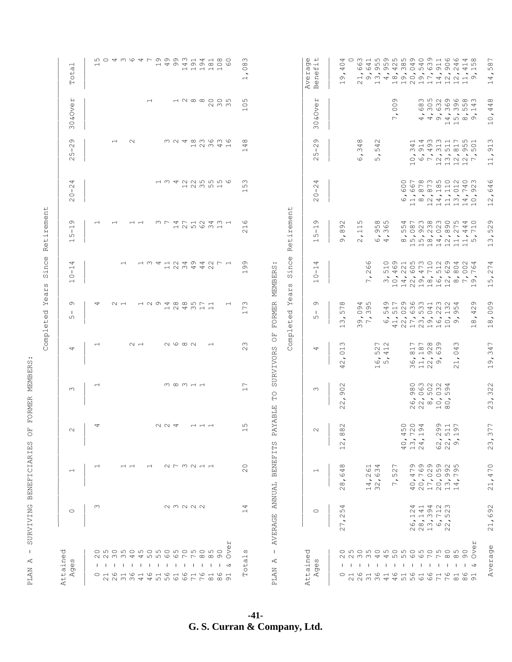| י<br>ו<br>ا<br>ı<br>I                                                             |
|-----------------------------------------------------------------------------------|
| l<br>l<br>$\overline{\phantom{a}}$<br>$\frac{1}{2}$<br>ł                          |
| Г<br>ł<br>Ó                                                                       |
| ひーー しょうしょう しょうしゃ<br>$\frac{1}{4}$<br>ł<br>j<br>ı<br>l<br>$\overline{\phantom{a}}$ |
| くりょ<br>)<br>ı<br> <br> <br> <br> <br> <br> <br>١<br>ı<br>Ì                        |
| ı                                                                                 |
| i                                                                                 |
| ļ                                                                                 |

Completed Years Since Retirement

|                                                                                                                          |                                                                                                                                                                                                                                                                     |                                                                                  |                                                                                                                                        |                                            |                                                                                                                                                                                                     | Year<br>Completed                                                                  | ince<br>U)<br>w                                                                                 | Retirement                                                                                      |                                                                         |                                                             |                                                                                                                                                                                                                                                                                                                                                                                                                 |                                                                                                |
|--------------------------------------------------------------------------------------------------------------------------|---------------------------------------------------------------------------------------------------------------------------------------------------------------------------------------------------------------------------------------------------------------------|----------------------------------------------------------------------------------|----------------------------------------------------------------------------------------------------------------------------------------|--------------------------------------------|-----------------------------------------------------------------------------------------------------------------------------------------------------------------------------------------------------|------------------------------------------------------------------------------------|-------------------------------------------------------------------------------------------------|-------------------------------------------------------------------------------------------------|-------------------------------------------------------------------------|-------------------------------------------------------------|-----------------------------------------------------------------------------------------------------------------------------------------------------------------------------------------------------------------------------------------------------------------------------------------------------------------------------------------------------------------------------------------------------------------|------------------------------------------------------------------------------------------------|
| ರ<br>Attaine<br>Ages                                                                                                     | $\circ$                                                                                                                                                                                                                                                             | $\overline{\phantom{0}}$                                                         | $\sim$                                                                                                                                 | ო                                          | 4                                                                                                                                                                                                   | ᡡ<br>ഗ                                                                             | ↵<br>$\overline{\phantom{m}}$<br>л.<br>$\circ$<br>$\overline{\phantom{0}}$                      | c)<br>$\overline{\phantom{0}}$<br>п.<br>ഗ<br>$\overline{\phantom{0}}$                           | 4<br>$\sim$<br>л.<br>$\circ$<br>$\sim$                                  | O)<br>$\sim$<br>$\mathbf{I}$<br>ഗ<br>$\sim$                 | O&Over<br>$\infty$                                                                                                                                                                                                                                                                                                                                                                                              | ⊣<br>ർ<br>$\overline{C}$<br>Ĥ                                                                  |
|                                                                                                                          | $\infty$                                                                                                                                                                                                                                                            | $\overline{\phantom{0}}$                                                         | 4                                                                                                                                      | $\overline{ }$                             | $\overline{\phantom{0}}$                                                                                                                                                                            | ↴                                                                                  |                                                                                                 | $\blacksquare$                                                                                  |                                                                         |                                                             |                                                                                                                                                                                                                                                                                                                                                                                                                 | $\overline{\phantom{0}}$                                                                       |
| o n o n o n o n o n o n o n o<br>1 1 1 1 1 1 1 1 1 1 1 1 1 1 1 3<br>0 1 0 1 0 1 0 1 0 1 0 1 0 1 0 1 0 1                  |                                                                                                                                                                                                                                                                     |                                                                                  |                                                                                                                                        |                                            |                                                                                                                                                                                                     |                                                                                    |                                                                                                 | $\overline{\phantom{0}}$                                                                        |                                                                         | $\overline{\phantom{0}}$                                    |                                                                                                                                                                                                                                                                                                                                                                                                                 |                                                                                                |
|                                                                                                                          |                                                                                                                                                                                                                                                                     |                                                                                  |                                                                                                                                        |                                            |                                                                                                                                                                                                     | $\sim$ $\overline{a}$                                                              |                                                                                                 |                                                                                                 |                                                                         |                                                             |                                                                                                                                                                                                                                                                                                                                                                                                                 |                                                                                                |
|                                                                                                                          |                                                                                                                                                                                                                                                                     | $\overline{a}$                                                                   |                                                                                                                                        |                                            |                                                                                                                                                                                                     |                                                                                    |                                                                                                 |                                                                                                 |                                                                         | $\sim$                                                      |                                                                                                                                                                                                                                                                                                                                                                                                                 |                                                                                                |
|                                                                                                                          |                                                                                                                                                                                                                                                                     |                                                                                  |                                                                                                                                        |                                            | $\sim$ $\sim$                                                                                                                                                                                       | 123488571                                                                          | പ ന                                                                                             | $\overline{\phantom{a}}$                                                                        |                                                                         |                                                             |                                                                                                                                                                                                                                                                                                                                                                                                                 |                                                                                                |
|                                                                                                                          |                                                                                                                                                                                                                                                                     | $\overline{\phantom{0}}$                                                         |                                                                                                                                        |                                            |                                                                                                                                                                                                     |                                                                                    |                                                                                                 |                                                                                                 |                                                                         |                                                             | $\overline{\phantom{0}}$                                                                                                                                                                                                                                                                                                                                                                                        |                                                                                                |
|                                                                                                                          |                                                                                                                                                                                                                                                                     |                                                                                  |                                                                                                                                        |                                            |                                                                                                                                                                                                     |                                                                                    |                                                                                                 |                                                                                                 |                                                                         |                                                             |                                                                                                                                                                                                                                                                                                                                                                                                                 |                                                                                                |
|                                                                                                                          | $\begin{array}{c} \mathcal{O} \end{array} \begin{array}{c} \mathcal{O} \end{array} \begin{array}{c} \mathcal{O} \end{array} \begin{array}{c} \mathcal{O} \end{array} \begin{array}{c} \mathcal{O} \end{array} \begin{array}{c} \mathcal{O} \end{array} \end{array}$ | 2 フランユュ                                                                          | UU4                                                                                                                                    | $m \infty$ $m \in \mathbb{H}$              | $N$ $\circ$ $\circ$ $N$                                                                                                                                                                             | 124311                                                                             | 123442                                                                                          |                                                                                                 |                                                                         |                                                             |                                                                                                                                                                                                                                                                                                                                                                                                                 |                                                                                                |
|                                                                                                                          |                                                                                                                                                                                                                                                                     |                                                                                  |                                                                                                                                        |                                            |                                                                                                                                                                                                     |                                                                                    |                                                                                                 |                                                                                                 |                                                                         |                                                             |                                                                                                                                                                                                                                                                                                                                                                                                                 |                                                                                                |
|                                                                                                                          |                                                                                                                                                                                                                                                                     |                                                                                  |                                                                                                                                        |                                            |                                                                                                                                                                                                     |                                                                                    |                                                                                                 |                                                                                                 |                                                                         |                                                             |                                                                                                                                                                                                                                                                                                                                                                                                                 |                                                                                                |
|                                                                                                                          |                                                                                                                                                                                                                                                                     |                                                                                  |                                                                                                                                        |                                            |                                                                                                                                                                                                     |                                                                                    |                                                                                                 |                                                                                                 |                                                                         |                                                             |                                                                                                                                                                                                                                                                                                                                                                                                                 | $\overline{ }$                                                                                 |
|                                                                                                                          |                                                                                                                                                                                                                                                                     |                                                                                  |                                                                                                                                        |                                            |                                                                                                                                                                                                     |                                                                                    |                                                                                                 |                                                                                                 |                                                                         |                                                             |                                                                                                                                                                                                                                                                                                                                                                                                                 | 4                                                                                              |
|                                                                                                                          |                                                                                                                                                                                                                                                                     |                                                                                  |                                                                                                                                        |                                            | $\overline{\phantom{0}}$                                                                                                                                                                            |                                                                                    | 412494271                                                                                       | ミフュワエクスピュラ ユスラのシュ                                                                               | 134225556<br>12351                                                      | m N & 8 W 6 W 6<br>$-1$ $\sim$ $-1$                         | $\begin{array}{c} \n 1 & \text{if } \mathcal{A} \n 1 & \text{if } \mathcal{A} \n 1 & \text{if } \mathcal{A} \n 1 & \text{if } \mathcal{A} \n 1 & \text{if } \mathcal{A} \n 1 & \text{if } \mathcal{A} \n 1 & \text{if } \mathcal{A} \n 1 & \text{if } \mathcal{A} \n 1 & \text{if } \mathcal{A} \n 1 & \text{if } \mathcal{A} \n 1 & \text{if } \mathcal{A} \n 1 & \text{if } \mathcal$<br>$\sim$ $\sim$ $\sim$ | $\overline{a}$ $\alpha$ $\alpha$<br>H A Q A Q Q Q Q Q<br>-----                                 |
|                                                                                                                          |                                                                                                                                                                                                                                                                     |                                                                                  |                                                                                                                                        |                                            |                                                                                                                                                                                                     |                                                                                    |                                                                                                 |                                                                                                 |                                                                         |                                                             |                                                                                                                                                                                                                                                                                                                                                                                                                 |                                                                                                |
| $\mathsf{H}$<br>$\mathbb O$<br>$\overline{\delta}$                                                                       |                                                                                                                                                                                                                                                                     |                                                                                  |                                                                                                                                        |                                            |                                                                                                                                                                                                     | $\overline{\phantom{0}}$                                                           |                                                                                                 |                                                                                                 |                                                                         |                                                             |                                                                                                                                                                                                                                                                                                                                                                                                                 |                                                                                                |
| ω<br>ta1<br>$\circ$<br>Н                                                                                                 | 4<br>$\overline{\phantom{0}}$                                                                                                                                                                                                                                       | $\circ$<br>$\sim$                                                                | ഗ<br>$\overline{\phantom{0}}$                                                                                                          | $\overline{ }$<br>$\overline{\phantom{0}}$ | $\infty$<br>$\sim$                                                                                                                                                                                  | ω<br>$\overline{\phantom{0}}$<br>$\overline{\phantom{0}}$                          | Ō<br>$\circ$<br>$\overline{\phantom{0}}$                                                        | $\circ$<br>$\overline{\phantom{0}}$<br>$\sim$                                                   | $\infty$<br>ഗ<br>$\overline{\phantom{0}}$                               | $\infty$<br>4<br>$\overline{\phantom{0}}$                   | ഗ<br>$\circ$<br>$\overline{\phantom{0}}$                                                                                                                                                                                                                                                                                                                                                                        | $\infty$<br>$\infty$<br>$\circ$<br>$\overline{\phantom{a}}$<br>$\overline{\phantom{0}}$        |
| $\mathbf I$<br>Ą<br><b>PLAN</b>                                                                                          | AVERAGE ANNUAL                                                                                                                                                                                                                                                      | <b>BENEFITS</b>                                                                  | <b>AYABLE</b><br>$\mathsf{p}$                                                                                                          | $\Gamma$ O                                 | SURVIVORS OF                                                                                                                                                                                        |                                                                                    | FORMER MEMBERS:                                                                                 |                                                                                                 |                                                                         |                                                             |                                                                                                                                                                                                                                                                                                                                                                                                                 |                                                                                                |
|                                                                                                                          |                                                                                                                                                                                                                                                                     |                                                                                  |                                                                                                                                        |                                            |                                                                                                                                                                                                     | $\mathbb O$<br>≻<br>Completed                                                      | ince<br>$\mathcal{O}$<br>ω<br>ЯZ                                                                | Retirement                                                                                      |                                                                         |                                                             |                                                                                                                                                                                                                                                                                                                                                                                                                 |                                                                                                |
| ರ<br>Attaine<br>$\overset{\circ}{\oplus}$<br>Ăğ                                                                          | $\circ$                                                                                                                                                                                                                                                             | $\overline{\phantom{0}}$                                                         | $\sim$                                                                                                                                 | $\infty$                                   | 4                                                                                                                                                                                                   | O)<br>ഗ                                                                            | 4<br>$\overline{\phantom{0}}$<br>л.<br>$\circ$<br>$\overline{\phantom{0}}$                      | c)<br>$\overline{\phantom{0}}$<br>$\mathbf{I}$<br>ഗ<br>$\overline{\phantom{0}}$                 | 4<br>$\mathbb{N}$<br>Τ.<br>$\circ$<br>$\sim$                            | $\sigma$<br>$\sim$<br>Τ.<br>ഗ<br>$\sim$                     | Я<br>O&Ove<br>$\infty$                                                                                                                                                                                                                                                                                                                                                                                          | $\mathbb{O}$ $\mathbb{L}$<br>Average<br>$\cdot$ H<br>Benef:                                    |
|                                                                                                                          |                                                                                                                                                                                                                                                                     |                                                                                  |                                                                                                                                        |                                            |                                                                                                                                                                                                     |                                                                                    |                                                                                                 |                                                                                                 |                                                                         |                                                             |                                                                                                                                                                                                                                                                                                                                                                                                                 |                                                                                                |
| o w o w o w o w o w o w o                                                                                                | 4<br>ഗ<br>$\sim$<br>$\overline{\phantom{a}}$<br>$\mathrel{\sim}$<br>$\sim$                                                                                                                                                                                          | $\infty$<br>4<br>$\dot{\circ}$<br>$\overline{\phantom{a}}$<br>$\infty$<br>$\sim$ | $\sim$<br>$\infty$<br>$\infty$<br>$\overline{\phantom{a}}$<br>$\sim$<br>$\overline{\phantom{0}}$                                       | $\sim$<br>$\overline{0}$<br>22             | $\infty$<br>$\overline{\circ}$<br>$\overline{\phantom{a}}$<br>$\sim$<br>4                                                                                                                           | $\infty$<br>57<br>$\overline{\phantom{a}}$<br>$\infty$<br>$\overline{\phantom{0}}$ |                                                                                                 | $\Im$<br>$\infty$<br>$\overline{\phantom{a}}$<br>$\sigma$                                       |                                                                         |                                                             |                                                                                                                                                                                                                                                                                                                                                                                                                 | 4<br>$\circ$<br>$\circ$<br>4<br>$\ddot{\phantom{1}}$<br>$\sigma$<br>$\overline{\phantom{0}}$   |
|                                                                                                                          |                                                                                                                                                                                                                                                                     |                                                                                  |                                                                                                                                        |                                            |                                                                                                                                                                                                     | ω.                                                                                 |                                                                                                 | ഗ<br>$\overline{\phantom{0}}$<br>$\overline{\phantom{0}}$<br>$\overline{\phantom{a}}$<br>$\sim$ |                                                                         | 6,348                                                       |                                                                                                                                                                                                                                                                                                                                                                                                                 | $\omega$<br>O<br>G<br>$\sim$                                                                   |
|                                                                                                                          |                                                                                                                                                                                                                                                                     | $\overline{\phantom{0}}$<br>9<br>$\sim$<br>$\frac{1}{4}$<br>$\overline{m}$       |                                                                                                                                        |                                            |                                                                                                                                                                                                     | 4 N<br>$\circ$ $\circ$<br>$\circ$ $\circ$<br>$\sim$ $ \sim$<br>$\circ$ $\sim$      | $\circ$<br>$\frac{6}{2}$<br>$\overline{\phantom{a}}$<br>$\overline{\phantom{0}}$                |                                                                                                 |                                                                         |                                                             |                                                                                                                                                                                                                                                                                                                                                                                                                 | $\overline{ }$<br>4<br>$\circ$                                                                 |
|                                                                                                                          |                                                                                                                                                                                                                                                                     | 4<br>$\infty$<br>$\circ$<br>$\sim$                                               |                                                                                                                                        |                                            | $\Gamma$ $\alpha$<br>$52$<br>41<br>6.7<br>$\overline{\phantom{0}}$                                                                                                                                  |                                                                                    |                                                                                                 | $\infty$ rv<br>ဟ ဖ<br>თ ო<br>$\hat{\phantom{a}}$<br>$\varphi$ 4                                 |                                                                         | $\sim$<br>4<br>ഗ<br>$\overline{5}$                          |                                                                                                                                                                                                                                                                                                                                                                                                                 | $\circ$ $\circ$<br>$\overline{\phantom{0}}$                                                    |
|                                                                                                                          |                                                                                                                                                                                                                                                                     |                                                                                  |                                                                                                                                        |                                            |                                                                                                                                                                                                     | 4                                                                                  | $\overline{\phantom{0}}$<br>ഗ                                                                   | $\overline{\phantom{a}}$                                                                        |                                                                         |                                                             |                                                                                                                                                                                                                                                                                                                                                                                                                 | ഥ മ സ                                                                                          |
|                                                                                                                          |                                                                                                                                                                                                                                                                     | ∼<br>$\sim$<br>ഗ<br>$\overline{\phantom{a}}$<br>$\overline{\phantom{0}}$         |                                                                                                                                        |                                            |                                                                                                                                                                                                     | $\sim$ $\sim$ $\sim$<br><b>4 0 4 0 4 4 4</b>                                       | $\circ$<br>4<br>1 1 0 1 1 1 1                                                                   |                                                                                                 |                                                                         |                                                             | $\sigma$<br>$\circ$<br>$\circ$<br>$\tilde{\phantom{a}}$<br>$\Gamma$                                                                                                                                                                                                                                                                                                                                             | 4                                                                                              |
|                                                                                                                          |                                                                                                                                                                                                                                                                     | $\overline{ }$                                                                   | 4<br>$\hat{\phantom{a}}$                                                                                                               |                                            |                                                                                                                                                                                                     |                                                                                    | $\ddot{a}$<br>$\circ$<br>$\circ$<br>$\sim$                                                      | ഗ                                                                                               | $\circ$<br>$\mathcal{S}^{\circ}$<br>$\circ$<br>$\overline{\phantom{0}}$ | $\overline{\phantom{0}}$                                    |                                                                                                                                                                                                                                                                                                                                                                                                                 | $\circ$<br>ഗ<br>4<br>$\infty$<br>$\circ$                                                       |
|                                                                                                                          |                                                                                                                                                                                                                                                                     | 4 L                                                                              | $O$ $O$ $4$<br>n a o<br>$\overline{\phantom{0}}$ $\overline{\phantom{0}}$<br>$\sim$ $\sim$<br>$\circ$ $\circ$ $\sim$<br>4.4            | $N$ $N$                                    |                                                                                                                                                                                                     |                                                                                    |                                                                                                 | $\sim$<br>$\sim$                                                                                | $\hat{\phantom{a}}$                                                     | $\overline{\phantom{0}}$<br>4<br>$\infty$                   | 4                                                                                                                                                                                                                                                                                                                                                                                                               | $\circ$<br>LO                                                                                  |
|                                                                                                                          | 41423<br>$\begin{array}{ccc} \mathcal{O} & \mathcal{A} & \mathcal{O} & \mathcal{O} & \mathcal{O} \end{array}$<br>$H$ $H$ $M$ $\sim$ $H$<br>$\mathbf{w} = \mathbf{w} - \mathbf{w} = \mathbf{w} - \mathbf{w}$<br>$6$ $8$ $9$ $10$ $10$<br>$\sim 0.7$                  |                                                                                  |                                                                                                                                        | $O$ $M$ $N$ $N$ $d$                        | $\Gamma \Gamma$ $\infty$ $\circ$<br>$-1$ $\infty$ $\sim$ $\infty$<br>$\infty$ $\rightarrow$ 0<br>$\begin{array}{c}\n\bullet \\ \bullet \\ \bullet \\ \bullet\n\end{array}$<br>$m \nightharpoonup N$ |                                                                                    | $47$<br>$71$<br>$\overline{ }$                                                                  | $\infty$ $\sim$ $\infty$ $\infty$<br>$\overline{\phantom{a}}$                                   | $\circ$ $\sim$ $\sim$<br>$\circ$ $\circ$ $\circ$ $\circ$                |                                                             | $\tilde{\phantom{a}}$                                                                                                                                                                                                                                                                                                                                                                                           | $\circ$<br>$4 \omega$<br>$\circ$                                                               |
|                                                                                                                          |                                                                                                                                                                                                                                                                     |                                                                                  |                                                                                                                                        | $\overline{a}$ $\alpha$                    |                                                                                                                                                                                                     |                                                                                    | $\overline{51}$                                                                                 | $\sim$                                                                                          | $\infty$<br>$\overline{\phantom{a}}$                                    |                                                             |                                                                                                                                                                                                                                                                                                                                                                                                                 | $\overline{ }$<br>$\overline{ }$<br>$\sigma$                                                   |
|                                                                                                                          | $\sim$                                                                                                                                                                                                                                                              | on on on un<br>$Q \cap G$<br>$O$ $O$ $O$ $N$<br>4 2 4 2 4 4                      | $\circ$ $\circ$ $\circ$<br>$\circledcirc$ $\circledcirc$<br>$U$ $U$ $H$<br>$\sim$ $\sim$ $\sim$<br>$N$ $N$ $\Omega$<br>$\circ$ $\circ$ |                                            |                                                                                                                                                                                                     | 979631324<br>4 U W D<br>n n o o n o u 4 w                                          | $\sim$<br>$\infty$                                                                              | $\sim$ $\sim$<br>.                                                                              | $\overline{\phantom{0}}$<br>$\overline{ }$<br>$\overline{\phantom{a}}$  | $\overline{a}$ $\overline{a}$                               | $\overline{\phantom{a}}$                                                                                                                                                                                                                                                                                                                                                                                        | $\circ$ $\circ$<br>$\circ$<br>$\circ$<br><b>----------</b>                                     |
|                                                                                                                          |                                                                                                                                                                                                                                                                     |                                                                                  |                                                                                                                                        |                                            | $\infty$<br>4<br>$\circ$<br>$\overline{1}$<br>$\sim$                                                                                                                                                |                                                                                    | $\circ$                                                                                         |                                                                                                 | $\overline{\phantom{0}}$<br>$\circ$                                     |                                                             |                                                                                                                                                                                                                                                                                                                                                                                                                 | $\overline{4}$<br>$\sim$                                                                       |
| Я<br>Ove:<br>1 1 1 1 1 1 1 1 1 1 1 1 1 1 1 3<br>0 1 0 1 0 1 0 1 0 1 0 1 0 1 0 1 0 1<br>N N M M 4 4 10 10 6 0 7 7 8 8 9 9 |                                                                                                                                                                                                                                                                     |                                                                                  |                                                                                                                                        |                                            |                                                                                                                                                                                                     | Ō<br>, 42,<br>$\infty$<br>$\overline{\phantom{0}}$                                 | O 9 1 5 10 20 0 20 20 20 20 20<br>$rac{1}{20}$<br>motivo con contro<br>$\overline{\phantom{0}}$ | 473830540<br>つてきま<br>$\sim$ $\sim$                                                              | r comundo com<br>74<br>92<br>$\sim$<br>18241340<br>$\overline{a}$       | 4 3 3 4 4 5 5 4 5<br><b>4 w 10 8 9 10</b><br>$\overline{ }$ | m in N n io co m<br>$\infty$ $\circ$ $\sim$ $\infty$ $\sim$ $\sim$ $\sim$<br>6363351                                                                                                                                                                                                                                                                                                                            | $4\degree$<br>$\overline{H}$ in<br>4 ⊣<br>$\overline{\phantom{a}}$<br>$\overline{\phantom{0}}$ |
|                                                                                                                          |                                                                                                                                                                                                                                                                     |                                                                                  |                                                                                                                                        |                                            |                                                                                                                                                                                                     |                                                                                    |                                                                                                 |                                                                                                 |                                                                         |                                                             |                                                                                                                                                                                                                                                                                                                                                                                                                 |                                                                                                |

61 - 65 28,141 20,769 24,194 22,063 11,187 23,533 19,473 15,923 8,878 6,914 4,683 19,540 66 - 70 13,394 17,029 8,502 22,928 19,041 18,710 18,238 12,873 7,493 4,305 17,639 71 - 75 6,712 20,059 62,299 10,032 9,639 16,223 16,512 14,023 14,185 12,313 9,632 14,911 76 - 80 22,523 13,992 22,511 80,594 10,132 12,629 12,890 11,110 13,511 14,369 12,906 81 - 85 14,795 9,197 21,043 9,954 8,804 11,275 13,012 12,817 15,396 12,246 86 - 90 7,002 11,444 14,740 12,955 8,558 11,414 91 & Over 18,429 19,764 5,710 10,923 7,501 9,143 9,158 Average 21,692 21,470 23,377 23,322 19,347 18,009 15,274 13,529 12,646 11,913 10,448 14,587

14,587

10,448

11,913

12,646

13,529

15,274

18,009

19,347

23, 322

23,377

21,470

21,692

Average

**-41 - G. S. Curran & Company, Ltd.**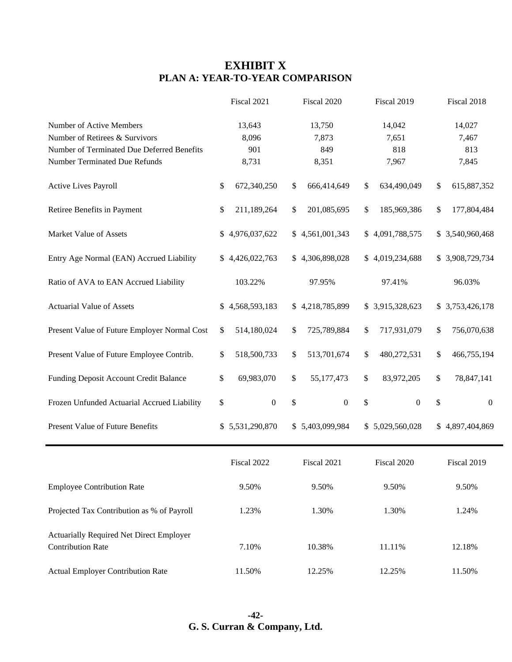# **EXHIBIT X PLAN A: YEAR-TO-YEAR COMPARISON**

|                                                                                                                                                  | Fiscal 2021                     | Fiscal 2020                     | Fiscal 2019                     | Fiscal 2018                     |
|--------------------------------------------------------------------------------------------------------------------------------------------------|---------------------------------|---------------------------------|---------------------------------|---------------------------------|
| Number of Active Members<br>Number of Retirees & Survivors<br>Number of Terminated Due Deferred Benefits<br><b>Number Terminated Due Refunds</b> | 13,643<br>8,096<br>901<br>8,731 | 13,750<br>7,873<br>849<br>8,351 | 14,042<br>7,651<br>818<br>7,967 | 14,027<br>7,467<br>813<br>7,845 |
| Active Lives Payroll                                                                                                                             | \$<br>672,340,250               | \$<br>666,414,649               | \$<br>634,490,049               | 615,887,352<br>\$               |
| Retiree Benefits in Payment                                                                                                                      | \$<br>211,189,264               | \$<br>201,085,695               | \$<br>185,969,386               | 177,804,484<br>\$               |
| Market Value of Assets                                                                                                                           | 4,976,037,622<br>\$             | \$4,561,001,343                 | \$4,091,788,575                 | \$ 3,540,960,468                |
| Entry Age Normal (EAN) Accrued Liability                                                                                                         | 4,426,022,763<br>\$             | 4,306,898,028<br>\$             | \$4,019,234,688                 | \$3,908,729,734                 |
| Ratio of AVA to EAN Accrued Liability                                                                                                            | 103.22%                         | 97.95%                          | 97.41%                          | 96.03%                          |
| <b>Actuarial Value of Assets</b>                                                                                                                 | 4,568,593,183<br>\$             | 4,218,785,899<br>\$             | \$3,915,328,623                 | \$3,753,426,178                 |
| Present Value of Future Employer Normal Cost                                                                                                     | 514,180,024<br>\$               | \$<br>725,789,884               | 717,931,079<br>\$               | 756,070,638<br>\$               |
| Present Value of Future Employee Contrib.                                                                                                        | \$<br>518,500,733               | 513,701,674<br>\$               | \$<br>480,272,531               | \$<br>466,755,194               |
| Funding Deposit Account Credit Balance                                                                                                           | \$<br>69,983,070                | \$<br>55, 177, 473              | \$<br>83,972,205                | \$<br>78,847,141                |
| Frozen Unfunded Actuarial Accrued Liability                                                                                                      | \$<br>$\boldsymbol{0}$          | \$<br>$\boldsymbol{0}$          | \$<br>$\boldsymbol{0}$          | \$<br>$\boldsymbol{0}$          |
| <b>Present Value of Future Benefits</b>                                                                                                          | \$5,531,290,870                 | \$5,403,099,984                 | \$5,029,560,028                 | 4,897,404,869<br>\$             |
|                                                                                                                                                  | Fiscal 2022                     | Fiscal 2021                     | Fiscal 2020                     | Fiscal 2019                     |
| <b>Employee Contribution Rate</b>                                                                                                                | 9.50%                           | 9.50%                           | 9.50%                           | 9.50%                           |
| Projected Tax Contribution as % of Payroll                                                                                                       | 1.23%                           | 1.30%                           | 1.30%                           | 1.24%                           |
| <b>Actuarially Required Net Direct Employer</b><br><b>Contribution Rate</b>                                                                      | 7.10%                           | 10.38%                          | 11.11%                          | 12.18%                          |
| <b>Actual Employer Contribution Rate</b>                                                                                                         | 11.50%                          | 12.25%                          | 12.25%                          | 11.50%                          |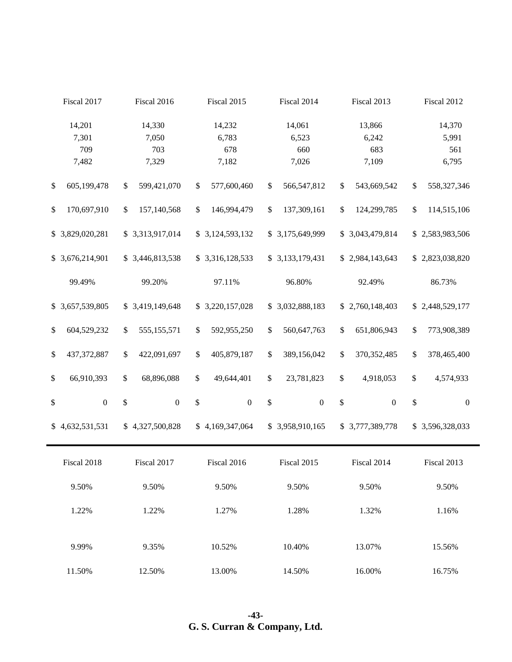| Fiscal 2017                     | Fiscal 2016                     | Fiscal 2015                     |              | Fiscal 2014                     | Fiscal 2013                     | Fiscal 2012                     |
|---------------------------------|---------------------------------|---------------------------------|--------------|---------------------------------|---------------------------------|---------------------------------|
| 14,201<br>7,301<br>709<br>7,482 | 14,330<br>7,050<br>703<br>7,329 | 14,232<br>6,783<br>678<br>7,182 |              | 14,061<br>6,523<br>660<br>7,026 | 13,866<br>6,242<br>683<br>7,109 | 14,370<br>5,991<br>561<br>6,795 |
| \$<br>605,199,478               | \$<br>599,421,070               | \$<br>577,600,460               | \$           | 566,547,812                     | \$<br>543,669,542               | \$<br>558,327,346               |
| \$<br>170,697,910               | \$<br>157,140,568               | \$<br>146,994,479               | \$           | 137,309,161                     | \$<br>124,299,785               | \$<br>114,515,106               |
| \$<br>3,829,020,281             | \$ 3,313,917,014                | \$ 3,124,593,132                | $\mathbb{S}$ | 3,175,649,999                   | \$ 3,043,479,814                | \$2,583,983,506                 |
| \$<br>3,676,214,901             | \$3,446,813,538                 | \$ 3,316,128,533                |              | \$ 3,133,179,431                | \$2,984,143,643                 | \$2,823,038,820                 |
| 99.49%                          | 99.20%                          | 97.11%                          |              | 96.80%                          | 92.49%                          | 86.73%                          |
| \$<br>3,657,539,805             | \$ 3,419,149,648                | \$ 3,220,157,028                | \$           | 3,032,888,183                   | \$2,760,148,403                 | \$2,448,529,177                 |
| \$<br>604,529,232               | \$<br>555,155,571               | \$<br>592,955,250               | \$           | 560,647,763                     | \$<br>651,806,943               | \$<br>773,908,389               |
| \$<br>437, 372, 887             | \$<br>422,091,697               | \$<br>405,879,187               | $\$$         | 389,156,042                     | \$<br>370, 352, 485             | \$<br>378,465,400               |
| \$<br>66,910,393                | \$<br>68,896,088                | \$<br>49,644,401                | \$           | 23,781,823                      | \$<br>4,918,053                 | \$<br>4,574,933                 |
| \$<br>$\boldsymbol{0}$          | \$<br>$\boldsymbol{0}$          | \$<br>$\boldsymbol{0}$          | \$           | $\boldsymbol{0}$                | \$<br>$\boldsymbol{0}$          | \$<br>$\boldsymbol{0}$          |
| \$<br>4,632,531,531             | \$4,327,500,828                 | \$4,169,347,064                 | \$           | 3,958,910,165                   | \$3,777,389,778                 | \$3,596,328,033                 |
| Fiscal 2018                     | Fiscal 2017                     | Fiscal 2016                     |              | Fiscal 2015                     | Fiscal 2014                     | Fiscal 2013                     |
| 9.50%                           | 9.50%                           | 9.50%                           |              | 9.50%                           | 9.50%                           | 9.50%                           |
| 1.22%                           | 1.22%                           | 1.27%                           |              | 1.28%                           | 1.32%                           | 1.16%                           |
| 9.99%                           | 9.35%                           | 10.52%                          |              | 10.40%                          | 13.07%                          | 15.56%                          |
| 11.50%                          | 12.50%                          | 13.00%                          |              | 14.50%                          | 16.00%                          | 16.75%                          |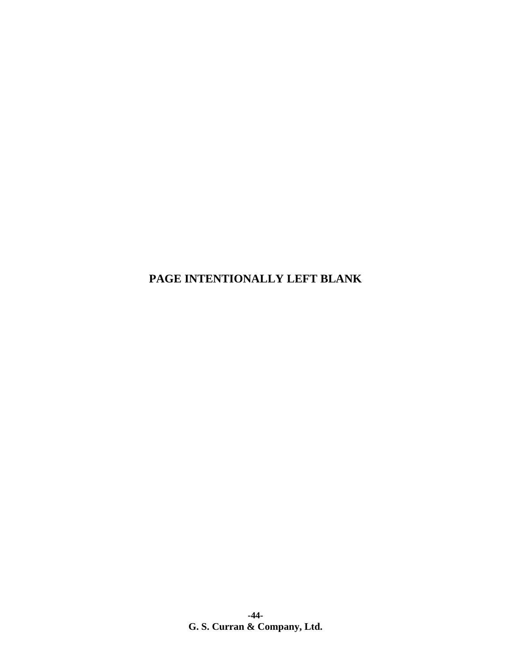**PAGE INTENTIONALLY LEFT BLANK**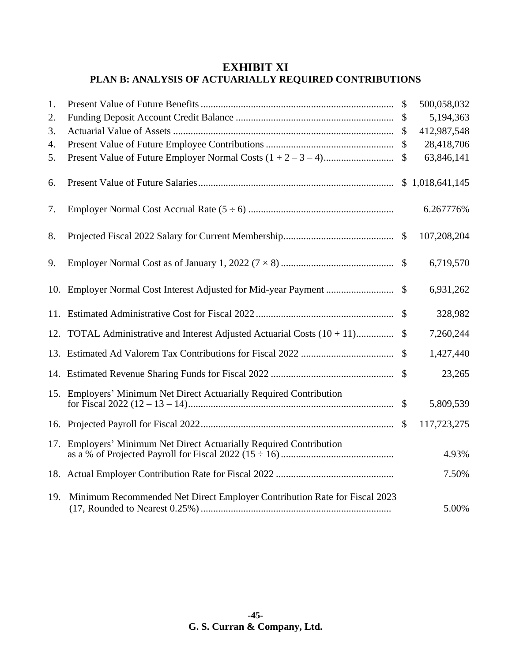# **EXHIBIT XI PLAN B: ANALYSIS OF ACTUARIALLY REQUIRED CONTRIBUTIONS**

| 1.  |                                                                                          | \$            | 500,058,032 |
|-----|------------------------------------------------------------------------------------------|---------------|-------------|
| 2.  |                                                                                          | \$            | 5,194,363   |
| 3.  |                                                                                          | $\mathcal{S}$ | 412,987,548 |
| 4.  |                                                                                          | \$            | 28,418,706  |
| 5.  |                                                                                          | \$            | 63,846,141  |
| 6.  |                                                                                          |               |             |
| 7.  |                                                                                          |               | 6.267776%   |
| 8.  |                                                                                          | $\mathcal{S}$ | 107,208,204 |
| 9.  |                                                                                          |               | 6,719,570   |
|     |                                                                                          | $\mathbb{S}$  | 6,931,262   |
|     |                                                                                          | $\mathbb{S}$  | 328,982     |
| 12. | <b>TOTAL Administrative and Interest Adjusted Actuarial Costs <math>(10 + 11)</math></b> | \$            | 7,260,244   |
|     |                                                                                          |               | 1,427,440   |
|     |                                                                                          |               | 23,265      |
| 15. | Employers' Minimum Net Direct Actuarially Required Contribution                          | $\mathbb{S}$  | 5,809,539   |
|     |                                                                                          | $\mathbb{S}$  | 117,723,275 |
|     | 17. Employers' Minimum Net Direct Actuarially Required Contribution                      |               | 4.93%       |
|     |                                                                                          |               | 7.50%       |
| 19. | Minimum Recommended Net Direct Employer Contribution Rate for Fiscal 2023                |               | 5.00%       |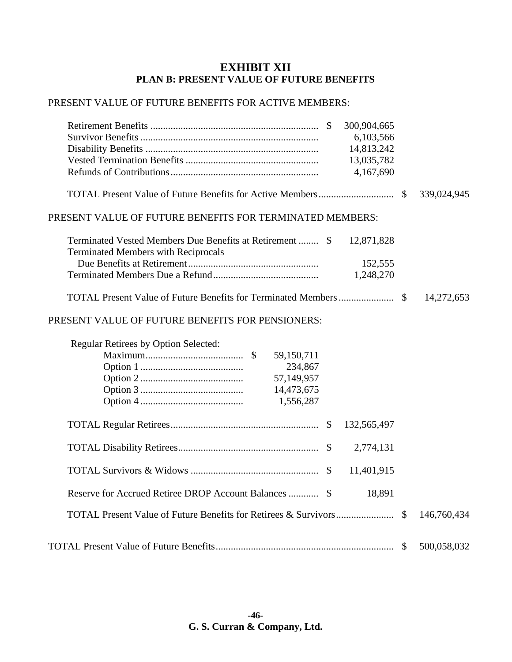## **EXHIBIT XII PLAN B: PRESENT VALUE OF FUTURE BENEFITS**

#### PRESENT VALUE OF FUTURE BENEFITS FOR ACTIVE MEMBERS:

| 300,904,665<br>6,103,566<br>14,813,242<br>13,035,782<br>4,167,690                                                    |              |             |
|----------------------------------------------------------------------------------------------------------------------|--------------|-------------|
|                                                                                                                      |              | 339,024,945 |
| PRESENT VALUE OF FUTURE BENEFITS FOR TERMINATED MEMBERS:                                                             |              |             |
| Terminated Vested Members Due Benefits at Retirement  \$<br>12,871,828<br><b>Terminated Members with Reciprocals</b> |              |             |
| 152,555<br>1,248,270                                                                                                 |              |             |
|                                                                                                                      |              | 14,272,653  |
| PRESENT VALUE OF FUTURE BENEFITS FOR PENSIONERS:                                                                     |              |             |
| Regular Retirees by Option Selected:<br>59,150,711<br>234,867<br>57,149,957<br>14,473,675<br>1,556,287               |              |             |
| 132,565,497                                                                                                          |              |             |
| 2,774,131                                                                                                            |              |             |
| 11,401,915                                                                                                           |              |             |
| 18,891                                                                                                               |              |             |
|                                                                                                                      | $\mathbb{S}$ | 146,760,434 |
|                                                                                                                      |              | 500,058,032 |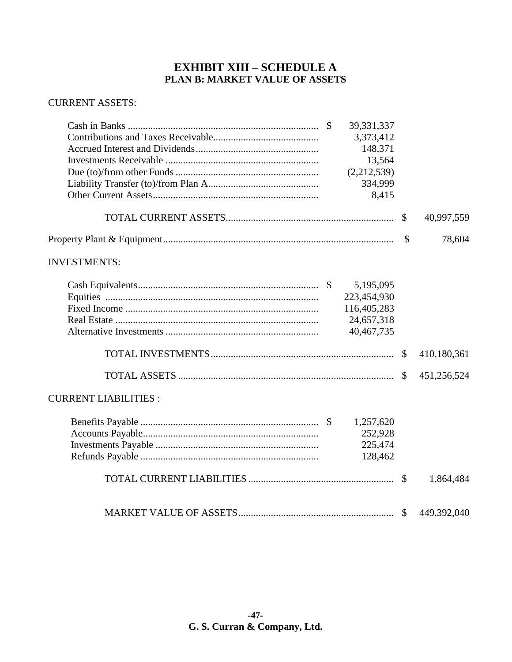# **EXHIBIT XIII - SCHEDULE A** PLAN B: MARKET VALUE OF ASSETS

## **CURRENT ASSETS:**

|                             | 39,331,337    |             |
|-----------------------------|---------------|-------------|
|                             | 3,373,412     |             |
|                             | 148,371       |             |
|                             | 13,564        |             |
|                             | (2,212,539)   |             |
|                             | 334,999       |             |
|                             | 8,415         |             |
|                             | $\mathcal{S}$ | 40,997,559  |
|                             | $\mathcal{S}$ | 78,604      |
| <b>INVESTMENTS:</b>         |               |             |
|                             | 5,195,095     |             |
|                             | 223,454,930   |             |
|                             | 116,405,283   |             |
|                             | 24,657,318    |             |
|                             | 40,467,735    |             |
|                             | $\mathbb{S}$  | 410,180,361 |
|                             | $\mathbb{S}$  | 451,256,524 |
| <b>CURRENT LIABILITIES:</b> |               |             |
|                             | 1,257,620     |             |
|                             | 252,928       |             |
|                             | 225,474       |             |
|                             | 128,462       |             |
|                             |               | 1,864,484   |
|                             | $\mathbb{S}$  | 449,392,040 |
|                             |               |             |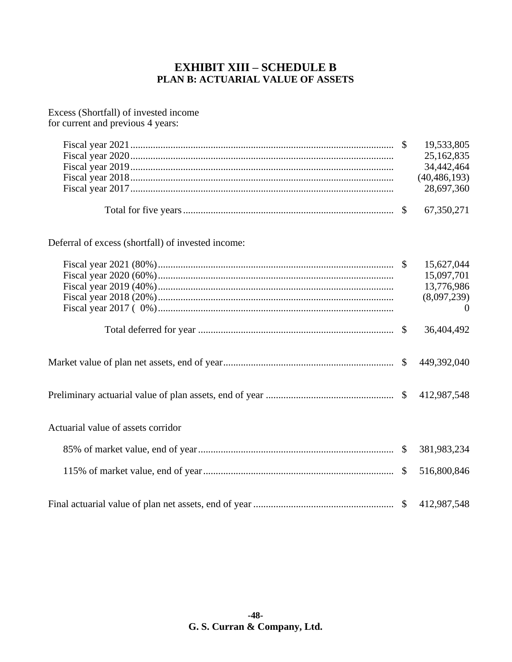## **EXHIBIT XIII – SCHEDULE B PLAN B: ACTUARIAL VALUE OF ASSETS**

Excess (Shortfall) of invested income for current and previous 4 years:

|  | 25,162,835     |
|--|----------------|
|  | 34,442,464     |
|  | (40, 486, 193) |
|  | 28.697.360     |
|  |                |

Deferral of excess (shortfall) of invested income:

|                                    | 15,627,044<br>15,097,701<br>13,776,986<br>(8,097,239)<br>$\Omega$ |
|------------------------------------|-------------------------------------------------------------------|
|                                    | 36,404,492                                                        |
|                                    |                                                                   |
|                                    |                                                                   |
| Actuarial value of assets corridor |                                                                   |
|                                    |                                                                   |
|                                    | 516,800,846                                                       |
|                                    |                                                                   |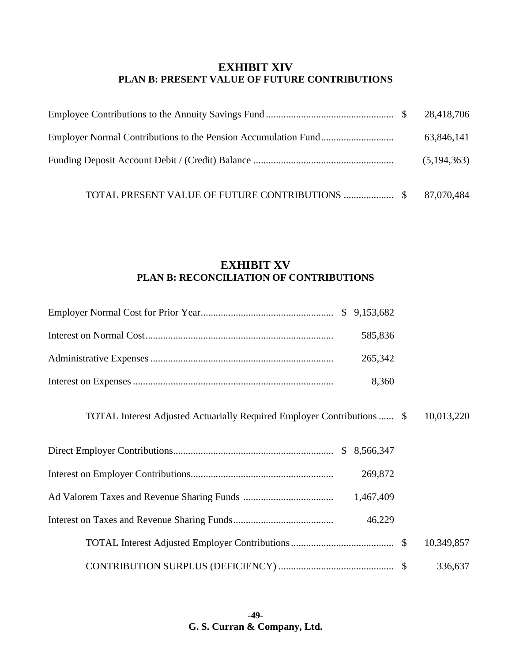### **EXHIBIT XIV PLAN B: PRESENT VALUE OF FUTURE CONTRIBUTIONS**

|  | 63,846,141    |
|--|---------------|
|  | (5, 194, 363) |
|  |               |

# **EXHIBIT XV PLAN B: RECONCILIATION OF CONTRIBUTIONS**

| 585,836                                                                 |            |
|-------------------------------------------------------------------------|------------|
| 265,342                                                                 |            |
| 8,360                                                                   |            |
| TOTAL Interest Adjusted Actuarially Required Employer Contributions  \$ | 10,013,220 |
|                                                                         |            |
| 269,872                                                                 |            |
| 1,467,409                                                               |            |
| 46,229                                                                  |            |
|                                                                         | 10,349,857 |
|                                                                         | 336,637    |

**-49- G. S. Curran & Company, Ltd.**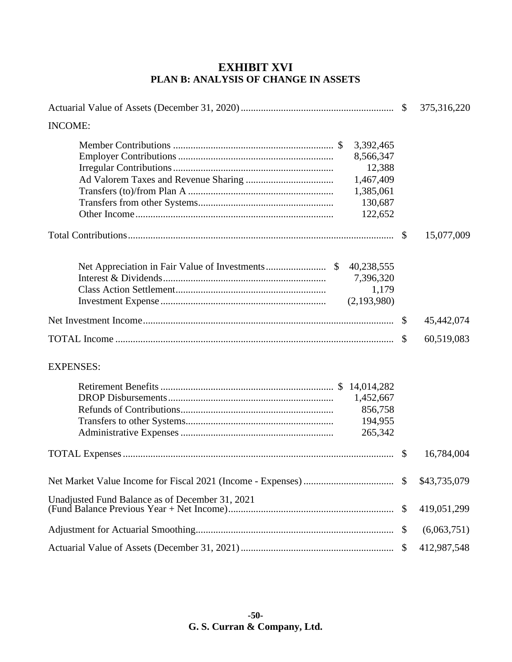# **EXHIBIT XVI PLAN B: ANALYSIS OF CHANGE IN ASSETS**

|                                                                                  | 375,316,220       |
|----------------------------------------------------------------------------------|-------------------|
| <b>INCOME:</b>                                                                   |                   |
| 3,392,465<br>8,566,347<br>12,388<br>1,467,409<br>1,385,061<br>130,687<br>122,652 |                   |
|                                                                                  | 15,077,009        |
| 40,238,555<br>7,396,320<br>1,179<br>(2,193,980)                                  |                   |
|                                                                                  | \$<br>45,442,074  |
|                                                                                  | \$<br>60,519,083  |
| <b>EXPENSES:</b>                                                                 |                   |
| 1,452,667<br>856,758<br>194,955<br>265,342                                       |                   |
|                                                                                  | \$<br>16,784,004  |
|                                                                                  | \$43,735,079      |
| Unadjusted Fund Balance as of December 31, 2021                                  | \$<br>419,051,299 |
|                                                                                  | \$<br>(6,063,751) |
|                                                                                  | \$<br>412,987,548 |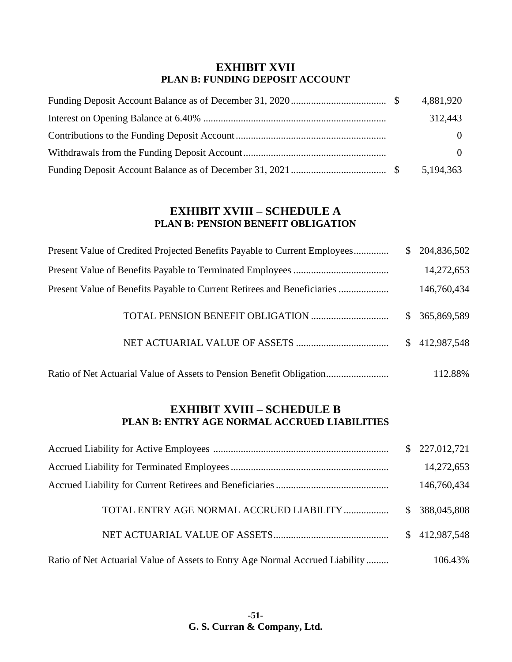### **EXHIBIT XVII PLAN B: FUNDING DEPOSIT ACCOUNT**

|  | 4,881,920 |
|--|-----------|
|  | 312,443   |
|  | $\Omega$  |
|  | $\Omega$  |
|  | 5,194,363 |

### **EXHIBIT XVIII – SCHEDULE A PLAN B: PENSION BENEFIT OBLIGATION**

| Present Value of Credited Projected Benefits Payable to Current Employees | \$204,836,502  |
|---------------------------------------------------------------------------|----------------|
|                                                                           | 14,272,653     |
| Present Value of Benefits Payable to Current Retirees and Beneficiaries   | 146,760,434    |
|                                                                           | \$ 365,869,589 |
|                                                                           | \$412,987,548  |
|                                                                           |                |

Ratio of Net Actuarial Value of Assets to Pension Benefit Obligation......................... 112.88%

## **EXHIBIT XVIII – SCHEDULE B PLAN B: ENTRY AGE NORMAL ACCRUED LIABILITIES**

|                                                                              | \$227,012,721 |
|------------------------------------------------------------------------------|---------------|
|                                                                              | 14,272,653    |
|                                                                              | 146,760,434   |
| TOTAL ENTRY AGE NORMAL ACCRUED LIABILITY                                     | \$388,045,808 |
|                                                                              | \$412,987,548 |
| Ratio of Net Actuarial Value of Assets to Entry Age Normal Accrued Liability | 106.43%       |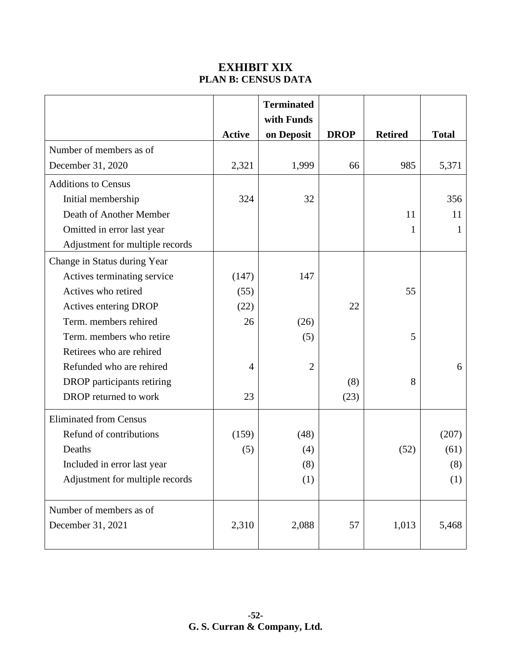## **EXHIBIT XIX PLAN B: CENSUS DATA**

|                                 |                | <b>Terminated</b><br>with Funds |             |                |              |
|---------------------------------|----------------|---------------------------------|-------------|----------------|--------------|
|                                 | <b>Active</b>  | on Deposit                      | <b>DROP</b> | <b>Retired</b> | <b>Total</b> |
| Number of members as of         |                |                                 |             |                |              |
| December 31, 2020               | 2,321          | 1,999                           | 66          | 985            | 5,371        |
| <b>Additions to Census</b>      |                |                                 |             |                |              |
| Initial membership              | 324            | 32                              |             |                | 356          |
| Death of Another Member         |                |                                 |             | 11             | 11           |
| Omitted in error last year      |                |                                 |             | 1              | 1            |
| Adjustment for multiple records |                |                                 |             |                |              |
| Change in Status during Year    |                |                                 |             |                |              |
| Actives terminating service     | (147)          | 147                             |             |                |              |
| Actives who retired             | (55)           |                                 |             | 55             |              |
| Actives entering DROP           | (22)           |                                 | 22          |                |              |
| Term. members rehired           | 26             | (26)                            |             |                |              |
| Term. members who retire        |                | (5)                             |             | 5              |              |
| Retirees who are rehired        |                |                                 |             |                |              |
| Refunded who are rehired        | $\overline{4}$ | $\overline{2}$                  |             |                | 6            |
| DROP participants retiring      |                |                                 | (8)         | 8              |              |
| DROP returned to work           | 23             |                                 | (23)        |                |              |
| <b>Eliminated from Census</b>   |                |                                 |             |                |              |
| Refund of contributions         | (159)          | (48)                            |             |                | (207)        |
| Deaths                          | (5)            | (4)                             |             | (52)           | (61)         |
| Included in error last year     |                | (8)                             |             |                | (8)          |
| Adjustment for multiple records |                | (1)                             |             |                | (1)          |
|                                 |                |                                 |             |                |              |
| Number of members as of         |                |                                 |             |                |              |
| December 31, 2021               | 2,310          | 2,088                           | 57          | 1,013          | 5,468        |
|                                 |                |                                 |             |                |              |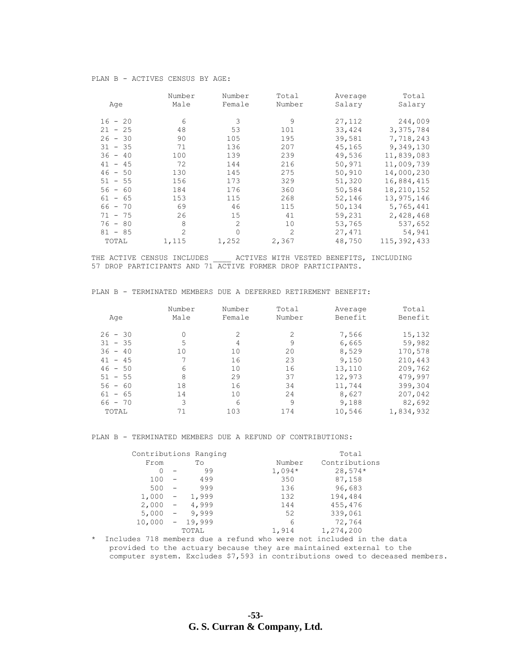#### PLAN B - ACTIVES CENSUS BY AGE:

|           | Number         | Number         | Total  | Average | Total         |
|-----------|----------------|----------------|--------|---------|---------------|
| Age       | Male           | Female         | Number | Salary  | Salary        |
| $16 - 20$ | 6              | 3              | 9      | 27,112  | 244,009       |
| $21 - 25$ | 48             | 53             | 101    | 33,424  | 3, 375, 784   |
| $26 - 30$ | 90             | 105            | 195    | 39,581  | 7,718,243     |
| $31 - 35$ | 71             | 136            | 207    | 45,165  | 9,349,130     |
| $36 - 40$ | 100            | 139            | 239    | 49,536  | 11,839,083    |
| $41 - 45$ | 72             | 144            | 216    | 50,971  | 11,009,739    |
| $46 - 50$ | 130            | 145            | 275    | 50,910  | 14,000,230    |
| $51 - 55$ | 156            | 173            | 329    | 51,320  | 16,884,415    |
| $56 - 60$ | 184            | 176            | 360    | 50,584  | 18,210,152    |
| $61 - 65$ | 153            | 115            | 268    | 52,146  | 13,975,146    |
| $66 - 70$ | 69             | 46             | 115    | 50,134  | 5,765,441     |
| $71 - 75$ | 26             | 15             | 41     | 59,231  | 2,428,468     |
| $76 - 80$ | 8              | $\mathfrak{D}$ | 10     | 53,765  | 537,652       |
| $81 - 85$ | $\overline{2}$ | $\Omega$       | 2      | 27,471  | 54,941        |
| TOTAL     | 1,115          | 1,252          | 2,367  | 48,750  | 115, 392, 433 |

THE ACTIVE CENSUS INCLUDES \_\_\_\_\_ ACTIVES WITH VESTED BENEFITS, INCLUDING 57 DROP PARTICIPANTS AND 71 ACTIVE FORMER DROP PARTICIPANTS.

|           | Number | Number         | Total          | Average | Total     |
|-----------|--------|----------------|----------------|---------|-----------|
| Age       | Male   | Female         | Number         | Benefit | Benefit   |
|           |        |                |                |         |           |
| $26 - 30$ | 0      | $\mathfrak{D}$ | $\mathfrak{D}$ | 7,566   | 15,132    |
| $31 - 35$ | 5      | 4              | 9              | 6,665   | 59,982    |
| $36 - 40$ | 10     | 10             | 20             | 8,529   | 170,578   |
| $41 - 45$ |        | 16             | 23             | 9,150   | 210,443   |
| $46 - 50$ | 6      | 10             | 16             | 13,110  | 209,762   |
| $51 - 55$ | 8      | 29             | 37             | 12,973  | 479,997   |
| $56 - 60$ | 18     | 16             | 34             | 11,744  | 399,304   |
| $61 - 65$ | 14     | 10             | 24             | 8,627   | 207,042   |
| $66 - 70$ | 3      | 6              | 9              | 9,188   | 82,692    |
| TOTAL     | 71     | 103            | 174            | 10,546  | 1,834,932 |

PLAN B - TERMINATED MEMBERS DUE A DEFERRED RETIREMENT BENEFIT:

#### PLAN B - TERMINATED MEMBERS DUE A REFUND OF CONTRIBUTIONS:

|        |                                 | Contributions Ranging |          | Total         |
|--------|---------------------------------|-----------------------|----------|---------------|
| From   |                                 | Tо                    | Number   | Contributions |
|        | $\overline{\phantom{0}}$        | 99                    | $1,094*$ | $28,574*$     |
| 100    | $\overline{\phantom{0}}$        | 499                   | 350      | 87,158        |
| 500    |                                 | 999                   | 136      | 96,683        |
| 1,000  | $\hspace{0.1mm}-\hspace{0.1mm}$ | 1,999                 | 132      | 194,484       |
| 2,000  | $\overline{\phantom{m}}$        | 4,999                 | 144      | 455,476       |
| 5,000  | $\overline{\phantom{m}}$        | 9,999                 | 52       | 339,061       |
| 10,000 | $\qquad \qquad -$               | 19,999                | 6        | 72,764        |
|        |                                 | TOTAL                 | 1,914    | 1,274,200     |

\* Includes 718 members due a refund who were not included in the data provided to the actuary because they are maintained external to the computer system. Excludes \$7,593 in contributions owed to deceased members.

> **-53- G. S. Curran & Company, Ltd.**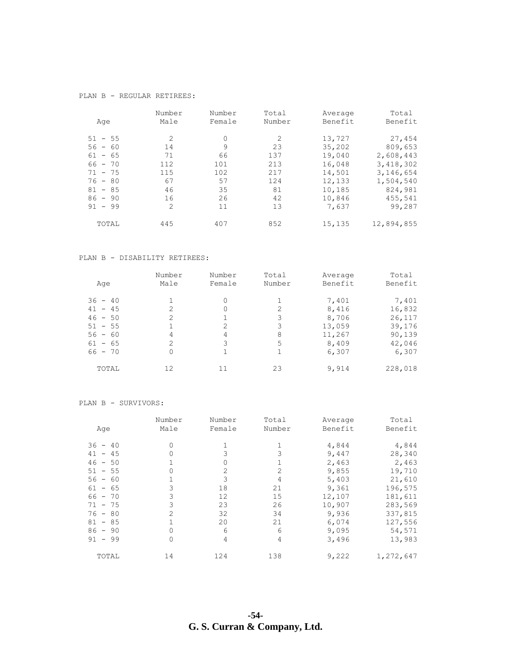#### PLAN B - REGULAR RETIREES:

| Age       | Number<br>Male | Number<br>Female | Total<br>Number | Average<br>Benefit | Total<br>Benefit |
|-----------|----------------|------------------|-----------------|--------------------|------------------|
| $51 - 55$ | 2              | 0                | $\mathfrak{D}$  | 13,727             | 27,454           |
| $56 - 60$ | 14             | 9                | 23              | 35,202             | 809,653          |
| $61 - 65$ | 71             | 66               | 137             | 19,040             | 2,608,443        |
| $66 - 70$ | 112            | 101              | 213             | 16,048             | 3,418,302        |
| $71 - 75$ | 115            | 102              | 217             | 14,501             | 3,146,654        |
| $76 - 80$ | 67             | 57               | 124             | 12,133             | 1,504,540        |
| $81 - 85$ | 46             | 35               | 81              | 10,185             | 824,981          |
| $86 - 90$ | 16             | 26               | 42              | 10,846             | 455,541          |
| $91 - 99$ | $\mathfrak{D}$ | 11               | 13              | 7,637              | 99,287           |
| TOTAL     | 445            | 407              | 852             | 15,135             | 12,894,855       |

#### PLAN B - DISABILITY RETIREES:

| Age       | Number<br>Male | Number<br>Female | Total<br>Number | Average<br>Benefit | Total<br>Benefit |
|-----------|----------------|------------------|-----------------|--------------------|------------------|
| $36 - 40$ |                | 0                |                 | 7,401              | 7,401            |
| $41 - 45$ | $\mathfrak{D}$ | 0                | 2               | 8,416              | 16,832           |
| $46 - 50$ | $\mathfrak{D}$ |                  | 3               | 8,706              | 26,117           |
| $51 - 55$ |                | 2                | 3               | 13,059             | 39,176           |
| $56 - 60$ | 4              | 4                | 8               | 11,267             | 90,139           |
| $61 - 65$ | $\mathfrak{D}$ | 3                | 5               | 8,409              | 42,046           |
| $66 - 70$ | 0              |                  |                 | 6,307              | 6,307            |
| TOTAL     | 12             | 11               | 23              | 9,914              | 228,018          |

#### PLAN B - SURVIVORS:

|           | Number       | Number         | Total          | Average | Total     |
|-----------|--------------|----------------|----------------|---------|-----------|
| Age       | Male         | Female         | Number         | Benefit | Benefit   |
| $36 - 40$ | 0            |                |                | 4,844   | 4,844     |
| $41 - 45$ | 0            | 3              | 3              | 9,447   | 28,340    |
| $46 - 50$ |              | 0              |                | 2,463   | 2,463     |
| $51 - 55$ | 0            | $\overline{2}$ | $\overline{2}$ | 9,855   | 19,710    |
| $56 - 60$ |              | 3              | 4              | 5,403   | 21,610    |
| $61 - 65$ | 3            | 18             | 21             | 9,361   | 196,575   |
| $66 - 70$ | 3            | 12             | 15             | 12,107  | 181,611   |
| $71 - 75$ | 3            | 23             | 26             | 10,907  | 283,569   |
| $76 - 80$ | 2            | 32             | 34             | 9,936   | 337,815   |
| $81 - 85$ | $\mathbf{1}$ | 20             | 21             | 6,074   | 127,556   |
| $86 - 90$ | 0            | 6              | 6              | 9,095   | 54,571    |
| $91 - 99$ | 0            | 4              | 4              | 3,496   | 13,983    |
| TOTAL     | 14           | 124            | 138            | 9,222   | 1,272,647 |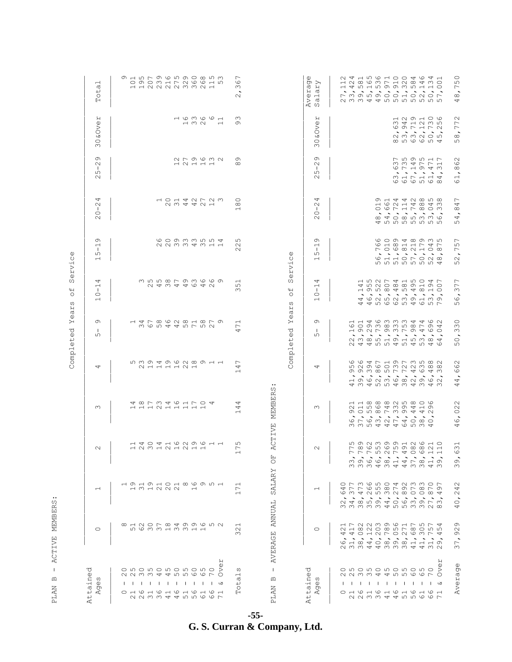| $\mathbf{I}$<br>$\mathbf{\underline{\alpha}}$<br><b>PLAN</b>                          | MEMBERS<br><b>ACTIVE</b>                                                                           |                                                                                                                               |                                                                                                                     |                                                                                                                             |                                                                                             | Year.<br>Completed                                                                                                  | $\overline{\mathbb{C}}$<br>ω                                                                              | Service                                                                                       |                                                                       |                                                                                        |                                                                                                                                                                                                                         |                                                                             |
|---------------------------------------------------------------------------------------|----------------------------------------------------------------------------------------------------|-------------------------------------------------------------------------------------------------------------------------------|---------------------------------------------------------------------------------------------------------------------|-----------------------------------------------------------------------------------------------------------------------------|---------------------------------------------------------------------------------------------|---------------------------------------------------------------------------------------------------------------------|-----------------------------------------------------------------------------------------------------------|-----------------------------------------------------------------------------------------------|-----------------------------------------------------------------------|----------------------------------------------------------------------------------------|-------------------------------------------------------------------------------------------------------------------------------------------------------------------------------------------------------------------------|-----------------------------------------------------------------------------|
| ರ<br>$\mathbb U$<br>ain<br>ω<br>$\mathbb U$<br>ত<br>A<br>$\pm$<br>R                   | $\circ$                                                                                            | $\overline{\phantom{0}}$                                                                                                      | $\sim$                                                                                                              | $\infty$                                                                                                                    | 4                                                                                           | Ō<br>$\mathbf{I}$<br>ഗ                                                                                              | 4<br>$\overline{\phantom{0}}$<br>$\mathbf{I}$<br>$\circ$<br>$\overline{\phantom{0}}$                      | $\sigma$<br>$\overline{\phantom{0}}$<br>$\mathbf{I}$<br>ഗ<br>$\overline{\phantom{0}}$         | 4<br>$\sim$<br>Ι.<br>$\circ$<br>$\sim$                                | $\sigma$<br>$\sim$<br>$\mathbf{I}$<br>ഗ<br>$\sim$                                      | я<br>&Ove:<br>$\circ$<br>$\infty$                                                                                                                                                                                       | $\overline{\phantom{0}}$<br>ർ<br>$\vec{c}$<br>Н                             |
|                                                                                       |                                                                                                    |                                                                                                                               |                                                                                                                     |                                                                                                                             |                                                                                             |                                                                                                                     |                                                                                                           |                                                                                               |                                                                       |                                                                                        |                                                                                                                                                                                                                         |                                                                             |
| o w o w o w o w o<br>2234455667<br>1 1 1 1 1 1 1 1 1 1 1 3<br>0 1 0 1 0 1 0 1 0 1 0 1 | 8 H N O N & T & D & D & D &                                                                        | 191910186951                                                                                                                  |                                                                                                                     |                                                                                                                             |                                                                                             |                                                                                                                     |                                                                                                           |                                                                                               |                                                                       |                                                                                        |                                                                                                                                                                                                                         | онигою и оо о и м                                                           |
| 2234455667                                                                            | 563313311                                                                                          | 1 3 1 2 2 3 4                                                                                                                 | 14041629611<br>123124214                                                                                            | 4873461704<br>1112211111                                                                                                    | 53949628911                                                                                 | 14786081879                                                                                                         |                                                                                                           |                                                                                               |                                                                       |                                                                                        |                                                                                                                                                                                                                         | O の O M H L N V V H IN<br><b>HHNNNNMMNH</b>                                 |
|                                                                                       |                                                                                                    |                                                                                                                               |                                                                                                                     |                                                                                                                             | 0 - 0 - 0 - 0 - 0                                                                           | w c r 4 4 m L r 5 0                                                                                                 |                                                                                                           |                                                                                               |                                                                       |                                                                                        |                                                                                                                                                                                                                         |                                                                             |
|                                                                                       |                                                                                                    |                                                                                                                               |                                                                                                                     |                                                                                                                             |                                                                                             |                                                                                                                     | 0 4 6 4 6 4 6                                                                                             |                                                                                               |                                                                       |                                                                                        |                                                                                                                                                                                                                         |                                                                             |
|                                                                                       |                                                                                                    |                                                                                                                               |                                                                                                                     |                                                                                                                             |                                                                                             |                                                                                                                     |                                                                                                           | G O O W W TU TH<br>N N M M <del>d</del> M H H                                                 | 10142723                                                              |                                                                                        |                                                                                                                                                                                                                         |                                                                             |
|                                                                                       |                                                                                                    |                                                                                                                               |                                                                                                                     |                                                                                                                             |                                                                                             |                                                                                                                     |                                                                                                           |                                                                                               |                                                                       |                                                                                        |                                                                                                                                                                                                                         |                                                                             |
|                                                                                       |                                                                                                    |                                                                                                                               |                                                                                                                     |                                                                                                                             |                                                                                             |                                                                                                                     |                                                                                                           |                                                                                               |                                                                       | $N \upharpoonright \emptyset$ $\emptyset$ $\emptyset$ $\emptyset$ $\emptyset$<br>12111 | 100001                                                                                                                                                                                                                  |                                                                             |
|                                                                                       |                                                                                                    | $\overline{ }$                                                                                                                |                                                                                                                     |                                                                                                                             |                                                                                             |                                                                                                                     |                                                                                                           |                                                                                               |                                                                       |                                                                                        | $\sim$ $\sim$                                                                                                                                                                                                           |                                                                             |
|                                                                                       |                                                                                                    |                                                                                                                               |                                                                                                                     |                                                                                                                             |                                                                                             |                                                                                                                     |                                                                                                           |                                                                                               |                                                                       |                                                                                        |                                                                                                                                                                                                                         |                                                                             |
|                                                                                       |                                                                                                    |                                                                                                                               |                                                                                                                     |                                                                                                                             |                                                                                             |                                                                                                                     |                                                                                                           |                                                                                               |                                                                       |                                                                                        |                                                                                                                                                                                                                         |                                                                             |
| Я<br>$\mathbb U$<br>$\delta$                                                          |                                                                                                    |                                                                                                                               |                                                                                                                     |                                                                                                                             |                                                                                             |                                                                                                                     |                                                                                                           |                                                                                               |                                                                       |                                                                                        | $\overline{ }$                                                                                                                                                                                                          |                                                                             |
|                                                                                       |                                                                                                    |                                                                                                                               |                                                                                                                     |                                                                                                                             |                                                                                             |                                                                                                                     |                                                                                                           |                                                                                               |                                                                       |                                                                                        |                                                                                                                                                                                                                         |                                                                             |
| w<br>$\overline{\phantom{0}}$<br>ൽ<br>↵<br>$\circ$<br>Н                               | $\overline{\phantom{0}}$<br>$\sim$<br>$\infty$                                                     | $\overline{\phantom{0}}$<br>$\Gamma$<br>$\overline{\phantom{0}}$                                                              | <b>U</b> )<br>$\overline{ }$<br>$\overline{\phantom{0}}$                                                            | 4<br>4<br>$\overline{\phantom{0}}$                                                                                          | $\overline{ }$<br>4<br>$\overline{\phantom{0}}$                                             | $\overline{\phantom{0}}$<br>$\overline{ }$<br>4                                                                     | $\overline{\phantom{0}}$<br>ഗ<br>$\infty$                                                                 | ഗ<br>$\sim$<br>$\sim$                                                                         | $\circ$<br>$\infty$<br>$\overline{\phantom{0}}$                       | Ō<br>$\infty$                                                                          | $\infty$<br>$\infty$                                                                                                                                                                                                    | ∼<br>0<br>$\infty$<br>$\overline{\phantom{a}}$<br>$\sim$                    |
|                                                                                       |                                                                                                    |                                                                                                                               |                                                                                                                     |                                                                                                                             |                                                                                             |                                                                                                                     |                                                                                                           |                                                                                               |                                                                       |                                                                                        |                                                                                                                                                                                                                         |                                                                             |
| п.<br>Щ<br><b>PLAN</b>                                                                | AVERAGE                                                                                            | SALARY<br><b>ANNUAL</b>                                                                                                       | К<br>Ŀц<br>$\circ$                                                                                                  | MEMBERS<br><b>TTIVE</b>                                                                                                     |                                                                                             |                                                                                                                     |                                                                                                           |                                                                                               |                                                                       |                                                                                        |                                                                                                                                                                                                                         |                                                                             |
|                                                                                       |                                                                                                    |                                                                                                                               |                                                                                                                     |                                                                                                                             |                                                                                             | ae.<br>Σ<br>Completed                                                                                               | $\overline{a}$<br>ω                                                                                       | Service                                                                                       |                                                                       |                                                                                        |                                                                                                                                                                                                                         |                                                                             |
| ರ<br>$\Phi$<br>ttain<br>Ą                                                             |                                                                                                    |                                                                                                                               |                                                                                                                     |                                                                                                                             |                                                                                             |                                                                                                                     |                                                                                                           |                                                                                               |                                                                       |                                                                                        |                                                                                                                                                                                                                         | $\mathbb U$<br>āğ<br>Avera                                                  |
| ω<br>$\mathbb U$<br>þ<br>A                                                            | $\circ$                                                                                            | $\overline{\phantom{0}}$                                                                                                      | $\sim$                                                                                                              | $\infty$                                                                                                                    | 4                                                                                           | $\sigma$<br>ш<br>ഗ                                                                                                  | 4<br>$\overline{\phantom{0}}$<br>$\mathbf{I}$<br>$\circ$<br>$\overline{\phantom{0}}$                      | $\sigma$<br>$\overline{\phantom{0}}$<br>$\mathbf{I}$<br>ഗ<br>$\overline{\phantom{0}}$         | 4<br>$\sim$<br>л.<br>$\circ$<br>$\sim$                                | $\sigma$<br>$\sim$<br>ш<br>ഗ<br>$\sim$                                                 | <b>Z</b><br>AOver<br>$\circ$<br>$\infty$                                                                                                                                                                                | $\rightarrow$<br>ar;<br>$\overline{\phantom{0}}$<br>đ<br>ω                  |
| $\mathbf{I}$                                                                          | 4                                                                                                  |                                                                                                                               |                                                                                                                     |                                                                                                                             |                                                                                             |                                                                                                                     |                                                                                                           |                                                                                               |                                                                       |                                                                                        |                                                                                                                                                                                                                         | $\overline{\phantom{0}}$<br>$\overline{\phantom{0}}$                        |
| o wo wo wo wo                                                                         | s si                                                                                               |                                                                                                                               | $\overline{ }$<br>$\overline{\phantom{0}}$                                                                          | $\circ$                                                                                                                     | $\overline{\phantom{0}}$<br>4                                                               | O<br>$\sim$                                                                                                         |                                                                                                           |                                                                                               |                                                                       |                                                                                        |                                                                                                                                                                                                                         | $\sim$ $\sim$                                                               |
|                                                                                       |                                                                                                    |                                                                                                                               | $\infty$<br>$\overline{\phantom{0}}$                                                                                | $\overline{\phantom{a}}$                                                                                                    | N U<br>$\infty$                                                                             | $\sim$<br>4                                                                                                         | 4                                                                                                         |                                                                                               |                                                                       |                                                                                        |                                                                                                                                                                                                                         |                                                                             |
|                                                                                       | $\sim$ $ \sim$                                                                                     |                                                                                                                               | $\circ$<br>$\ddot{\phantom{0}}$                                                                                     |                                                                                                                             | $\circ$<br>ത ത ന<br>$\overline{4}$                                                          |                                                                                                                     | $\sim$ $\sim$                                                                                             |                                                                                               |                                                                       |                                                                                        |                                                                                                                                                                                                                         | $\sim$ $\sim$                                                               |
|                                                                                       | $\sim$                                                                                             |                                                                                                                               | $\overline{\phantom{a}}$                                                                                            | $\overline{\phantom{a}}$                                                                                                    |                                                                                             | $\tilde{\phantom{a}}$                                                                                               |                                                                                                           | O<br>∼                                                                                        | $\circ$<br>$\overline{\phantom{a}}$                                   |                                                                                        |                                                                                                                                                                                                                         | $N$ $\infty$ $\infty$ $\sim$ $\sim$                                         |
|                                                                                       | $\sim$                                                                                             |                                                                                                                               | $\overline{\phantom{a}}$                                                                                            | $\overline{\phantom{a}}$                                                                                                    | $\circ$ $\circ$                                                                             |                                                                                                                     | $\sim$ $\sim$                                                                                             |                                                                                               | $\overline{\phantom{a}}$                                              |                                                                                        |                                                                                                                                                                                                                         |                                                                             |
|                                                                                       | $\sim$                                                                                             |                                                                                                                               | <u>ഗശ ഗത</u> യ<br>$\sim$                                                                                            | O IO IO I - M O 4<br>$\overline{\phantom{a}}$                                                                               | M M<br>$\infty$ $\cup$ $\cup$ $\sim$                                                        |                                                                                                                     | $\sim$                                                                                                    | $\overline{\phantom{a}}$                                                                      | $\circ$<br>$\tilde{\phantom{a}}$                                      | $\omega \omega 4$<br>0                                                                 | $\overline{\phantom{a}}$                                                                                                                                                                                                | $\overline{M}$ $\overline{N}$ $\overline{N}$<br>. <b>.</b>                  |
|                                                                                       |                                                                                                    |                                                                                                                               | $\overline{\phantom{a}}$                                                                                            |                                                                                                                             |                                                                                             | $\hat{\phantom{a}}$                                                                                                 | $\overline{\phantom{a}}$                                                                                  |                                                                                               | $\overline{\phantom{a}}$                                              |                                                                                        | $\overline{\phantom{a}}$                                                                                                                                                                                                |                                                                             |
| 1 1 1 1 1 1 1 1 1 1 1                                                                 | $\sim$                                                                                             |                                                                                                                               | $\overline{\phantom{a}}$                                                                                            | $A \otimes \otimes \otimes \otimes \wedge \wedge \otimes \otimes \wedge$<br>m g d H g<br>6763274080<br>m w w 4 4 4 6 10 w 4 | $\overline{\mathcal{A}}$                                                                    |                                                                                                                     |                                                                                                           | $\begin{array}{c} \n \square \quad \infty \quad \square \quad \square \quad \sim \end{array}$ | $\sim$                                                                |                                                                                        | $\ddot{\phantom{1}}$                                                                                                                                                                                                    | A N H N Y Y Y H H                                                           |
|                                                                                       |                                                                                                    |                                                                                                                               |                                                                                                                     | $4 \, \text{C}$                                                                                                             | $\circ$                                                                                     |                                                                                                                     |                                                                                                           |                                                                                               | $\overline{\phantom{a}}$                                              | $\overline{r}$                                                                         |                                                                                                                                                                                                                         | $\overline{\phantom{0}}$                                                    |
| Я<br>$\mathbb U$<br>$\delta$<br>ು<br>0 1 0 1 0 1 0 1 0 1 0 1<br>00004456667           | 1 フ 2 2 2 9 9 2 1 7 5 7 4<br>す 0 1 2 7 0 2 6 3 7 4<br>$Q \rightarrow A$<br>U W W 4 4 W W W 4 4 W V | O N M W D O & N W W O N<br>4 ア ア と 5 8 7 9 7 8 7 9<br>G W 4 U F W W W G O G 4<br>.<br>248594063973<br>m m m m m d m m m m m m | $\circ$<br>$\infty$ $\sim$ $\rightarrow$<br>フフラクフォロヒュュ<br>m o v v a d d r a d o<br>m m m <del>d</del> m d d m m d m |                                                                                                                             | 66471973582<br>$\omega \propto \infty$<br>ক ৩<br>O C Q M C Q Q Q Q Q Q<br><b>ちちょう4 う4 う</b> | 1463334462<br>o o m co m la co d 4<br>19279379460<br>$\overline{\phantom{a}}$<br>2 3 3 4 5 4 5 6 7 8 9<br>455454546 | 1527415047<br>n N O 8 8 9 9 H 9 O<br>1 9 1 9 1 9 4 1 4 8 4 0<br>$\sim$ $\sim$<br>4625239139<br>4456654657 | $4\sim$<br>0.0001100<br>$\circ$<br>n n n n n n n 4                                            | 94449808<br>16214843<br>$\infty$ $\circ$ $\infty$<br>∞ ⊄ ○ ∞ ∽ ∞ ∞ ∞  | <b>PSSSHP</b><br>$\overline{ }$<br>$P A$ $Q A$ $Q$                                     | 5 4 5 6 7 6<br>697172<br>$\begin{array}{c} \mathcal{O} \mathcal{O} \end{array} \begin{array}{c} \mathcal{O} \mathcal{O} \end{array} \begin{array}{c} \mathcal{O} \mathcal{O} \end{array}$<br>00 m co ro ch <del>q</del> | 241561004641<br>400<br>$\circ$<br>$\sim$ $\sim$<br>r m o n o o o u o n o r  |
|                                                                                       |                                                                                                    |                                                                                                                               |                                                                                                                     |                                                                                                                             |                                                                                             |                                                                                                                     |                                                                                                           |                                                                                               |                                                                       |                                                                                        |                                                                                                                                                                                                                         |                                                                             |
| $\omega$<br>Averag                                                                    | Ō<br>$\sim$<br>$\sigma$<br>$\overline{\phantom{a}}$<br>$\overline{ }$<br>$\infty$                  | $\sim$<br>4<br>$\sim$<br>$\overline{\phantom{a}}$<br>$\circ$<br>4                                                             | $\overline{\phantom{0}}$<br>$\infty$<br>$\circ$<br>$\sigma$<br>$\infty$                                             | $\mathcal{L}$<br>6,023<br>4                                                                                                 | $\sim$<br>$\circ$<br>$\circ$<br>$\overline{\phantom{a}}$<br>4<br>4                          | $\circ$<br>$\infty$<br>$\infty$<br>$\overline{\phantom{a}}$<br>$\circ$<br>ഗ                                         | ┌<br>$\overline{ }$<br>$\infty$<br>$\overline{\phantom{a}}$<br>$\circ$<br>ഗ                               | $\overline{ }$<br>$\overline{1}$<br>$\overline{r}$<br>$\ddot{\phantom{1}}$<br>$\sim$<br>ഗ     | $\overline{ }$<br>4<br>$\infty$<br>$\overline{\phantom{a}}$<br>4<br>ഗ | $\mathcal{S}$<br>$\infty$<br>$\overline{\phantom{a}}$<br>$\vec{c}$                     | 72<br>$\overline{ }$<br>$\overline{\phantom{a}}$<br>$\infty$<br>ഗ                                                                                                                                                       | $\circ$<br>ഗ<br>$\overline{r}$<br>$\overline{\phantom{a}}$<br>$\infty$<br>4 |

**-55 - G. S. Curran & Company, Ltd.**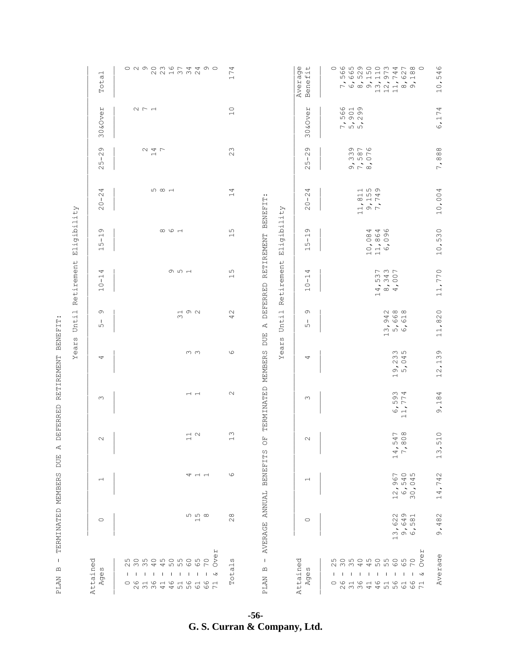| $\mathbf{I}$<br>$\mathbf{\underline{\alpha}}$<br><b>PLAN</b>                                                                                                                                                                                | TERMINATED MEMBERS                                                                                                                                      |                                                                                                             | A<br>DUE                                                                      | <b>DEFERRED</b>                                                                        | RETIREMENT BENEFIT                                                                                                                        | Years Until                                                                                                           | Retirement                                                                                                            | Eligibility                                                                                                                   |                                                                                                                                                    |                                                                                                                                                               |                                                                                                                 |                                                                                                                      |
|---------------------------------------------------------------------------------------------------------------------------------------------------------------------------------------------------------------------------------------------|---------------------------------------------------------------------------------------------------------------------------------------------------------|-------------------------------------------------------------------------------------------------------------|-------------------------------------------------------------------------------|----------------------------------------------------------------------------------------|-------------------------------------------------------------------------------------------------------------------------------------------|-----------------------------------------------------------------------------------------------------------------------|-----------------------------------------------------------------------------------------------------------------------|-------------------------------------------------------------------------------------------------------------------------------|----------------------------------------------------------------------------------------------------------------------------------------------------|---------------------------------------------------------------------------------------------------------------------------------------------------------------|-----------------------------------------------------------------------------------------------------------------|----------------------------------------------------------------------------------------------------------------------|
| Attained<br>Ages                                                                                                                                                                                                                            | $\circ$                                                                                                                                                 | $\overline{\phantom{0}}$                                                                                    | $\sim$                                                                        | $\infty$                                                                               | 4                                                                                                                                         | O)<br>-1<br>ഗ                                                                                                         | 4<br>$\overline{\phantom{0}}$<br>$\mathbf{I}$<br>$\circ$<br>$\overline{\phantom{0}}$                                  | Ō<br>$\overline{\phantom{0}}$<br>$\mathbf{I}$<br>ഗ<br>$\overline{\phantom{0}}$                                                | 4<br>$\sim$<br>л.<br>$\circ$<br>$\sim$                                                                                                             | $\circ$<br>$\sim$<br>$\mathbf{I}$<br>ഗ<br>$\sim$                                                                                                              | 30&Over                                                                                                         | $\overline{\phantom{0}}$<br>Tota                                                                                     |
| ΑP<br><b>wowowowo</b><br>$\delta$<br>2 3 4 4 5 5 6<br>$\circ$ $\sim$<br>$\blacksquare$<br>$\mathbf{I}$<br>$\mathbf{I}$<br>$\mathbf{I}$<br>$\mathbf{I}$<br>$\mathbf{I}$<br>$\mathbf{I}$<br>$\mathbf{L}$<br>Ι.<br>ఆ<br>ш<br>$-1$ $\circ$ $-1$ | <u> ന ത</u><br>$\overline{\phantom{0}}$                                                                                                                 | 4.4.7                                                                                                       | $\overline{\phantom{a}}$ $\overline{\phantom{a}}$<br>$\overline{\phantom{0}}$ | $\overline{a}$                                                                         | $m \, \omega$                                                                                                                             | $\begin{array}{c} \mathfrak{Q} \\ \mathfrak{Q} \end{array} \begin{array}{c} \mathfrak{Q} \\ \mathfrak{Q} \end{array}$ | $\circ$ 5 $\circ$                                                                                                     | $\infty$ $\infty$ $\rightarrow$                                                                                               | <b>n</b> ∞ ⊣                                                                                                                                       | クタア<br>$\overline{\phantom{0}}$                                                                                                                               | $\begin{matrix} 1 & 1 & 1 \\ 1 & 1 & 1 \\ 1 & 1 & 1 \end{matrix}$                                               | 221332                                                                                                               |
| w<br>$\overline{\phantom{0}}$<br>Tota.                                                                                                                                                                                                      | $\infty$<br>$\sim$                                                                                                                                      | $\circ$                                                                                                     | $\infty$<br>$\overline{\phantom{0}}$                                          | $\sim$                                                                                 | $\circ$                                                                                                                                   | $4\,$                                                                                                                 | ഗ<br>$\overline{\phantom{0}}$                                                                                         | ഗ<br>$\overline{\phantom{0}}$                                                                                                 | 4<br>$\overline{\phantom{0}}$                                                                                                                      | $\infty$<br>$\sim$                                                                                                                                            | $\circ$<br>$\overline{\phantom{0}}$                                                                             | 4<br>17                                                                                                              |
| <b>wowowowo</b><br>$\mathbf{I}$<br>$\vec{C}$<br>2334455667<br>$\mathbf{\underline{\upomega}}$<br>Attain<br>w<br>$\mathbb U$<br>$\blacksquare$<br>$\mathbf{I}$<br>л.<br>$\mathbf{I}$<br>п<br><b>PLAN</b><br>Ãğ                               | $\circ$<br><b>AVERAGE</b>                                                                                                                               | <b>BENEFIT</b><br>$\overline{\phantom{0}}$<br><b>ANNUAL</b>                                                 | $\overline{\overline{C}}$<br>$\sim$<br>ω                                      | TERMINATED<br>$\infty$                                                                 | Year.<br>MEMBERS<br>4                                                                                                                     | O)<br>Until<br>$\mathbf{I}$<br>К<br>ഗ<br><b>DUE</b><br>$\omega$                                                       | Retirement<br>4<br>$\overline{\phantom{0}}$<br>$\mathbf{I}$<br><b>DEFERRED</b><br>$\circ$<br>$\overline{\phantom{0}}$ | Eligibility<br>Ō<br>RETIREMENT<br>$\overline{\phantom{0}}$<br>$\mathbf{I}$<br>ഗ<br>$\overline{\phantom{0}}$<br>$\overline{a}$ | $\overline{H}$ in $\overline{O}$<br>4<br>$\sim$<br>11, 811<br>9, 155<br>7, 749<br>$\cdot$ .<br><b>BENEFIT</b><br>$\mathbf{I}$<br>$\circ$<br>$\sim$ | $\sigma$<br>$O \cap P$<br>$\sim$<br>$\mathbf{I}$<br>ഗ<br>$\begin{array}{c}\n\bullet \\ \bullet \\ \bullet\n\end{array}$<br>$\overline{\phantom{a}}$<br>$\sim$ | 566<br>501<br>002<br>$\mathsf{H}$<br>$\omega$<br>30 & O ve<br>$\begin{array}{c}\n\ddots \\ \hline\n\end{array}$ | $\oplus$ $\oplus$<br>Benefi<br>6625117<br>667517<br>Averag                                                           |
| ΑĐ<br>$\delta$<br>$\mathbf{I}$<br>$\mathbf{I}$<br>л.<br>$\mathbf{I}$<br>$\mathbf{I}$<br>ು                                                                                                                                                   | $\sim$ $\sim$ $\sim$<br>$\omega \sim \omega$<br>60 m<br>$\overline{\phantom{a}}$<br>$\tilde{\phantom{a}}$<br>m <sub>o</sub><br>$\overline{\phantom{0}}$ | O N<br>$\overline{ }$<br>$\circ$<br>9<br>9<br>9<br>4<br>9<br>9<br>4<br>12, 6, 7<br>$\overline{\phantom{a}}$ | $\sim \infty$<br>4<br>$\circ$<br>$\sqrt{2}$<br>$\frac{14}{7}$                 | $\omega$ 4<br>59.<br>77.<br>$\frac{1}{1}$<br>$\dot{\circ}$<br>$\overline{\phantom{0}}$ | ന ഥ<br>$\sim$<br>$\overline{4}$<br>$\sim$ $\sim$<br>$\overline{\phantom{a}}$<br>$\overline{\phantom{a}}$<br>ை<br>$\overline{\phantom{0}}$ | $\frac{1}{2}$<br>$\overline{\phantom{0}}$                                                                             | 531<br>340<br>597<br>र<br>सळस<br>$\overline{\phantom{a}}$<br>$\overline{\phantom{0}}$                                 | 0,084<br>1,864<br>6,096                                                                                                       |                                                                                                                                                    |                                                                                                                                                               |                                                                                                                 | 000000000000<br>$7\,4$<br>$\frac{2}{6}$ & $\frac{2}{1}$<br>$\begin{array}{c}\n\hline\n\vdots \\ \hline\n\end{array}$ |
| Average                                                                                                                                                                                                                                     | 482<br>S                                                                                                                                                | 14,742                                                                                                      | $\circ$<br>51<br>$\tilde{\varepsilon}$<br>$\overline{\phantom{0}}$            | 9,184                                                                                  | 12, 139                                                                                                                                   | 1,820<br>$\overline{\phantom{0}}$                                                                                     | 11,770                                                                                                                | 10,530                                                                                                                        | 10,004                                                                                                                                             | 7,888                                                                                                                                                         | 6,174                                                                                                           | 10,546                                                                                                               |

**-56 - G. S. Curran & Company, Ltd.**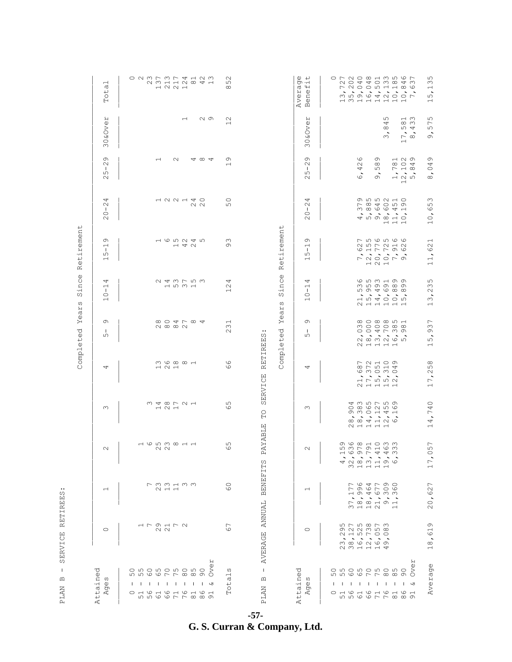|                              | $\overline{\phantom{0}}$<br>൯<br>$\overline{\phantom{a}}$<br>$\circ$<br>Н             | O N M T M T 4 H N M<br>0 0 1 1 0 0 4 1<br>$\begin{array}{c} \begin{array}{c} \begin{array}{c} \end{array}\\ \end{array} \begin{array}{c} \end{array} \end{array} \begin{array}{c} \end{array} \begin{array}{c} \end{array} \begin{array}{c} \end{array} \end{array}$ | $\sim$<br>ഗ<br>$\infty$                                                                                     | $\oplus$ $\oplus$<br>Average<br>Benefit                                              | O N N O 8 H M W 6 N<br><i>N</i> O d d O w w d w<br>20001186<br>$\overline{ }$<br>$\overline{\phantom{a}}$<br>$\sim$ $\sim$<br>$\sim$<br>.<br>$\overline{\phantom{a}}$<br>m n o v d u o o h<br><u>d w d d d d d</u>                                                                                                                                                                                                                                                                                                                                                                                                                                                                                                         | ഗ<br>$\infty$<br>$\overline{\phantom{0}}$<br>$\sim$<br>ഗ<br>$\overline{ }$                    |
|------------------------------|---------------------------------------------------------------------------------------|----------------------------------------------------------------------------------------------------------------------------------------------------------------------------------------------------------------------------------------------------------------------|-------------------------------------------------------------------------------------------------------------|--------------------------------------------------------------------------------------|----------------------------------------------------------------------------------------------------------------------------------------------------------------------------------------------------------------------------------------------------------------------------------------------------------------------------------------------------------------------------------------------------------------------------------------------------------------------------------------------------------------------------------------------------------------------------------------------------------------------------------------------------------------------------------------------------------------------------|-----------------------------------------------------------------------------------------------|
|                              | <b>O&amp;Over</b><br>$\infty$                                                         | $\sim$ $\circ$<br>$\overline{ }$                                                                                                                                                                                                                                     | $\sim$<br>$\overline{\phantom{0}}$                                                                          | <b>JAAC</b><br>ು<br>$\circ$<br>$\infty$                                              | ഗ<br>$\overline{H}$ m<br>$\infty$ m<br>4<br>$\infty$<br>り 4<br>$\infty$<br>$\Gamma$ $\infty$<br>$\overline{\phantom{0}}$                                                                                                                                                                                                                                                                                                                                                                                                                                                                                                                                                                                                   | ഗ<br>$\overline{ }$<br>ഗ<br>c)                                                                |
|                              | $\sigma$<br>$\sim$<br>-1<br>ഗ<br>$\sim$                                               | $4\,$ $\infty$ $\,$<br>$\sim$<br>$\overline{\phantom{0}}$                                                                                                                                                                                                            | $\sigma$<br>$\overline{ }$                                                                                  | c)<br>$\sim$<br>$\mathbf{I}$<br>ഗ<br>$\sim$                                          | $\circ$<br>$\sigma$<br>$\overline{M}$ $\overline{N}$<br>$\sim$<br>$\infty$<br>$\infty$ $\circ$ $\sim$<br>4<br>$\Gamma$ $\rightarrow$ $\infty$<br>ഗ<br>$\overline{\phantom{a}}$<br>$\frac{1}{10}$<br>$\overline{\phantom{a}}$<br>$\circ$<br>Ō<br>$\overline{\phantom{0}}$                                                                                                                                                                                                                                                                                                                                                                                                                                                   | $\sigma$<br>4<br>$\circ$<br>$\overline{\phantom{a}}$<br>$\infty$                              |
|                              | 4<br>$\sim$<br>л.<br>$\circ$<br>$\sim$                                                | 122140<br>$N$ $N$                                                                                                                                                                                                                                                    | $\circ$<br>ഗ                                                                                                | 4<br>$\sim$<br>$\mathbf{I}$<br>$\circ$<br>$\sim$                                     | $\circ \circ \circ \circ \circ \circ \circ \circ$<br><b>L</b> ∞40 r v<br><b>A.A.A.A.A.A</b><br>459810<br>$-1$ $-1$                                                                                                                                                                                                                                                                                                                                                                                                                                                                                                                                                                                                         | $\infty$<br>ഗ<br>$\circ$<br>10,                                                               |
| Retirement                   | $\sigma$<br>$\overline{\phantom{0}}$<br>$\mathbf{I}$<br>ഗ<br>$\overline{\phantom{0}}$ | 165245<br>$-4$ $-4$ $\circ$                                                                                                                                                                                                                                          | Retirement<br>$\infty$<br>$\sigma$                                                                          | O)<br>$\overline{\phantom{0}}$<br>$\mathbf{I}$<br>ഗ<br>$\overline{\phantom{0}}$      | <b>756566</b><br>$\begin{array}{c} \mathcal{N} \hspace{2pt} \mathcal{N} \hspace{2pt} \mathcal{N} \end{array}$<br>$\overline{\phantom{0}}$ $\overline{\phantom{0}}$<br>9<br>$\begin{array}{c} \n\vdots \\ \downarrow \\ \downarrow \\ \end{array}$<br>$\hat{\phantom{a}}$<br>$\hat{\phantom{a}}$<br><b>NOOM</b><br>$\begin{array}{c} \rightleftarrows & \sim & \rightarrow \\ \sim & \sim & \end{array}$                                                                                                                                                                                                                                                                                                                    | 621<br>$\overline{a}$<br>$\overline{\phantom{0}}$                                             |
| nce.<br>∙⊣<br>w<br>ω         | ↴<br>$\overline{\phantom{0}}$<br>$\mathbf{I}$<br>$\circ$<br>$\overline{\phantom{0}}$  | 243753<br>$-150$ m $-1$                                                                                                                                                                                                                                              | ince<br>4<br>$\sim$<br>$\overline{\phantom{0}}$<br>Ω,<br>$\omega$                                           | ↴<br>$\overline{\phantom{0}}$<br>$\mathbf{I}$<br>$\circ$<br>$\overline{\phantom{0}}$ | $600-100$<br>$m$ ഹ ത ത ത<br><b>5999999</b><br>$\mathbf{v} = \mathbf{v} - \mathbf{v} = \mathbf{v}$<br>$\sim$ $\sim$<br>$\begin{array}{c} \n 1 & \text{if } \mathcal{A} \n 0 & \text{if } \mathcal{A} \n \end{array}$<br>0111111                                                                                                                                                                                                                                                                                                                                                                                                                                                                                             | ഗ<br>$\infty$<br>$\alpha$<br>$\sim$<br>$\infty$<br>$\overline{\phantom{0}}$                   |
| aar.<br>$\Join$<br>Completed | $\sigma$<br>л.<br>ഗ                                                                   | $\infty \circ \neg + \sim \infty$<br>$N$ $\infty$ $\infty$ $N$                                                                                                                                                                                                       | ЯZ<br>$\mathbb U$<br>≻<br>$\overline{\phantom{0}}$<br>$\infty$<br>$\sim$<br>$\vec{C}$<br>$\cdot \cdot$<br>ω | c)<br>$\mathbf{I}$<br>ഗ                                                              | $\infty$ $\circ$ $\infty$ $\infty$ $\infty$ $\mapsto$<br>004739<br>$\overline{\phantom{a}}$<br>$\overline{\phantom{a}}$<br>$\overline{\phantom{a}}$<br>$N$ $\infty$ $N$ $N$ $\infty$ $n$<br>$\begin{array}{c} \n \text{A} & \text{A} & \text{A} & \text{A} \\  \text{A} & \text{A} & \text{A} & \text{A} & \text{A}\n \end{array}$                                                                                                                                                                                                                                                                                                                                                                                         | $\overline{ }$<br>$\infty$<br>c)<br>ഗ<br>$\overline{ }$                                       |
|                              | 4                                                                                     | $m \circledcirc \circledcirc \circledcirc \rightarrow$<br>$\begin{array}{c} \begin{array}{c} \begin{array}{c} \end{array} & \begin{array}{c} \end{array} \\ \end{array} \end{array}$                                                                                 | RETIREE<br>Complet<br>$\circ$<br>$\circ$<br><b>SERVICE</b>                                                  | 4                                                                                    | $\begin{array}{ccc} & \mathcal{L} & \mathcal{L} & \mathcal{L} & \mathcal{L} & \mathcal{L} & \mathcal{L} & \mathcal{L} & \mathcal{L} & \mathcal{L} & \mathcal{L} & \mathcal{L} & \mathcal{L} & \mathcal{L} & \mathcal{L} & \mathcal{L} & \mathcal{L} & \mathcal{L} & \mathcal{L} & \mathcal{L} & \mathcal{L} & \mathcal{L} & \mathcal{L} & \mathcal{L} & \mathcal{L} & \mathcal{L} & \mathcal{L} & \mathcal{L} & \mathcal{L} & \mathcal{L} & \mathcal{L} & \math$<br>$\infty$<br>フラユム<br>$Q \cap Q \cap Q$<br>$\sim$ $\sim$ $\sim$<br>$\overline{\phantom{a}}$<br>$\sim$<br>17552<br>$\begin{array}{c} \n \text{A} & \text{A} & \text{A} & \text{A} \\  \text{A} & \text{A} & \text{A} & \text{A} & \text{A}\n \end{array}$ | $\infty$<br>ഗ<br>$\sim$<br>$\overline{7}$<br>$\overline{ }$                                   |
|                              | $\infty$                                                                              | う48721<br>$\overline{\phantom{a}}$ $\overline{\phantom{a}}$ $\overline{\phantom{a}}$ $\overline{\phantom{a}}$                                                                                                                                                        | ഗ<br>$\circ$<br>$_{FQ}^{\circ}$<br><b>BLE</b>                                                               | $\infty$                                                                             | 435759<br>$0$ $0$ $0$ $0$ $0$<br>$O \cup Q$<br><b>A. A. A. A. A. A.</b><br>$\begin{array}{c} \infty & \infty & \text{if } \infty \end{array}$<br>011111                                                                                                                                                                                                                                                                                                                                                                                                                                                                                                                                                                    | $\circ$<br>$-4,74$<br>$\overline{\phantom{0}}$                                                |
|                              | $\sim$                                                                                | 1653811<br>$N$ $N$                                                                                                                                                                                                                                                   | Ā<br>ഗ<br>PAY.<br>$\circ$<br>Ω,                                                                             | $\sim$                                                                               | O)<br>3600<br>$\overline{\phantom{0}}$<br>$\overline{10}$<br>$\infty$<br>ന<br>$\circ$<br>$\circ$<br>$\infty$<br>ഹ<br>$O$ $O$ $P$<br>4<br>4 W<br>$\overline{\phantom{0}}$<br>$\overline{\phantom{a}}$<br>$\hat{\phantom{a}}$<br>$\overline{\phantom{a}}$<br>$\overline{\phantom{a}}$<br>$\alpha$ $\alpha$ $\beta$ $\beta$ $\gamma$ $\beta$ $\alpha$<br>4<br>$\begin{array}{ccc} \curvearrowleft & \curvearrowleft & \curvearrowleft \\ \curvearrowleft & \curvearrowleft & \curvearrowleft \\ \curvearrowleft & \curvearrowleft & \curvearrowleft \end{array} \end{array}$                                                                                                                                                  | $\overline{\phantom{0}}$<br>$\overline{5}$<br>$\circ$<br>7,<br>$\overline{\phantom{0}}$       |
|                              | $\overline{ }$                                                                        | フ33133<br>$\sim$ $ -$                                                                                                                                                                                                                                                | <b>BENEFIT</b><br>$\overline{6}$                                                                            | $\overline{\phantom{0}}$                                                             | $O \nightharpoonup T$ $O$<br>∼<br>$\overline{\phantom{0}}$<br>700<br>$\circ$<br>or di covico<br>$\overline{\phantom{0}}$<br>$\sim$<br>$\overline{\phantom{a}}$<br>$\hat{\phantom{a}}$<br>٠<br>$\overline{\phantom{0}}$<br>$\overline{\phantom{a}}$<br>$\infty$ $\infty$ $\leftarrow$ $\infty$ $\leftarrow$<br>$\overline{ }$<br>$\omega$ $\mapsto$ $\omega$<br>$\overline{ }$                                                                                                                                                                                                                                                                                                                                              | 20,627                                                                                        |
|                              | $\circ$                                                                               | 179172<br>$\sim$ $\sim$                                                                                                                                                                                                                                              | AVERAGE ANNUAL<br>57                                                                                        | $\circ$                                                                              | 575873<br>$O \cap C1$<br>$\begin{array}{c} \n \mathcal{O} \n \mathcal{O} \n \mathcal{O} \n \mathcal{O} \n \mathcal{O} \n \mathcal{O} \n \mathcal{O} \n \mathcal{O} \n \mathcal{O} \n \mathcal{O} \n \mathcal{O} \n \mathcal{O} \n \mathcal{O} \n \mathcal{O} \n \mathcal{O} \n \mathcal{O} \n \mathcal{O} \n \mathcal{O} \n \mathcal{O} \n \mathcal{O} \n \mathcal{O} \n \mathcal{O} \n \mathcal{O} \n \mathcal{O} \n \mathcal{O} \n \mathcal{O} \n \mathcal$<br>$\overline{\phantom{a}}$<br>$\begin{array}{c} \curvearrowleft \circledtimes \circledtimes \circledtimes \circledtimes \circledtimes \end{array}$<br>2 3 4 4 4 7                                                                                           | $\circ$<br>$\overline{6}$<br>$\overline{\phantom{a}}$<br>$\infty$<br>$\overline{\phantom{0}}$ |
|                              | Attained<br>w<br>$\mathbb U$<br>ত<br>A                                                | $\mathsf{H}$<br>$\mathbb U$<br>o n o n o n o n o<br>⋗<br>n n v v r r w w o<br>Ò<br>$1$ $1$ $1$ $1$<br>$\blacksquare$<br>$\mathbf{I}$<br>$\mathbf{I}$<br>$\blacksquare$<br>$\mathbf{1}$<br>ು<br>0 1 6 1 6 1 6 1 6<br>$\overline{ }$<br>nn v v r r w w g               | w<br>$\mathbf{I}$<br>$\overline{\phantom{0}}$<br>đ<br>Щ<br>$_{+}$<br>$\circ$<br><b>PLAN</b><br>Н            | $\vec{C}$<br>Attain<br>ω<br>$\mathbb{O}$<br>ত<br>A                                   | я<br>$\mathbb U$<br>o n o n o n o n o<br>$\delta$<br>n n v v r r ∞ ∞ の<br>$\mathbf{1}$<br>$\mathbf{1}$<br>$\mathbf{I}$<br>$\blacksquare$<br>$\mathbf{L}$<br>$\mathbf{1}$<br>ು<br>л.<br>0 1 0 1 0 1 0 1 0 1<br>nnoorrooo                                                                                                                                                                                                                                                                                                                                                                                                                                                                                                    | $\mathbb U$<br>Averag                                                                         |

PLAN B - SERVICE RETIREES: PLAN B - SERVICE RETIREES:

**-57 - G. S. Curran & Company, Ltd.**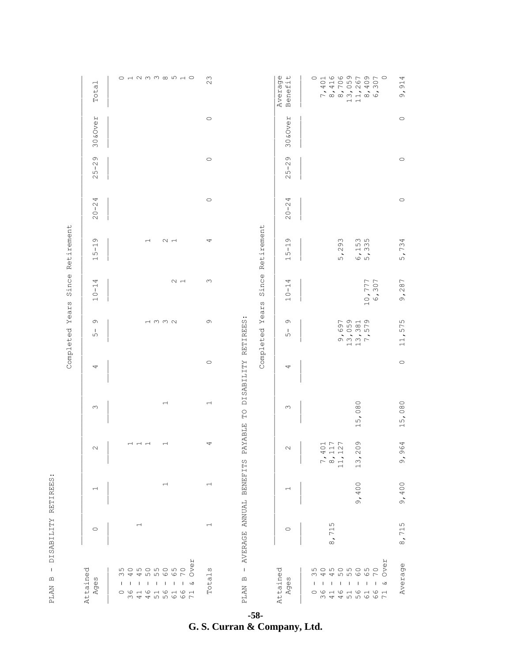| ζ<br>보브리<br>E<br>-<br>区                                                     |
|-----------------------------------------------------------------------------|
| ì<br>۰<br>ł<br>ŀ<br>ŀ<br>ŀ<br>r<br>R<br>í<br>ር<br>ተ<br>١<br>ł<br>$\epsilon$ |
| I                                                                           |
| Щ                                                                           |
| ・・・・<br>ρ                                                                   |

| $\ddagger$<br>raman<br>$\frac{1}{1}$<br>$\frac{1}{\Phi}$<br>Ă  |
|----------------------------------------------------------------|
| aina<br>ł                                                      |
| w<br>ear<br>Þ                                                  |
| てくー<br>5<br>Ď<br>J<br>)<br>$\overline{C}$<br>ı<br>ı,<br>ł<br>Ć |

|                | $\overline{\phantom{0}}$<br>Tota.                                        |                                                                                                                                                                                                        | $\infty$<br>$\sim$       |                                                             | Average<br>Benefit                                                                   | 4<br>4r<br>$\circ$ $\circ$<br>4 w<br>$\begin{array}{c}\n\hline\n\circ\circ\circ\circ\circ\to\circ\circ\\ \n\hline\n\circ\circ\circ\to\to\circ\circ\n\end{array}$                                                                        | 4<br>9,91 |
|----------------|--------------------------------------------------------------------------|--------------------------------------------------------------------------------------------------------------------------------------------------------------------------------------------------------|--------------------------|-------------------------------------------------------------|--------------------------------------------------------------------------------------|-----------------------------------------------------------------------------------------------------------------------------------------------------------------------------------------------------------------------------------------|-----------|
|                | 30&Over                                                                  |                                                                                                                                                                                                        | $\circ$                  |                                                             | 30&Over                                                                              |                                                                                                                                                                                                                                         |           |
|                | $\circ$<br>$\sim$<br>Τ.<br>ഗ<br>$\sim$                                   |                                                                                                                                                                                                        | $\circ$                  |                                                             | $\circ$<br>$\sim$<br>$\mathbf{I}$<br>ഗ<br>$\sim$                                     |                                                                                                                                                                                                                                         |           |
|                | 4<br>$\sim$<br>$\mathbf{I}$<br>$\circ$<br>$\sim$                         |                                                                                                                                                                                                        | $\circ$                  |                                                             | 4<br>$\sim$<br>$\mathbf{I}$<br>$\circ$<br>$\sim$                                     |                                                                                                                                                                                                                                         |           |
| Retirement     | O<br>$\overline{\phantom{0}}$<br>л.<br>ഗ<br>$\overline{\phantom{0}}$     | $\sim$ $\rightarrow$<br>$\overline{\phantom{0}}$                                                                                                                                                       | 4                        | Retirement                                                  | G<br>$\overline{\phantom{0}}$<br>л.<br>ഗ<br>$\overline{\phantom{0}}$                 | ന ഥ<br>$\omega$<br>29<br>15, 3<br>5,<br>$\overline{6}$ in                                                                                                                                                                               | 5,734     |
| Since<br>Years | 4<br>$\begin{array}{c}\n1 \\ 1\n\end{array}$<br>$\overline{\phantom{0}}$ | $\sim$ $\sim$                                                                                                                                                                                          | $\infty$                 | Since<br>$\mathcal{O}$<br>ear:                              | 4<br>$\overline{\phantom{0}}$<br>$\mathbf{I}$<br>$\circ$<br>$\overline{\phantom{0}}$ | 10,777<br>6,307                                                                                                                                                                                                                         | 9,287     |
| Completed      | $\sigma$<br>Τ.<br>ഗ                                                      | $\rightarrow$ $\rightarrow$ $\rightarrow$ $\rightarrow$                                                                                                                                                | $\circ$                  | $\cdot \cdot$<br><b>RETIREES</b><br>Υ<br>Completed          | G<br>-1<br>ഗ                                                                         | 9,697<br>3,0591<br>7,591<br>7,579<br>$\overline{\phantom{a}}$                                                                                                                                                                           | 11,575    |
|                | 4                                                                        |                                                                                                                                                                                                        | $\circ$                  | <b>DISABILITY</b>                                           | 4                                                                                    |                                                                                                                                                                                                                                         | $\circ$   |
|                | $\infty$                                                                 | $\overline{\phantom{0}}$                                                                                                                                                                               | $\overline{\phantom{0}}$ | $\Gamma$<br><b>ABLE</b>                                     | $\infty$                                                                             | 5,080<br>$\overline{\phantom{0}}$                                                                                                                                                                                                       | 15,080    |
|                | $\sim$                                                                   | $\overline{\phantom{0}}$                                                                                                                                                                               | 4                        | PAY<br><b>BENEFITS</b>                                      | $\sim$                                                                               | L<br>$\overline{ }$<br>თ<br>401<br>$\frac{1}{1}$<br>$\overline{2}$<br>$\overline{2}0$<br>$\mathcal{L}_{\mathbf{r}}$<br>$\dot{\infty}$<br>$\overline{1}$<br>$\tilde{\mathrm{c}}$<br>$\overline{\phantom{0}}$<br>$\overline{\phantom{0}}$ | 9,964     |
|                | $\overline{\phantom{0}}$                                                 | $\overline{\phantom{0}}$                                                                                                                                                                               | $\overline{\phantom{0}}$ |                                                             | $\overline{\phantom{0}}$                                                             | 400<br>$\overline{\circ}$                                                                                                                                                                                                               | 9,400     |
|                | $\circ$                                                                  | $\overline{\phantom{0}}$                                                                                                                                                                               | $\overline{\phantom{0}}$ | AVERAGE ANNUAL                                              | $\circ$                                                                              | ഗ<br>$\overline{\phantom{0}}$<br>Γ<br>$\ddot{\circ}$                                                                                                                                                                                    | 8,715     |
|                | Attained<br>Ages                                                         | $\frac{1}{2}$<br>59<br>$\delta$<br>ഗ<br>$\overline{7}$<br>Μ<br>ು<br>J.<br>$\mathbf{I}$<br>$\mathbf{I}$<br>$\mathbf{I}$<br>$\mathbf{I}$<br>п<br>п<br>-<br>6 1 6 1 6 1 6 1<br>6 1 6 1 6 1 6 1<br>$\circ$ | w<br>Total               | $\mathbf I$<br>$\mathbf{\underline{\alpha}}$<br><b>PLAN</b> | Attained<br>Ages                                                                     | Over<br>5550<br>550<br>m o m<br>59<br>$\circ$<br>4<br>$\overline{ }$<br>$\infty$<br>4<br>$\mathbf{I}$<br>ು<br>$\mathbf{I}$<br>$\mathbf{I}$<br>J.<br>$\mathbf{I}$<br>$\mathbf{I}$<br>J.<br>п                                             |           |

**-58 - G. S. Curran & Company, Ltd.**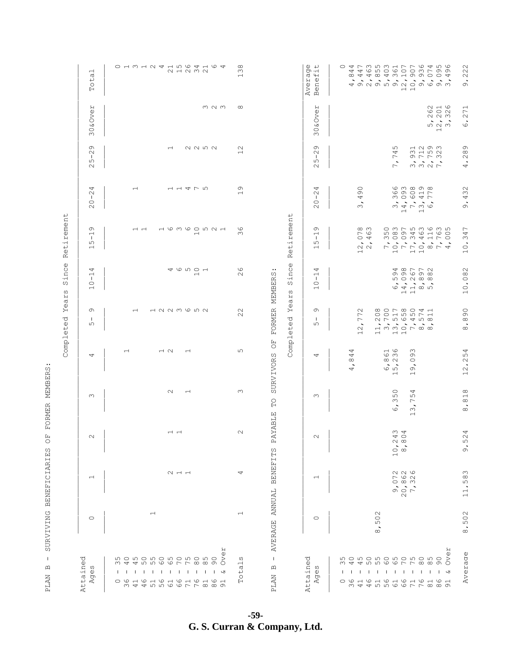|                                               | $\overline{\phantom{0}}$<br>ota.<br>$\vdash$                                         | O 1 3 1 2 4 1 5 6 4 1 6 4<br>$\begin{array}{c} \mathcal{O} & \rightarrow & \mathcal{O} \\ \mathcal{O} & \rightarrow & \mathcal{O} \end{array}$ | $\infty$<br>$\infty$<br>$\overline{\phantom{0}}$ |                                            | $\mathbb{O}$ $\mathbb{L}$<br>ה ים<br>Averad<br>Benef                                 | O 4 4 6 7 0 9 0 0 0 0 1 0 0<br>O 4 1 0 10 0 10 0 0 0 0 10 0 0<br>$\overline{O}$<br>$\infty$ 4<br>$\omega \, \, \cup \, \omega$<br>44<br>$\circ$ 4<br>$\infty$<br>4 9 9 9 9 9 9 9 9 9 9 9 9 9 9 9 9<br>$\overline{a}$                                                                                                                                                     | 22<br>$\sim$<br>$\ddot{\phantom{1}}$<br>S                        |
|-----------------------------------------------|--------------------------------------------------------------------------------------|------------------------------------------------------------------------------------------------------------------------------------------------|--------------------------------------------------|--------------------------------------------|--------------------------------------------------------------------------------------|--------------------------------------------------------------------------------------------------------------------------------------------------------------------------------------------------------------------------------------------------------------------------------------------------------------------------------------------------------------------------|------------------------------------------------------------------|
|                                               | <b>O&amp;Over</b><br>$\infty$                                                        | $m \nabla m$                                                                                                                                   | $\infty$                                         |                                            | $\mathsf{H}$<br>O&Ove<br>$\infty$                                                    | 262<br>2016<br>2026<br>$\begin{array}{c}\n5 \\ \hline\n0 \\ \hline\n\end{array}$<br>$\overline{\phantom{0}}$                                                                                                                                                                                                                                                             | 271<br>$\dot{\circ}$                                             |
|                                               | Ō<br>$\sim$<br>$\mathbf{I}$<br>ഗ<br>$\sim$                                           | $\begin{array}{c} 2 & 0 \\ 0 & 1 \end{array}$<br>$\overline{\phantom{0}}$                                                                      | $\sim$<br>$\overline{\phantom{0}}$               |                                            | Ō<br>$\sim$<br>$\mathbf{I}$<br>ഗ<br>$\sim$                                           | $M \cap \mathcal{O}$<br>ഗ<br>74.<br>$75$<br>32<br>77<br>$\frac{1}{2}$<br>7,                                                                                                                                                                                                                                                                                              | G<br>$\infty$<br>$\sim$<br>4                                     |
|                                               | 4<br>$\sim$<br>$\perp$<br>$\circ$<br>$\sim$                                          | 11475<br>$\overline{\phantom{0}}$                                                                                                              | $\circ$<br>$\overline{\phantom{0}}$              |                                            | ↵<br>$\sim$<br>$\mathbf{I}$<br>$\circ$<br>$\sim$                                     | $\circ$<br>$\begin{array}{c} 6 & 0 & 0 & 0 \\ 0 & 0 & 0 & 0 \\ 0 & 0 & 0 & 0 \end{array}$<br>4<br>$\begin{array}{c} \mathfrak{O} \quad \mathcal{O} \quad \mathcal{A} \quad \mathcal{L} \end{array}$<br>$\begin{array}{c}\n\circ \\ \circ \\ \circ \\ \circ\n\end{array}$<br>$\overline{\phantom{a}}$<br>$\infty$<br>$\overline{\phantom{0}}$<br>$\overline{\phantom{0}}$ | , 432<br>$\circ$                                                 |
| Retirement                                    | $\circ$<br>$\overline{\phantom{0}}$<br>Τ.<br>ഗ<br>$\overline{\phantom{0}}$           | <b>HOMOODNH</b><br>$\overline{\phantom{a}}$<br>$\overline{\phantom{0}}$                                                                        | $\circ$<br>$\infty$                              | Retirement                                 | O<br>$\overline{\phantom{0}}$<br>т.<br>ഗ<br>$\overline{\phantom{0}}$                 | ത ന<br>cour publico<br>$\overline{O7}$<br>$\circ$<br>$\overline{4}$<br>WOOW4HLO<br>$\overline{\phantom{a}}$<br>O.770074<br>$\overline{\phantom{a}}$<br>$\sim$ $\sim$<br>$\overline{ }$<br>$\overline{\phantom{0}}$<br>$\overline{\phantom{0}}$<br>$\overline{\phantom{0}}$<br>$\overline{\phantom{0}}$                                                                   | 347<br>$\circ$<br>$\overline{\phantom{0}}$                       |
| Since                                         | 4<br>$\overline{\phantom{0}}$<br>$\mathbf{I}$<br>$\circ$<br>$\overline{\phantom{0}}$ | 46501<br>$\overline{\phantom{0}}$                                                                                                              | $\circ$<br>$\sim$                                | Since<br>$\cdot\cdot$                      | 4<br>$\overline{\phantom{0}}$<br>$\mathbf{I}$<br>$\circ$<br>$\overline{\phantom{0}}$ | 9<br>9<br>9<br>9<br>9<br>9<br>9<br>9<br>9<br>9<br>9<br>9<br>9<br>5<br>$\circ$ $\circ$ $\circ$ $\circ$<br>$\frac{1}{4}$ $\frac{1}{4}$ $\frac{1}{8}$ $\frac{1}{8}$ $\frac{1}{10}$<br>$\overline{\phantom{a}}$<br>9<br>$\overline{a}$                                                                                                                                       | 082<br>$\sim$<br>$\overline{10}$                                 |
| Years<br>Completed                            | $\circ$<br>J.<br>ഗ                                                                   | 1223652<br>$\overline{\phantom{0}}$                                                                                                            | 22                                               | FORMER MEMBERS<br>Years<br>Completed       | O<br>$\mathbf{I}$<br>ഗ                                                               | $\sim$<br>$-2,77$<br>400<br>$\begin{array}{c}\n1 \text{ m } 0 \\ 1 \text{ m } 1 \\ 1 \text{ m } 1\n\end{array}$<br>$\overline{\phantom{0}}$                                                                                                                                                                                                                              | 890<br>$\ddot{\circ}$                                            |
|                                               | 4                                                                                    | $\overline{\phantom{0}}$<br>$\overline{ }$<br>$\overline{\phantom{0}}$                                                                         | ഗ                                                | SURVIVORS OF                               | 4                                                                                    | $\rightarrow$ $\circ$<br>, 844<br>$\infty$<br>$\circ$ $\circ$<br>$\infty$<br>$\infty$ $\sim$<br>$\circ$<br>$\overline{\phantom{a}}$<br>$\frac{1}{6}$<br>4<br>$\infty$<br>$\overline{ }$<br>$\overline{\phantom{0}}$                                                                                                                                                      | 254<br>$\hat{\phantom{a}}$<br>$\sim$<br>$\overline{\phantom{0}}$ |
| FORMER MEMBERS:                               | $\infty$                                                                             | $\sim$<br>$\overline{\phantom{0}}$                                                                                                             | $\infty$                                         | $_{\rm P}^{\rm O}$                         | $\infty$                                                                             | 6,350<br>54<br>$\mathord{\hspace{1pt}\text{--}\hspace{1pt}}$<br>$\tilde{\varepsilon}$<br>$\overline{\phantom{0}}$                                                                                                                                                                                                                                                        | $\infty$<br>8,81                                                 |
| ð                                             | $\sim$                                                                               | $\overline{a}$                                                                                                                                 | $\sim$                                           | <b>NABLE</b><br>PÃ<br>Ω,                   | $\sim$                                                                               | $\omega$ 4<br>$\frac{4}{8}$<br>$\frac{10}{8}$                                                                                                                                                                                                                                                                                                                            | 4<br>52<br>$\sigma$                                              |
| BENEFICIARIES                                 | $\overline{ }$                                                                       | $\sim$ $-1$                                                                                                                                    | 4                                                | <b>BENEFIT</b>                             | $\overline{\phantom{0}}$                                                             | $\sim$ $\sim$<br>20,862<br>9,07                                                                                                                                                                                                                                                                                                                                          | $\infty$<br>58<br>$\overline{11}$                                |
| SURVIVING                                     | $\circ$                                                                              | $\overline{\phantom{0}}$                                                                                                                       | $\overline{\phantom{0}}$                         | AVERAGE ANNUAL                             | $\circ$                                                                              | 502<br>$\dot{\infty}$                                                                                                                                                                                                                                                                                                                                                    | 502<br>$\ddot{\circ}$                                            |
| $\mathbf{I}$<br>$\mathfrak{m}$<br><b>PLAN</b> | Attained<br>ω<br>Age:                                                                | $\mathsf{H}$<br>$\mathbb U$<br>nononononono<br>d<br>Andronououop<br>Andronouop<br>$\omega$ 4<br>1 1 1 1 1 1 1 1 1 1 3<br>- 1<br>-1<br>$\circ$  | w<br>$\frac{1}{6}$<br>$\overline{C}$<br>$\vdash$ | $\mathbf{1}$<br>$\mathbf m$<br><b>PLAN</b> | Attained<br>C)<br>Age:                                                               | 1 1 1 1 1 1 1 1 1 1<br>$\mathbf{I}$<br>ا ⊘ا<br>л.                                                                                                                                                                                                                                                                                                                        | Average                                                          |

**-59 - G. S. Curran & Company, Ltd.**

PLAN B - SURVIVING BENEFICIARIES OF FORMER MEMBERS: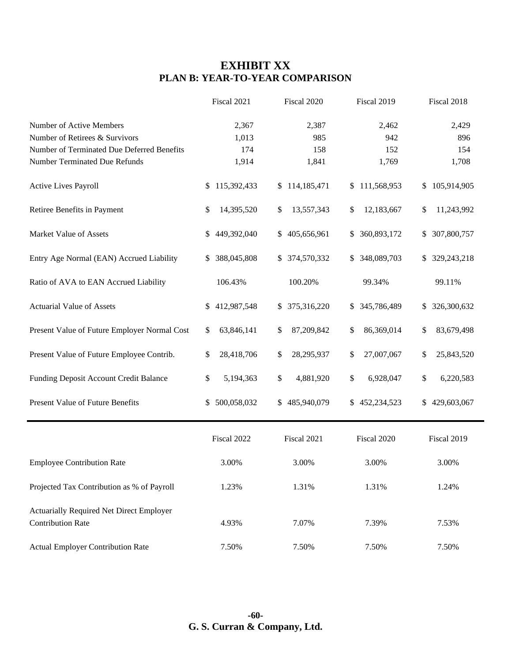## **EXHIBIT XX PLAN B: YEAR-TO-YEAR COMPARISON**

|                                                                      | Fiscal 2021       | Fiscal 2020       | Fiscal 2019       | Fiscal 2018       |
|----------------------------------------------------------------------|-------------------|-------------------|-------------------|-------------------|
| Number of Active Members                                             | 2,367             | 2,387             | 2,462             | 2,429             |
| Number of Retirees & Survivors                                       | 1,013             | 985               | 942               | 896               |
| Number of Terminated Due Deferred Benefits                           | 174               | 158               | 152               | 154               |
| Number Terminated Due Refunds                                        | 1,914             | 1,841             | 1,769             | 1,708             |
| Active Lives Payroll                                                 | 115,392,433<br>\$ | \$114,185,471     | 111,568,953<br>\$ | 105,914,905<br>\$ |
| Retiree Benefits in Payment                                          | 14,395,520<br>\$  | 13,557,343<br>\$  | 12,183,667<br>\$  | \$<br>11,243,992  |
| Market Value of Assets                                               | 449,392,040<br>\$ | 405,656,961<br>\$ | 360,893,172<br>\$ | 307,800,757<br>\$ |
| Entry Age Normal (EAN) Accrued Liability                             | 388,045,808<br>\$ | \$374,570,332     | 348,089,703<br>\$ | \$ 329,243,218    |
| Ratio of AVA to EAN Accrued Liability                                | 106.43%           | 100.20%           | 99.34%            | 99.11%            |
| <b>Actuarial Value of Assets</b>                                     | 412,987,548<br>\$ | 375,316,220<br>\$ | 345,786,489<br>\$ | 326,300,632<br>\$ |
| Present Value of Future Employer Normal Cost                         | \$<br>63,846,141  | \$<br>87,209,842  | \$<br>86,369,014  | \$<br>83,679,498  |
| Present Value of Future Employee Contrib.                            | \$<br>28,418,706  | \$<br>28,295,937  | 27,007,067<br>\$  | 25,843,520<br>\$  |
| Funding Deposit Account Credit Balance                               | \$<br>5,194,363   | \$<br>4,881,920   | \$<br>6,928,047   | \$<br>6,220,583   |
| Present Value of Future Benefits                                     | 500,058,032<br>\$ | 485,940,079<br>\$ | 452,234,523<br>\$ | 429,603,067<br>\$ |
|                                                                      | Fiscal 2022       | Fiscal 2021       | Fiscal 2020       | Fiscal 2019       |
| <b>Employee Contribution Rate</b>                                    | 3.00%             | 3.00%             | 3.00%             | 3.00%             |
| Projected Tax Contribution as % of Payroll                           | 1.23%             | 1.31%             | 1.31%             | 1.24%             |
| Actuarially Required Net Direct Employer<br><b>Contribution Rate</b> | 4.93%             | 7.07%             | 7.39%             | 7.53%             |
|                                                                      |                   |                   |                   |                   |
| <b>Actual Employer Contribution Rate</b>                             | 7.50%             | 7.50%             | 7.50%             | 7.50%             |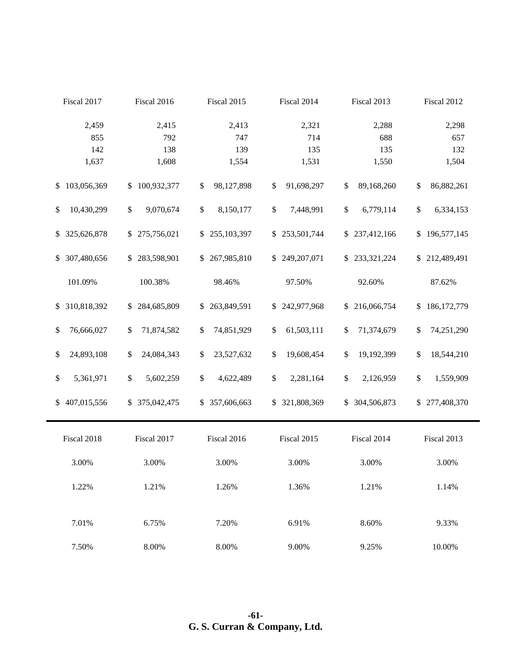| Fiscal 2017       | Fiscal 2016               | Fiscal 2015                   | Fiscal 2014       | Fiscal 2013        | Fiscal 2012         |
|-------------------|---------------------------|-------------------------------|-------------------|--------------------|---------------------|
| 2,459             | 2,415                     | 2,413                         | 2,321             | 2,288              | 2,298               |
| 855               | 792                       | 747                           | 714               | 688                | 657                 |
| 142               | 138                       | 139                           | 135               | 135                | 132                 |
| 1,637             | 1,608                     | 1,554                         | 1,531             | 1,550              | 1,504               |
| 103,056,369<br>\$ | 100,932,377<br>\$         | \$<br>98,127,898              | \$<br>91,698,297  | $\$$<br>89,168,260 | \$<br>86,882,261    |
| \$<br>10,430,299  | $\mathbb{S}$<br>9,070,674 | $\mathbb{S}$<br>8,150,177     | \$<br>7,448,991   | $\$$<br>6,779,114  | \$<br>6,334,153     |
| 325,626,878<br>\$ | 275,756,021<br>\$         | 255,103,397<br>\$             | 253,501,744<br>\$ | 237,412,166<br>\$  | 196,577,145<br>\$   |
| 307,480,656<br>\$ | \$283,598,901             | 267,985,810<br>$\mathbb{S}^-$ | \$249,207,071     | \$233,321,224      | 212,489,491<br>\$   |
| 101.09%           | 100.38%                   | 98.46%                        | 97.50%            | 92.60%             | 87.62%              |
| 310,818,392<br>\$ | \$284,685,809             | 263,849,591<br>\$             | 242,977,968<br>\$ | 216,066,754<br>\$  | \$<br>186, 172, 779 |
| \$<br>76,666,027  | \$<br>71,874,582          | \$<br>74,851,929              | \$<br>61,503,111  | \$<br>71,374,679   | \$<br>74,251,290    |
| \$<br>24,893,108  | \$<br>24,084,343          | \$<br>23,527,632              | \$<br>19,608,454  | \$<br>19,192,399   | \$<br>18,544,210    |
| \$<br>5,361,971   | \$<br>5,602,259           | $\mathbb{S}$<br>4,622,489     | \$<br>2,281,164   | $\$$<br>2,126,959  | \$<br>1,559,909     |
| \$<br>407,015,556 | 375,042,475<br>\$         | 357,606,663<br>\$             | 321,808,369<br>\$ | \$<br>304,506,873  | 277,408,370<br>\$   |
| Fiscal 2018       | Fiscal 2017               | Fiscal 2016                   | Fiscal 2015       | Fiscal 2014        | Fiscal 2013         |
| 3.00%             | 3.00%                     | 3.00%                         | 3.00%             | 3.00%              | 3.00%               |
| 1.22%             | 1.21%                     | 1.26%                         | 1.36%             | 1.21%              | 1.14%               |
| 7.01%             | 6.75%                     | 7.20%                         | 6.91%             | 8.60%              | 9.33%               |
| 7.50%             | 8.00%                     | $8.00\%$                      | 9.00%             | 9.25%              | 10.00%              |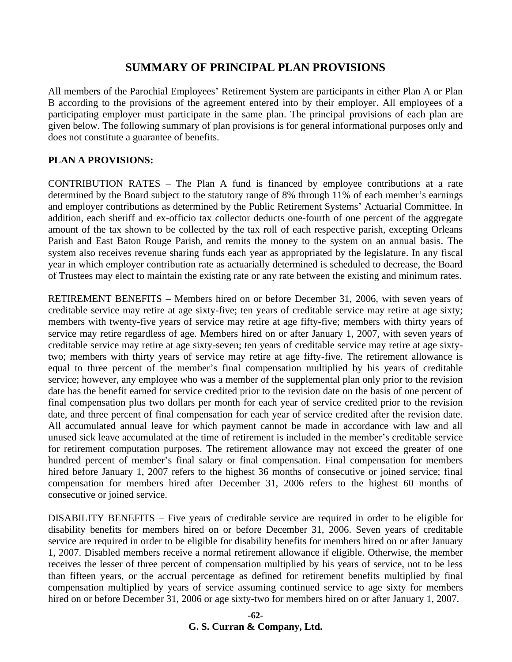### **SUMMARY OF PRINCIPAL PLAN PROVISIONS**

All members of the Parochial Employees' Retirement System are participants in either Plan A or Plan B according to the provisions of the agreement entered into by their employer. All employees of a participating employer must participate in the same plan. The principal provisions of each plan are given below. The following summary of plan provisions is for general informational purposes only and does not constitute a guarantee of benefits.

### **PLAN A PROVISIONS:**

CONTRIBUTION RATES – The Plan A fund is financed by employee contributions at a rate determined by the Board subject to the statutory range of 8% through 11% of each member's earnings and employer contributions as determined by the Public Retirement Systems' Actuarial Committee. In addition, each sheriff and ex-officio tax collector deducts one-fourth of one percent of the aggregate amount of the tax shown to be collected by the tax roll of each respective parish, excepting Orleans Parish and East Baton Rouge Parish, and remits the money to the system on an annual basis. The system also receives revenue sharing funds each year as appropriated by the legislature. In any fiscal year in which employer contribution rate as actuarially determined is scheduled to decrease, the Board of Trustees may elect to maintain the existing rate or any rate between the existing and minimum rates.

RETIREMENT BENEFITS – Members hired on or before December 31, 2006, with seven years of creditable service may retire at age sixty-five; ten years of creditable service may retire at age sixty; members with twenty-five years of service may retire at age fifty-five; members with thirty years of service may retire regardless of age. Members hired on or after January 1, 2007, with seven years of creditable service may retire at age sixty-seven; ten years of creditable service may retire at age sixtytwo; members with thirty years of service may retire at age fifty-five. The retirement allowance is equal to three percent of the member's final compensation multiplied by his years of creditable service; however, any employee who was a member of the supplemental plan only prior to the revision date has the benefit earned for service credited prior to the revision date on the basis of one percent of final compensation plus two dollars per month for each year of service credited prior to the revision date, and three percent of final compensation for each year of service credited after the revision date. All accumulated annual leave for which payment cannot be made in accordance with law and all unused sick leave accumulated at the time of retirement is included in the member's creditable service for retirement computation purposes. The retirement allowance may not exceed the greater of one hundred percent of member's final salary or final compensation. Final compensation for members hired before January 1, 2007 refers to the highest 36 months of consecutive or joined service; final compensation for members hired after December 31, 2006 refers to the highest 60 months of consecutive or joined service.

DISABILITY BENEFITS – Five years of creditable service are required in order to be eligible for disability benefits for members hired on or before December 31, 2006. Seven years of creditable service are required in order to be eligible for disability benefits for members hired on or after January 1, 2007. Disabled members receive a normal retirement allowance if eligible. Otherwise, the member receives the lesser of three percent of compensation multiplied by his years of service, not to be less than fifteen years, or the accrual percentage as defined for retirement benefits multiplied by final compensation multiplied by years of service assuming continued service to age sixty for members hired on or before December 31, 2006 or age sixty-two for members hired on or after January 1, 2007.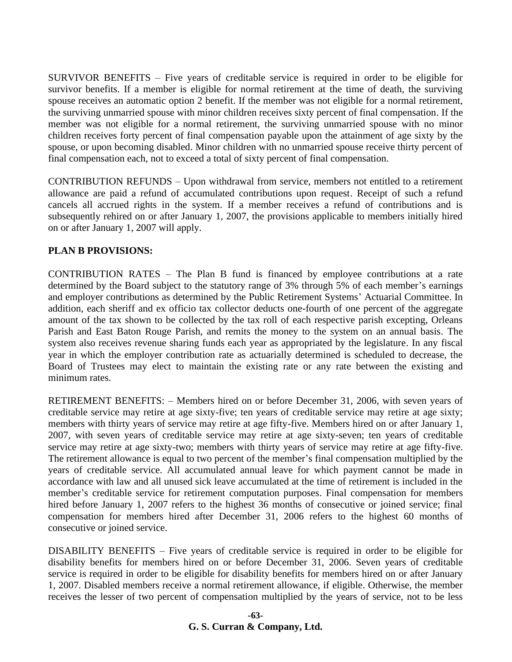SURVIVOR BENEFITS – Five years of creditable service is required in order to be eligible for survivor benefits. If a member is eligible for normal retirement at the time of death, the surviving spouse receives an automatic option 2 benefit. If the member was not eligible for a normal retirement, the surviving unmarried spouse with minor children receives sixty percent of final compensation. If the member was not eligible for a normal retirement, the surviving unmarried spouse with no minor children receives forty percent of final compensation payable upon the attainment of age sixty by the spouse, or upon becoming disabled. Minor children with no unmarried spouse receive thirty percent of final compensation each, not to exceed a total of sixty percent of final compensation.

CONTRIBUTION REFUNDS – Upon withdrawal from service, members not entitled to a retirement allowance are paid a refund of accumulated contributions upon request. Receipt of such a refund cancels all accrued rights in the system. If a member receives a refund of contributions and is subsequently rehired on or after January 1, 2007, the provisions applicable to members initially hired on or after January 1, 2007 will apply.

### **PLAN B PROVISIONS:**

CONTRIBUTION RATES – The Plan B fund is financed by employee contributions at a rate determined by the Board subject to the statutory range of 3% through 5% of each member's earnings and employer contributions as determined by the Public Retirement Systems' Actuarial Committee. In addition, each sheriff and ex officio tax collector deducts one-fourth of one percent of the aggregate amount of the tax shown to be collected by the tax roll of each respective parish excepting, Orleans Parish and East Baton Rouge Parish, and remits the money to the system on an annual basis. The system also receives revenue sharing funds each year as appropriated by the legislature. In any fiscal year in which the employer contribution rate as actuarially determined is scheduled to decrease, the Board of Trustees may elect to maintain the existing rate or any rate between the existing and minimum rates.

RETIREMENT BENEFITS: – Members hired on or before December 31, 2006, with seven years of creditable service may retire at age sixty-five; ten years of creditable service may retire at age sixty; members with thirty years of service may retire at age fifty-five. Members hired on or after January 1, 2007, with seven years of creditable service may retire at age sixty-seven; ten years of creditable service may retire at age sixty-two; members with thirty years of service may retire at age fifty-five. The retirement allowance is equal to two percent of the member's final compensation multiplied by the years of creditable service. All accumulated annual leave for which payment cannot be made in accordance with law and all unused sick leave accumulated at the time of retirement is included in the member's creditable service for retirement computation purposes. Final compensation for members hired before January 1, 2007 refers to the highest 36 months of consecutive or joined service; final compensation for members hired after December 31, 2006 refers to the highest 60 months of consecutive or joined service.

DISABILITY BENEFITS – Five years of creditable service is required in order to be eligible for disability benefits for members hired on or before December 31, 2006. Seven years of creditable service is required in order to be eligible for disability benefits for members hired on or after January 1, 2007. Disabled members receive a normal retirement allowance, if eligible. Otherwise, the member receives the lesser of two percent of compensation multiplied by the years of service, not to be less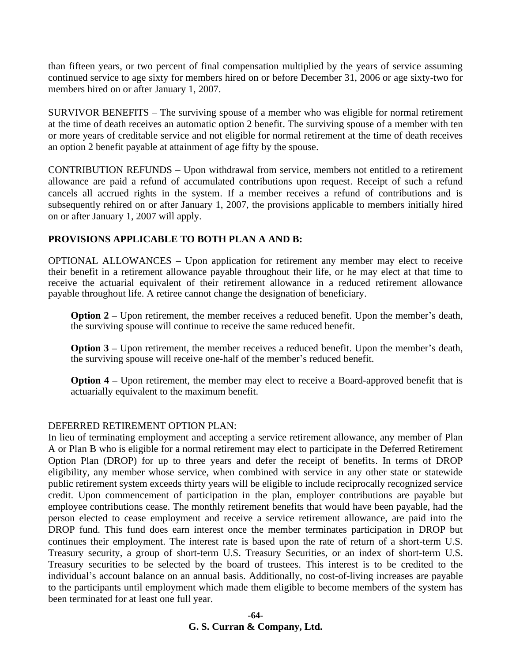than fifteen years, or two percent of final compensation multiplied by the years of service assuming continued service to age sixty for members hired on or before December 31, 2006 or age sixty-two for members hired on or after January 1, 2007.

SURVIVOR BENEFITS – The surviving spouse of a member who was eligible for normal retirement at the time of death receives an automatic option 2 benefit. The surviving spouse of a member with ten or more years of creditable service and not eligible for normal retirement at the time of death receives an option 2 benefit payable at attainment of age fifty by the spouse.

CONTRIBUTION REFUNDS – Upon withdrawal from service, members not entitled to a retirement allowance are paid a refund of accumulated contributions upon request. Receipt of such a refund cancels all accrued rights in the system. If a member receives a refund of contributions and is subsequently rehired on or after January 1, 2007, the provisions applicable to members initially hired on or after January 1, 2007 will apply.

### **PROVISIONS APPLICABLE TO BOTH PLAN A AND B:**

OPTIONAL ALLOWANCES – Upon application for retirement any member may elect to receive their benefit in a retirement allowance payable throughout their life, or he may elect at that time to receive the actuarial equivalent of their retirement allowance in a reduced retirement allowance payable throughout life. A retiree cannot change the designation of beneficiary.

**Option 2** – Upon retirement, the member receives a reduced benefit. Upon the member's death, the surviving spouse will continue to receive the same reduced benefit.

**Option 3** – Upon retirement, the member receives a reduced benefit. Upon the member's death, the surviving spouse will receive one-half of the member's reduced benefit.

**Option 4** – Upon retirement, the member may elect to receive a Board-approved benefit that is actuarially equivalent to the maximum benefit.

#### DEFERRED RETIREMENT OPTION PLAN:

In lieu of terminating employment and accepting a service retirement allowance, any member of Plan A or Plan B who is eligible for a normal retirement may elect to participate in the Deferred Retirement Option Plan (DROP) for up to three years and defer the receipt of benefits. In terms of DROP eligibility, any member whose service, when combined with service in any other state or statewide public retirement system exceeds thirty years will be eligible to include reciprocally recognized service credit. Upon commencement of participation in the plan, employer contributions are payable but employee contributions cease. The monthly retirement benefits that would have been payable, had the person elected to cease employment and receive a service retirement allowance, are paid into the DROP fund. This fund does earn interest once the member terminates participation in DROP but continues their employment. The interest rate is based upon the rate of return of a short-term U.S. Treasury security, a group of short-term U.S. Treasury Securities, or an index of short-term U.S. Treasury securities to be selected by the board of trustees. This interest is to be credited to the individual's account balance on an annual basis. Additionally, no cost-of-living increases are payable to the participants until employment which made them eligible to become members of the system has been terminated for at least one full year.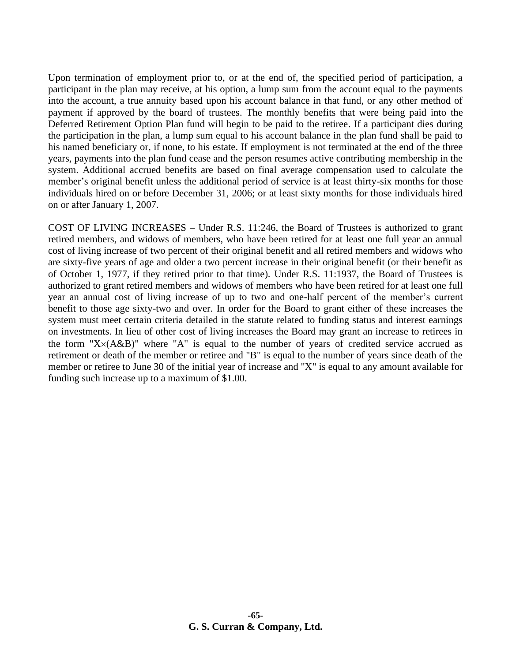Upon termination of employment prior to, or at the end of, the specified period of participation, a participant in the plan may receive, at his option, a lump sum from the account equal to the payments into the account, a true annuity based upon his account balance in that fund, or any other method of payment if approved by the board of trustees. The monthly benefits that were being paid into the Deferred Retirement Option Plan fund will begin to be paid to the retiree. If a participant dies during the participation in the plan, a lump sum equal to his account balance in the plan fund shall be paid to his named beneficiary or, if none, to his estate. If employment is not terminated at the end of the three years, payments into the plan fund cease and the person resumes active contributing membership in the system. Additional accrued benefits are based on final average compensation used to calculate the member's original benefit unless the additional period of service is at least thirty-six months for those individuals hired on or before December 31, 2006; or at least sixty months for those individuals hired on or after January 1, 2007.

COST OF LIVING INCREASES – Under R.S. 11:246, the Board of Trustees is authorized to grant retired members, and widows of members, who have been retired for at least one full year an annual cost of living increase of two percent of their original benefit and all retired members and widows who are sixty-five years of age and older a two percent increase in their original benefit (or their benefit as of October 1, 1977, if they retired prior to that time). Under R.S. 11:1937, the Board of Trustees is authorized to grant retired members and widows of members who have been retired for at least one full year an annual cost of living increase of up to two and one-half percent of the member's current benefit to those age sixty-two and over. In order for the Board to grant either of these increases the system must meet certain criteria detailed in the statute related to funding status and interest earnings on investments. In lieu of other cost of living increases the Board may grant an increase to retirees in the form " $X\times (A\&B)$ " where "A" is equal to the number of years of credited service accrued as retirement or death of the member or retiree and "B" is equal to the number of years since death of the member or retiree to June 30 of the initial year of increase and "X" is equal to any amount available for funding such increase up to a maximum of \$1.00.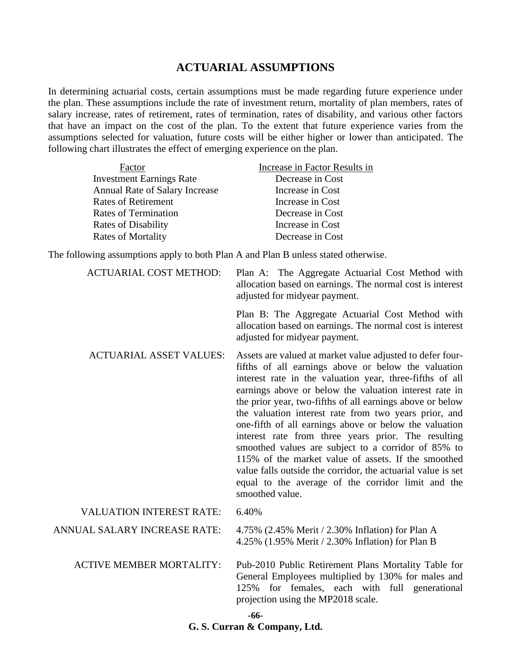### **ACTUARIAL ASSUMPTIONS**

In determining actuarial costs, certain assumptions must be made regarding future experience under the plan. These assumptions include the rate of investment return, mortality of plan members, rates of salary increase, rates of retirement, rates of termination, rates of disability, and various other factors that have an impact on the cost of the plan. To the extent that future experience varies from the assumptions selected for valuation, future costs will be either higher or lower than anticipated. The following chart illustrates the effect of emerging experience on the plan.

| Factor                          | Increase in Factor Results in |
|---------------------------------|-------------------------------|
| <b>Investment Earnings Rate</b> | Decrease in Cost              |
| Annual Rate of Salary Increase  | Increase in Cost              |
| <b>Rates of Retirement</b>      | Increase in Cost              |
| Rates of Termination            | Decrease in Cost              |
| <b>Rates of Disability</b>      | Increase in Cost              |
| <b>Rates of Mortality</b>       | Decrease in Cost              |

The following assumptions apply to both Plan A and Plan B unless stated otherwise.

| <b>ACTUARIAL COST METHOD:</b>   | Plan A: The Aggregate Actuarial Cost Method with<br>allocation based on earnings. The normal cost is interest<br>adjusted for midyear payment.                                                                                                                                                                                                                                                                                                                                                                                                                                                                                                                                                                                       |
|---------------------------------|--------------------------------------------------------------------------------------------------------------------------------------------------------------------------------------------------------------------------------------------------------------------------------------------------------------------------------------------------------------------------------------------------------------------------------------------------------------------------------------------------------------------------------------------------------------------------------------------------------------------------------------------------------------------------------------------------------------------------------------|
|                                 | Plan B: The Aggregate Actuarial Cost Method with<br>allocation based on earnings. The normal cost is interest<br>adjusted for midyear payment.                                                                                                                                                                                                                                                                                                                                                                                                                                                                                                                                                                                       |
| <b>ACTUARIAL ASSET VALUES:</b>  | Assets are valued at market value adjusted to defer four-<br>fifths of all earnings above or below the valuation<br>interest rate in the valuation year, three-fifths of all<br>earnings above or below the valuation interest rate in<br>the prior year, two-fifths of all earnings above or below<br>the valuation interest rate from two years prior, and<br>one-fifth of all earnings above or below the valuation<br>interest rate from three years prior. The resulting<br>smoothed values are subject to a corridor of 85% to<br>115% of the market value of assets. If the smoothed<br>value falls outside the corridor, the actuarial value is set<br>equal to the average of the corridor limit and the<br>smoothed value. |
| <b>VALUATION INTEREST RATE:</b> | 6.40%                                                                                                                                                                                                                                                                                                                                                                                                                                                                                                                                                                                                                                                                                                                                |

ANNUAL SALARY INCREASE RATE: 4.75% (2.45% Merit / 2.30% Inflation) for Plan A 4.25% (1.95% Merit / 2.30% Inflation) for Plan B

ACTIVE MEMBER MORTALITY: Pub-2010 Public Retirement Plans Mortality Table for General Employees multiplied by 130% for males and 125% for females, each with full generational projection using the MP2018 scale.

**-66-**

**G. S. Curran & Company, Ltd.**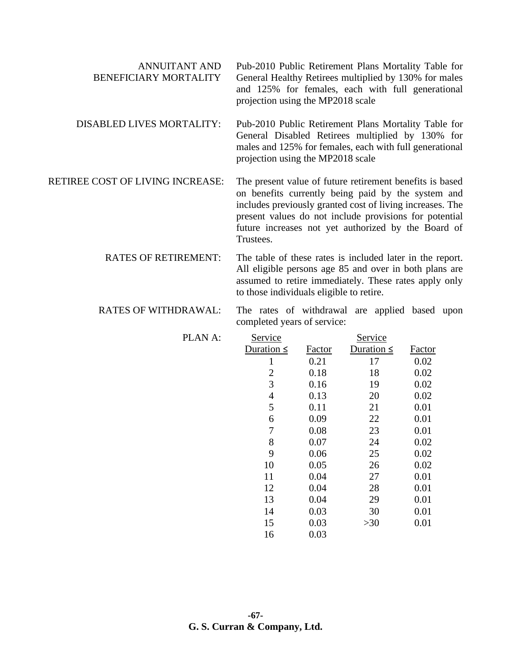| <b>ANNUITANT AND</b><br><b>BENEFICIARY MORTALITY</b> | Pub-2010 Public Retirement Plans Mortality Table for<br>General Healthy Retirees multiplied by 130% for males<br>and 125% for females, each with full generational<br>projection using the MP2018 scale                                                                                                   |
|------------------------------------------------------|-----------------------------------------------------------------------------------------------------------------------------------------------------------------------------------------------------------------------------------------------------------------------------------------------------------|
| DISABLED LIVES MORTALITY:                            | Pub-2010 Public Retirement Plans Mortality Table for<br>General Disabled Retirees multiplied by 130% for<br>males and 125% for females, each with full generational<br>projection using the MP2018 scale                                                                                                  |
| RETIREE COST OF LIVING INCREASE:                     | The present value of future retirement benefits is based<br>on benefits currently being paid by the system and<br>includes previously granted cost of living increases. The<br>present values do not include provisions for potential<br>future increases not yet authorized by the Board of<br>Trustees. |
| D A TEC AE DETIDEMENT.                               | The table of these rates is included later in the report                                                                                                                                                                                                                                                  |

### RATES OF RETIREMENT: The table of these rates is included later in the report. All eligible persons age 85 and over in both plans are assumed to retire immediately. These rates apply only to those individuals eligible to retire.

### RATES OF WITHDRAWAL: The rates of withdrawal are applied based upon completed years of service:

| PLAN A: | Service         |               | Service         |        |
|---------|-----------------|---------------|-----------------|--------|
|         | Duration $\leq$ | <b>Factor</b> | Duration $\leq$ | Factor |
|         | 1               | 0.21          | 17              | 0.02   |
|         | $\overline{2}$  | 0.18          | 18              | 0.02   |
|         | 3               | 0.16          | 19              | 0.02   |
|         | 4               | 0.13          | 20              | 0.02   |
|         | 5               | 0.11          | 21              | 0.01   |
|         | 6               | 0.09          | 22              | 0.01   |
|         | 7               | 0.08          | 23              | 0.01   |
|         | 8               | 0.07          | 24              | 0.02   |
|         | 9               | 0.06          | 25              | 0.02   |
|         | 10              | 0.05          | 26              | 0.02   |
|         | 11              | 0.04          | 27              | 0.01   |
|         | 12              | 0.04          | 28              | 0.01   |
|         | 13              | 0.04          | 29              | 0.01   |
|         | 14              | 0.03          | 30              | 0.01   |
|         | 15              | 0.03          | >30             | 0.01   |
|         | 16              | 0.03          |                 |        |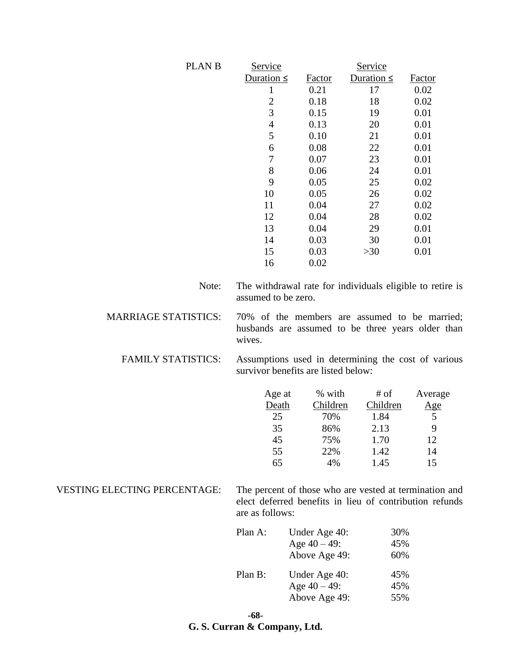| <b>PLANB</b>                        | Service                                                                                                                              |               | <b>Service</b>  |               |
|-------------------------------------|--------------------------------------------------------------------------------------------------------------------------------------|---------------|-----------------|---------------|
|                                     | Duration $\leq$                                                                                                                      | <b>Factor</b> | Duration $\leq$ | <b>Factor</b> |
|                                     | $\mathbf 1$                                                                                                                          | 0.21          | 17              | 0.02          |
|                                     | $\overline{c}$                                                                                                                       | 0.18          | 18              | 0.02          |
|                                     | 3                                                                                                                                    | 0.15          | 19              | 0.01          |
|                                     | $\overline{4}$                                                                                                                       | 0.13          | 20              | 0.01          |
|                                     | 5                                                                                                                                    | 0.10          | 21              | 0.01          |
|                                     | 6                                                                                                                                    | 0.08          | 22              | 0.01          |
|                                     | 7                                                                                                                                    | 0.07          | 23              | 0.01          |
|                                     | 8                                                                                                                                    | 0.06          | 24              | 0.01          |
|                                     | 9                                                                                                                                    | 0.05          | 25              | 0.02          |
|                                     | 10                                                                                                                                   | 0.05          | 26              | 0.02          |
|                                     | 11                                                                                                                                   | 0.04          | 27              | 0.02          |
|                                     | 12                                                                                                                                   | 0.04          | 28              | 0.02          |
|                                     | 13                                                                                                                                   | 0.04          | 29              | 0.01          |
|                                     | 14                                                                                                                                   | 0.03          | 30              | 0.01          |
|                                     | 15                                                                                                                                   | 0.03          | $>30$           | 0.01          |
|                                     | 16                                                                                                                                   | 0.02          |                 |               |
| Note:                               | The withdrawal rate for individuals eligible to retire is<br>assumed to be zero.                                                     |               |                 |               |
| <b>MARRIAGE STATISTICS:</b>         | 70% of the members are assumed to be married;<br>husbands are assumed to be three years older than<br>wives.                         |               |                 |               |
| <b>FAMILY STATISTICS:</b>           | Assumptions used in determining the cost of various<br>survivor benefits are listed below:                                           |               |                 |               |
|                                     | Age at                                                                                                                               | % with        | # of            | Average       |
|                                     | Death                                                                                                                                | Children      | Children        | <u>Age</u>    |
|                                     | 25                                                                                                                                   | 70%           | 1.84            | $\mathfrak s$ |
|                                     | 35                                                                                                                                   | 86%           | 2.13            | 9             |
|                                     | 45                                                                                                                                   | 75%           | 1.70            | 12            |
|                                     | 55                                                                                                                                   | 22%           | 1.42            | 14            |
|                                     | 65                                                                                                                                   | 4%            | 1.45            | 15            |
|                                     |                                                                                                                                      |               |                 |               |
| <b>VESTING ELECTING PERCENTAGE:</b> | The percent of those who are vested at termination and<br>elect deferred benefits in lieu of contribution refunds<br>are as follows: |               |                 |               |

| Plan A: | Under Age 40:   | 30% |
|---------|-----------------|-----|
|         | Age $40 - 49$ : | 45% |
|         | Above Age 49:   | 60% |
| Plan B: | Under Age 40:   | 45% |
|         | Age $40 - 49$ : | 45% |
|         | Above Age 49:   | 55% |

**-68- G. S. Curran & Company, Ltd.**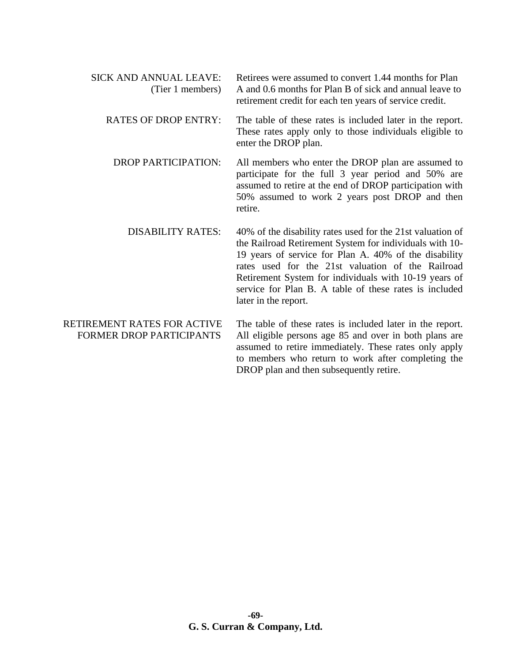| <b>SICK AND ANNUAL LEAVE:</b><br>(Tier 1 members)       | Retirees were assumed to convert 1.44 months for Plan<br>A and 0.6 months for Plan B of sick and annual leave to<br>retirement credit for each ten years of service credit.                                                                                                                                                                                                    |
|---------------------------------------------------------|--------------------------------------------------------------------------------------------------------------------------------------------------------------------------------------------------------------------------------------------------------------------------------------------------------------------------------------------------------------------------------|
| <b>RATES OF DROP ENTRY:</b>                             | The table of these rates is included later in the report.<br>These rates apply only to those individuals eligible to<br>enter the DROP plan.                                                                                                                                                                                                                                   |
| <b>DROP PARTICIPATION:</b>                              | All members who enter the DROP plan are assumed to<br>participate for the full 3 year period and 50% are<br>assumed to retire at the end of DROP participation with<br>50% assumed to work 2 years post DROP and then<br>retire.                                                                                                                                               |
| <b>DISABILITY RATES:</b>                                | 40% of the disability rates used for the 21st valuation of<br>the Railroad Retirement System for individuals with 10-<br>19 years of service for Plan A. 40% of the disability<br>rates used for the 21st valuation of the Railroad<br>Retirement System for individuals with 10-19 years of<br>service for Plan B. A table of these rates is included<br>later in the report. |
| RETIREMENT RATES FOR ACTIVE<br>FORMER DROP PARTICIPANTS | The table of these rates is included later in the report.<br>All eligible persons age 85 and over in both plans are<br>assumed to retire immediately. These rates only apply<br>to members who return to work after completing the<br>DROP plan and then subsequently retire.                                                                                                  |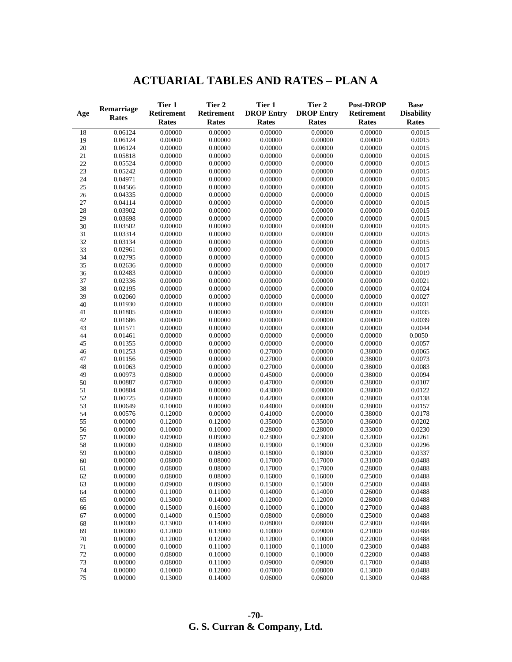|          |                    | Tier 1             | Tier 2             | Tier 1             | Tier 2             | <b>Post-DROP</b>   | <b>Base</b>       |
|----------|--------------------|--------------------|--------------------|--------------------|--------------------|--------------------|-------------------|
| Age      | Remarriage         | <b>Retirement</b>  | Retirement         | <b>DROP Entry</b>  | <b>DROP Entry</b>  | <b>Retirement</b>  | <b>Disability</b> |
|          | Rates              | <b>Rates</b>       | Rates              | Rates              | Rates              | Rates              | Rates             |
|          | 0.06124            | 0.00000            | 0.00000            | 0.00000            | 0.00000            | 0.00000            | 0.0015            |
| 18<br>19 | 0.06124            | 0.00000            | 0.00000            | 0.00000            | 0.00000            | 0.00000            | 0.0015            |
| $20\,$   | 0.06124            | 0.00000            | 0.00000            | 0.00000            | 0.00000            | 0.00000            | 0.0015            |
|          | 0.05818            | 0.00000            | 0.00000            | 0.00000            | 0.00000            | 0.00000            | 0.0015            |
| $21\,$   |                    |                    |                    |                    |                    |                    | 0.0015            |
| $22\,$   | 0.05524            | 0.00000            | 0.00000            | 0.00000            | 0.00000            | 0.00000            |                   |
| 23       | 0.05242            | 0.00000            | 0.00000            | 0.00000            | 0.00000            | 0.00000            | 0.0015            |
| 24       | 0.04971            | 0.00000            | 0.00000            | 0.00000            | 0.00000            | 0.00000            | 0.0015            |
| 25       | 0.04566            | 0.00000            | 0.00000            | 0.00000            | 0.00000            | 0.00000            | 0.0015            |
| 26       | 0.04335            | 0.00000            | 0.00000            | 0.00000            | 0.00000            | 0.00000            | 0.0015            |
| 27       | 0.04114            | 0.00000            | 0.00000            | 0.00000            | 0.00000            | 0.00000            | 0.0015            |
| 28       | 0.03902            | 0.00000            | 0.00000            | 0.00000            | 0.00000            | 0.00000            | 0.0015            |
| 29       | 0.03698            | 0.00000            | 0.00000            | 0.00000            | 0.00000            | 0.00000            | 0.0015            |
| 30       | 0.03502            | 0.00000            | 0.00000            | 0.00000            | 0.00000            | 0.00000            | 0.0015            |
| 31       | 0.03314            | 0.00000            | 0.00000            | 0.00000            | 0.00000            | 0.00000            | 0.0015            |
| 32       | 0.03134            | 0.00000            | 0.00000            | 0.00000            | 0.00000            | 0.00000            | 0.0015            |
| 33       | 0.02961            | 0.00000            | 0.00000            | 0.00000            | 0.00000            | 0.00000            | 0.0015            |
| 34       | 0.02795            | 0.00000            | 0.00000<br>0.00000 | 0.00000            | 0.00000            | 0.00000            | 0.0015            |
| 35       | 0.02636            | 0.00000            |                    | 0.00000            | 0.00000            | 0.00000            | 0.0017            |
| 36       | 0.02483            | 0.00000            | 0.00000<br>0.00000 | 0.00000            | 0.00000            | 0.00000            | 0.0019            |
| 37       | 0.02336            | 0.00000            |                    | 0.00000            | 0.00000            | 0.00000            | 0.0021            |
| 38       | 0.02195<br>0.02060 | 0.00000<br>0.00000 | 0.00000<br>0.00000 | 0.00000<br>0.00000 | 0.00000<br>0.00000 | 0.00000<br>0.00000 | 0.0024<br>0.0027  |
| 39<br>40 | 0.01930            | 0.00000            | 0.00000            | 0.00000            | 0.00000            | 0.00000            | 0.0031            |
|          |                    | 0.00000            | 0.00000            | 0.00000            |                    |                    | 0.0035            |
| 41       | 0.01805<br>0.01686 | 0.00000            | 0.00000            | 0.00000            | 0.00000<br>0.00000 | 0.00000<br>0.00000 | 0.0039            |
| 42       | 0.01571            | 0.00000            | 0.00000            | 0.00000            | 0.00000            | 0.00000            | 0.0044            |
| 43       | 0.01461            | 0.00000            | 0.00000            | 0.00000            | 0.00000            | 0.00000            | 0.0050            |
| 44<br>45 | 0.01355            | 0.00000            | 0.00000            | 0.00000            | 0.00000            | 0.00000            | 0.0057            |
| 46       | 0.01253            | 0.09000            | 0.00000            | 0.27000            | 0.00000            | 0.38000            | 0.0065            |
| 47       | 0.01156            | 0.09000            | 0.00000            | 0.27000            | 0.00000            | 0.38000            | 0.0073            |
| 48       | 0.01063            | 0.09000            | 0.00000            | 0.27000            | 0.00000            |                    | 0.0083            |
| 49       | 0.00973            | 0.08000            | 0.00000            | 0.45000            | 0.00000            | 0.38000<br>0.38000 | 0.0094            |
| 50       | 0.00887            | 0.07000            | 0.00000            | 0.47000            | 0.00000            | 0.38000            | 0.0107            |
| 51       | 0.00804            | 0.06000            | 0.00000            | 0.43000            | 0.00000            | 0.38000            | 0.0122            |
| 52       | 0.00725            | 0.08000            | 0.00000            | 0.42000            | 0.00000            | 0.38000            | 0.0138            |
| 53       | 0.00649            | 0.10000            | 0.00000            | 0.44000            | 0.00000            | 0.38000            | 0.0157            |
| 54       | 0.00576            | 0.12000            | 0.00000            | 0.41000            | 0.00000            | 0.38000            | 0.0178            |
| 55       | 0.00000            | 0.12000            | 0.12000            | 0.35000            | 0.35000            | 0.36000            | 0.0202            |
| 56       | 0.00000            | 0.10000            | 0.10000            | 0.28000            | 0.28000            | 0.33000            | 0.0230            |
| 57       | 0.00000            | 0.09000            | 0.09000            | 0.23000            | 0.23000            | 0.32000            | 0.0261            |
| 58       | 0.00000            | 0.08000            | 0.08000            | 0.19000            | 0.19000            | 0.32000            | 0.0296            |
| 59       | 0.00000            | 0.08000            | 0.08000            | 0.18000            | 0.18000            | 0.32000            | 0.0337            |
| 60       | 0.00000            | 0.08000            | 0.08000            | 0.17000            | 0.17000            | 0.31000            | 0.0488            |
| 61       | 0.00000            | 0.08000            | 0.08000            | 0.17000            | 0.17000            | 0.28000            | 0.0488            |
| 62       | 0.00000            | 0.08000            | 0.08000            | 0.16000            | 0.16000            | 0.25000            | 0.0488            |
| 63       | 0.00000            | 0.09000            | 0.09000            | 0.15000            | 0.15000            | 0.25000            | 0.0488            |
| 64       | 0.00000            | 0.11000            | 0.11000            | 0.14000            | 0.14000            | 0.26000            | 0.0488            |
| 65       | 0.00000            | 0.13000            | 0.14000            | 0.12000            | 0.12000            | 0.28000            | 0.0488            |
| 66       | 0.00000            | 0.15000            | 0.16000            | 0.10000            | 0.10000            | 0.27000            | 0.0488            |
| 67       | 0.00000            | 0.14000            | 0.15000            | 0.08000            | 0.08000            | 0.25000            | 0.0488            |
| 68       | 0.00000            | 0.13000            | 0.14000            | 0.08000            | 0.08000            | 0.23000            | 0.0488            |
| 69       | 0.00000            | 0.12000            | 0.13000            | 0.10000            | 0.09000            | 0.21000            | 0.0488            |
| 70       | 0.00000            | 0.12000            | 0.12000            | 0.12000            | 0.10000            | 0.22000            | 0.0488            |
| 71       | 0.00000            | 0.10000            | 0.11000            | 0.11000            | 0.11000            | 0.23000            | 0.0488            |
| 72       | 0.00000            | 0.08000            | 0.10000            | 0.10000            | 0.10000            | 0.22000            | 0.0488            |
| 73       | 0.00000            | 0.08000            | 0.11000            | 0.09000            | 0.09000            | 0.17000            | 0.0488            |
| 74       | 0.00000            | 0.10000            | 0.12000            | 0.07000            | 0.08000            | 0.13000            | 0.0488            |
| 75       | 0.00000            | 0.13000            | 0.14000            | 0.06000            | 0.06000            | 0.13000            | 0.0488            |

## **ACTUARIAL TABLES AND RATES – PLAN A**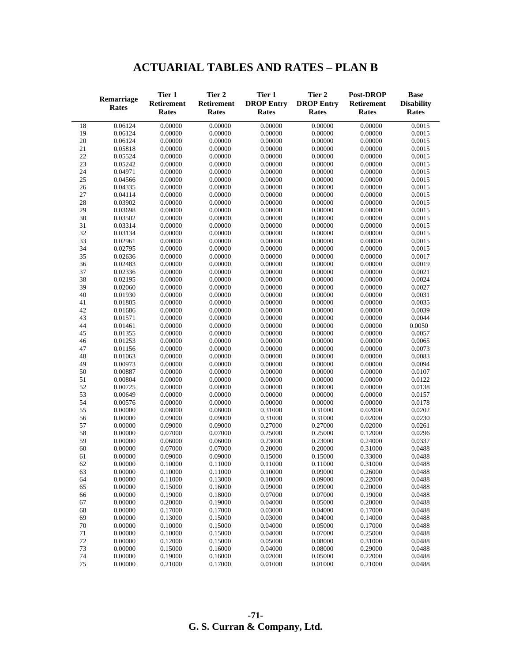| <b>ACTUARIAL TABLES AND RATES - PLAN B</b> |
|--------------------------------------------|
|--------------------------------------------|

|          | Remarriage<br><b>Rates</b> | Tier 1<br><b>Retirement</b><br>Rates | Tier 2<br>Retirement<br>Rates | Tier 1<br><b>DROP Entry</b><br>Rates | Tier 2<br><b>DROP Entry</b><br>Rates | <b>Post-DROP</b><br><b>Retirement</b><br>Rates | <b>Base</b><br><b>Disability</b><br>Rates |
|----------|----------------------------|--------------------------------------|-------------------------------|--------------------------------------|--------------------------------------|------------------------------------------------|-------------------------------------------|
| 18       | 0.06124                    | 0.00000                              | 0.00000                       | 0.00000                              | 0.00000                              | 0.00000                                        | 0.0015                                    |
| 19       | 0.06124                    | 0.00000                              | 0.00000                       | 0.00000                              | 0.00000                              | 0.00000                                        | 0.0015                                    |
| $20\,$   | 0.06124                    | 0.00000                              | 0.00000                       | 0.00000                              | 0.00000                              | 0.00000                                        | 0.0015                                    |
| 21       | 0.05818                    | 0.00000                              | 0.00000                       | 0.00000                              | 0.00000                              | 0.00000                                        | 0.0015                                    |
| 22       | 0.05524                    | 0.00000                              | 0.00000                       | 0.00000                              | 0.00000                              | 0.00000                                        | 0.0015                                    |
| 23       | 0.05242                    | 0.00000                              | 0.00000                       | 0.00000                              | 0.00000                              | 0.00000                                        | 0.0015                                    |
| 24       | 0.04971                    | 0.00000                              | 0.00000                       | 0.00000                              | 0.00000                              | 0.00000                                        | 0.0015                                    |
| $25\,$   | 0.04566                    | 0.00000                              | 0.00000                       | 0.00000                              | 0.00000                              | 0.00000                                        | 0.0015                                    |
| 26       | 0.04335                    | 0.00000                              | 0.00000                       | 0.00000                              | 0.00000                              | 0.00000                                        | 0.0015                                    |
| 27       | 0.04114                    | 0.00000                              | 0.00000                       | 0.00000                              | 0.00000                              | 0.00000                                        | 0.0015                                    |
| 28       | 0.03902                    | 0.00000                              | 0.00000                       | 0.00000                              | 0.00000                              | 0.00000                                        | 0.0015                                    |
| 29       | 0.03698                    | 0.00000                              | 0.00000                       | 0.00000                              | 0.00000                              | 0.00000                                        | 0.0015                                    |
| 30       | 0.03502                    | 0.00000                              | 0.00000                       | 0.00000                              | 0.00000                              | 0.00000                                        | 0.0015                                    |
| 31       | 0.03314                    | 0.00000                              | 0.00000                       | 0.00000                              | 0.00000                              | 0.00000                                        | 0.0015                                    |
| 32       | 0.03134                    | 0.00000                              | 0.00000                       | 0.00000                              | 0.00000                              | 0.00000                                        | 0.0015                                    |
| 33       | 0.02961                    | 0.00000                              | 0.00000                       | 0.00000                              | 0.00000                              | 0.00000                                        | 0.0015                                    |
| 34       | 0.02795                    | 0.00000                              | 0.00000                       | 0.00000                              | 0.00000                              | 0.00000                                        | 0.0015                                    |
| 35       | 0.02636                    | 0.00000                              | 0.00000                       | 0.00000                              | 0.00000                              | 0.00000                                        | 0.0017                                    |
| 36       | 0.02483                    | 0.00000                              | 0.00000                       | 0.00000                              | 0.00000                              | 0.00000                                        | 0.0019                                    |
| 37<br>38 | 0.02336<br>0.02195         | 0.00000<br>0.00000                   | 0.00000<br>0.00000            | 0.00000<br>0.00000                   | 0.00000<br>0.00000                   | 0.00000<br>0.00000                             | 0.0021<br>0.0024                          |
| 39       | 0.02060                    | 0.00000                              | 0.00000                       | 0.00000                              | 0.00000                              | 0.00000                                        | 0.0027                                    |
| 40       | 0.01930                    | 0.00000                              | 0.00000                       | 0.00000                              | 0.00000                              | 0.00000                                        | 0.0031                                    |
| 41       | 0.01805                    | 0.00000                              | 0.00000                       | 0.00000                              | 0.00000                              | 0.00000                                        | 0.0035                                    |
| 42       | 0.01686                    | 0.00000                              | 0.00000                       | 0.00000                              | 0.00000                              | 0.00000                                        | 0.0039                                    |
| 43       | 0.01571                    | 0.00000                              | 0.00000                       | 0.00000                              | 0.00000                              | 0.00000                                        | 0.0044                                    |
| 44       | 0.01461                    | 0.00000                              | 0.00000                       | 0.00000                              | 0.00000                              | 0.00000                                        | 0.0050                                    |
| 45       | 0.01355                    | 0.00000                              | 0.00000                       | 0.00000                              | 0.00000                              | 0.00000                                        | 0.0057                                    |
| 46       | 0.01253                    | 0.00000                              | 0.00000                       | 0.00000                              | 0.00000                              | 0.00000                                        | 0.0065                                    |
| 47       | 0.01156                    | 0.00000                              | 0.00000                       | 0.00000                              | 0.00000                              | 0.00000                                        | 0.0073                                    |
| 48       | 0.01063                    | 0.00000                              | 0.00000                       | 0.00000                              | 0.00000                              | 0.00000                                        | 0.0083                                    |
| 49       | 0.00973                    | 0.00000                              | 0.00000                       | 0.00000                              | 0.00000                              | 0.00000                                        | 0.0094                                    |
| 50       | 0.00887                    | 0.00000                              | 0.00000                       | 0.00000                              | 0.00000                              | 0.00000                                        | 0.0107                                    |
| 51       | 0.00804                    | 0.00000                              | 0.00000                       | 0.00000                              | 0.00000                              | 0.00000                                        | 0.0122                                    |
| 52       | 0.00725                    | 0.00000                              | 0.00000                       | 0.00000                              | 0.00000                              | 0.00000                                        | 0.0138                                    |
| 53       | 0.00649                    | 0.00000                              | 0.00000                       | 0.00000                              | 0.00000                              | 0.00000                                        | 0.0157                                    |
| 54       | 0.00576                    | 0.00000                              | 0.00000                       | 0.00000                              | 0.00000                              | 0.00000                                        | 0.0178                                    |
| 55       | 0.00000                    | 0.08000                              | 0.08000                       | 0.31000                              | 0.31000                              | 0.02000                                        | 0.0202                                    |
| 56       | 0.00000                    | 0.09000                              | 0.09000                       | 0.31000                              | 0.31000                              | 0.02000                                        | 0.0230                                    |
| 57       | 0.00000                    | 0.09000                              | 0.09000                       | 0.27000                              | 0.27000                              | 0.02000                                        | 0.0261                                    |
| 58       | 0.00000                    | 0.07000                              | 0.07000                       | 0.25000                              | 0.25000                              | 0.12000                                        | 0.0296                                    |
| 59       | 0.00000                    | 0.06000                              | 0.06000                       | 0.23000                              | 0.23000                              | 0.24000                                        | 0.0337                                    |
| 60<br>61 | 0.00000<br>0.00000         | 0.07000<br>0.09000                   | 0.07000<br>0.09000            | 0.20000<br>0.15000                   | 0.20000                              | 0.31000<br>0.33000                             | 0.0488<br>0.0488                          |
| 62       | 0.00000                    | 0.10000                              | 0.11000                       |                                      | 0.15000                              |                                                |                                           |
| 63       | 0.00000                    | 0.10000                              | 0.11000                       | 0.11000<br>0.10000                   | 0.11000<br>0.09000                   | 0.31000<br>0.26000                             | 0.0488<br>0.0488                          |
| 64       | 0.00000                    | 0.11000                              | 0.13000                       | 0.10000                              | 0.09000                              | 0.22000                                        | 0.0488                                    |
| 65       | 0.00000                    | 0.15000                              | 0.16000                       | 0.09000                              | 0.09000                              | 0.20000                                        | 0.0488                                    |
| 66       | 0.00000                    | 0.19000                              | 0.18000                       | 0.07000                              | 0.07000                              | 0.19000                                        | 0.0488                                    |
| 67       | 0.00000                    | 0.20000                              | 0.19000                       | 0.04000                              | 0.05000                              | 0.20000                                        | 0.0488                                    |
| 68       | 0.00000                    | 0.17000                              | 0.17000                       | 0.03000                              | 0.04000                              | 0.17000                                        | 0.0488                                    |
| 69       | 0.00000                    | 0.13000                              | 0.15000                       | 0.03000                              | 0.04000                              | 0.14000                                        | 0.0488                                    |
| 70       | 0.00000                    | 0.10000                              | 0.15000                       | 0.04000                              | 0.05000                              | 0.17000                                        | 0.0488                                    |
| 71       | 0.00000                    | 0.10000                              | 0.15000                       | 0.04000                              | 0.07000                              | 0.25000                                        | 0.0488                                    |
| $72\,$   | 0.00000                    | 0.12000                              | 0.15000                       | 0.05000                              | 0.08000                              | 0.31000                                        | 0.0488                                    |
| 73       | 0.00000                    | 0.15000                              | 0.16000                       | 0.04000                              | 0.08000                              | 0.29000                                        | 0.0488                                    |
| 74       | 0.00000                    | 0.19000                              | 0.16000                       | 0.02000                              | 0.05000                              | 0.22000                                        | 0.0488                                    |
| 75       | 0.00000                    | 0.21000                              | 0.17000                       | 0.01000                              | 0.01000                              | 0.21000                                        | 0.0488                                    |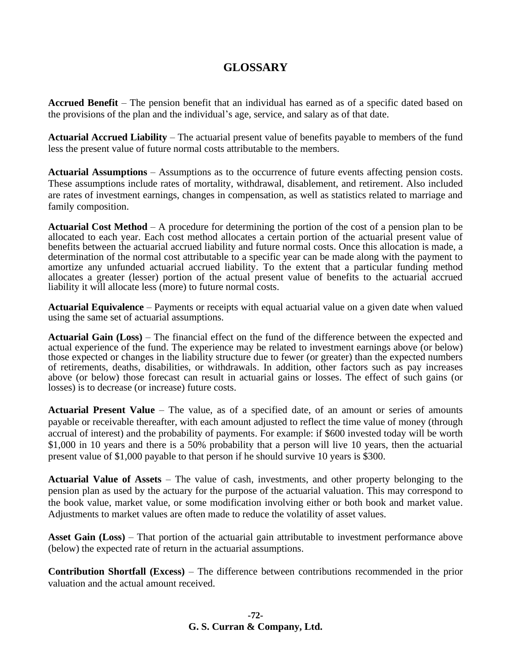## **GLOSSARY**

**Accrued Benefit** – The pension benefit that an individual has earned as of a specific dated based on the provisions of the plan and the individual's age, service, and salary as of that date.

**Actuarial Accrued Liability** – The actuarial present value of benefits payable to members of the fund less the present value of future normal costs attributable to the members.

**Actuarial Assumptions** – Assumptions as to the occurrence of future events affecting pension costs. These assumptions include rates of mortality, withdrawal, disablement, and retirement. Also included are rates of investment earnings, changes in compensation, as well as statistics related to marriage and family composition.

**Actuarial Cost Method** – A procedure for determining the portion of the cost of a pension plan to be allocated to each year. Each cost method allocates a certain portion of the actuarial present value of benefits between the actuarial accrued liability and future normal costs. Once this allocation is made, a determination of the normal cost attributable to a specific year can be made along with the payment to amortize any unfunded actuarial accrued liability. To the extent that a particular funding method allocates a greater (lesser) portion of the actual present value of benefits to the actuarial accrued liability it will allocate less (more) to future normal costs.

**Actuarial Equivalence** – Payments or receipts with equal actuarial value on a given date when valued using the same set of actuarial assumptions.

**Actuarial Gain (Loss)** – The financial effect on the fund of the difference between the expected and actual experience of the fund. The experience may be related to investment earnings above (or below) those expected or changes in the liability structure due to fewer (or greater) than the expected numbers of retirements, deaths, disabilities, or withdrawals. In addition, other factors such as pay increases above (or below) those forecast can result in actuarial gains or losses. The effect of such gains (or losses) is to decrease (or increase) future costs.

**Actuarial Present Value** – The value, as of a specified date, of an amount or series of amounts payable or receivable thereafter, with each amount adjusted to reflect the time value of money (through accrual of interest) and the probability of payments. For example: if \$600 invested today will be worth \$1,000 in 10 years and there is a 50% probability that a person will live 10 years, then the actuarial present value of \$1,000 payable to that person if he should survive 10 years is \$300.

**Actuarial Value of Assets** – The value of cash, investments, and other property belonging to the pension plan as used by the actuary for the purpose of the actuarial valuation. This may correspond to the book value, market value, or some modification involving either or both book and market value. Adjustments to market values are often made to reduce the volatility of asset values.

**Asset Gain (Loss)** – That portion of the actuarial gain attributable to investment performance above (below) the expected rate of return in the actuarial assumptions.

**Contribution Shortfall (Excess)** – The difference between contributions recommended in the prior valuation and the actual amount received.